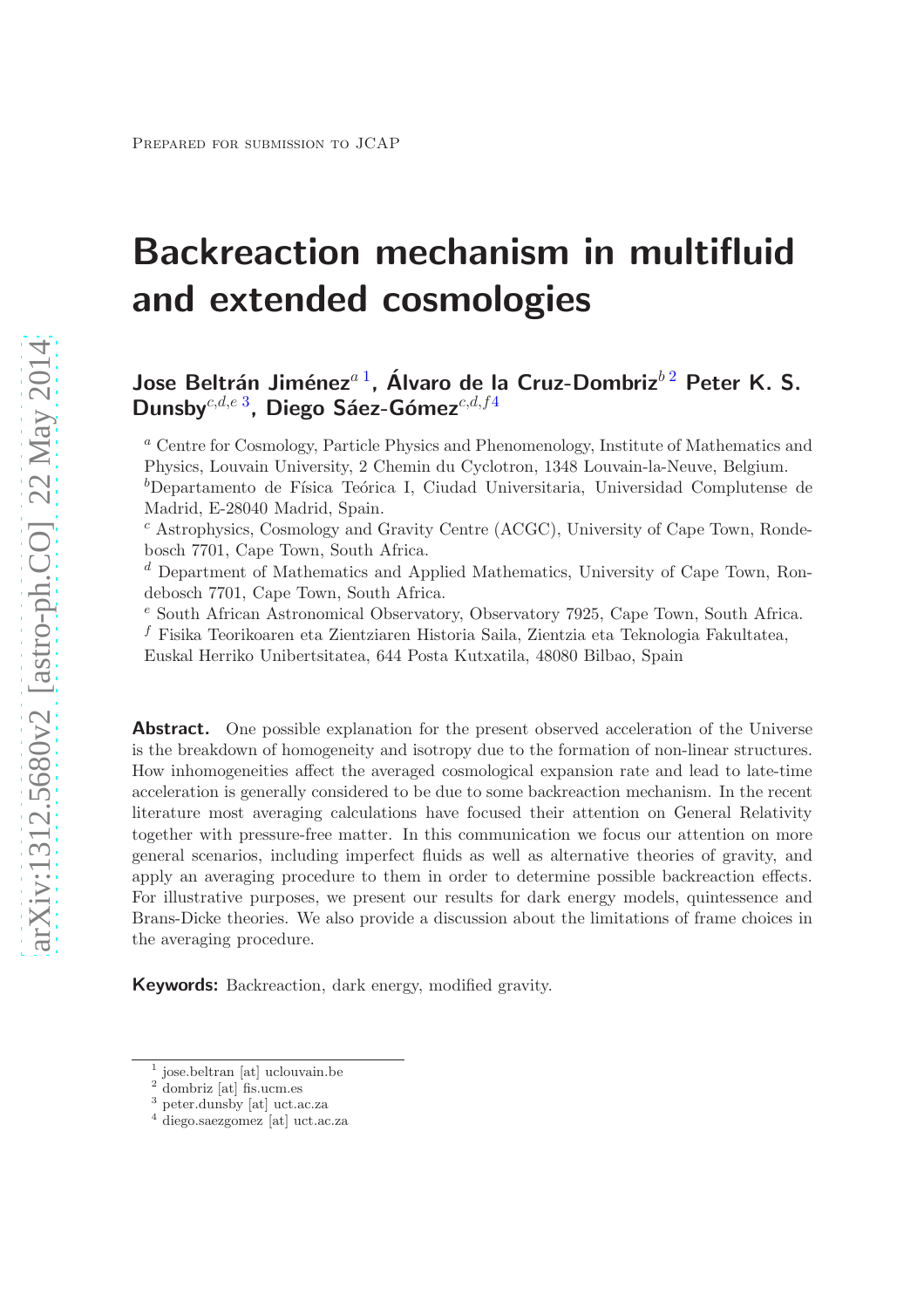# Backreaction mechanism in multifluid and extended cosmologies

Jose Beltrán Jiménez ${}^{a\, 1}$  ${}^{a\, 1}$  ${}^{a\, 1}$ , Álvaro de la Cruz-Dombriz ${}^{b\, 2}$  ${}^{b\, 2}$  ${}^{b\, 2}$  Peter K. S. Dunsby $^{c,d,e}$ <sup>[3](#page-0-2)</sup>, Diego Sáez-Gómez $^{c,d,f4}$  $^{c,d,f4}$  $^{c,d,f4}$ 

<sup>a</sup> Centre for Cosmology, Particle Physics and Phenomenology, Institute of Mathematics and Physics, Louvain University, 2 Chemin du Cyclotron, 1348 Louvain-la-Neuve, Belgium.  ${}^b$ Departamento de Física Teórica I, Ciudad Universitaria, Universidad Complutense de Madrid, E-28040 Madrid, Spain.

<sup>c</sup> Astrophysics, Cosmology and Gravity Centre (ACGC), University of Cape Town, Rondebosch 7701, Cape Town, South Africa.

 $d$  Department of Mathematics and Applied Mathematics, University of Cape Town, Rondebosch 7701, Cape Town, South Africa.

<sup>e</sup> South African Astronomical Observatory, Observatory 7925, Cape Town, South Africa.

<sup>f</sup> Fisika Teorikoaren eta Zientziaren Historia Saila, Zientzia eta Teknologia Fakultatea,

Euskal Herriko Unibertsitatea, 644 Posta Kutxatila, 48080 Bilbao, Spain

**Abstract.** One possible explanation for the present observed acceleration of the Universe is the breakdown of homogeneity and isotropy due to the formation of non-linear structures. How inhomogeneities affect the averaged cosmological expansion rate and lead to late-time acceleration is generally considered to be due to some backreaction mechanism. In the recent literature most averaging calculations have focused their attention on General Relativity together with pressure-free matter. In this communication we focus our attention on more general scenarios, including imperfect fluids as well as alternative theories of gravity, and apply an averaging procedure to them in order to determine possible backreaction effects. For illustrative purposes, we present our results for dark energy models, quintessence and Brans-Dicke theories. We also provide a discussion about the limitations of frame choices in the averaging procedure.

Keywords: Backreaction, dark energy, modified gravity.

<sup>1</sup> jose.beltran [at] uclouvain.be

<span id="page-0-0"></span><sup>2</sup> dombriz [at] fis.ucm.es

<span id="page-0-1"></span><sup>3</sup> peter.dunsby [at] uct.ac.za

<span id="page-0-3"></span><span id="page-0-2"></span><sup>4</sup> diego.saezgomez [at] uct.ac.za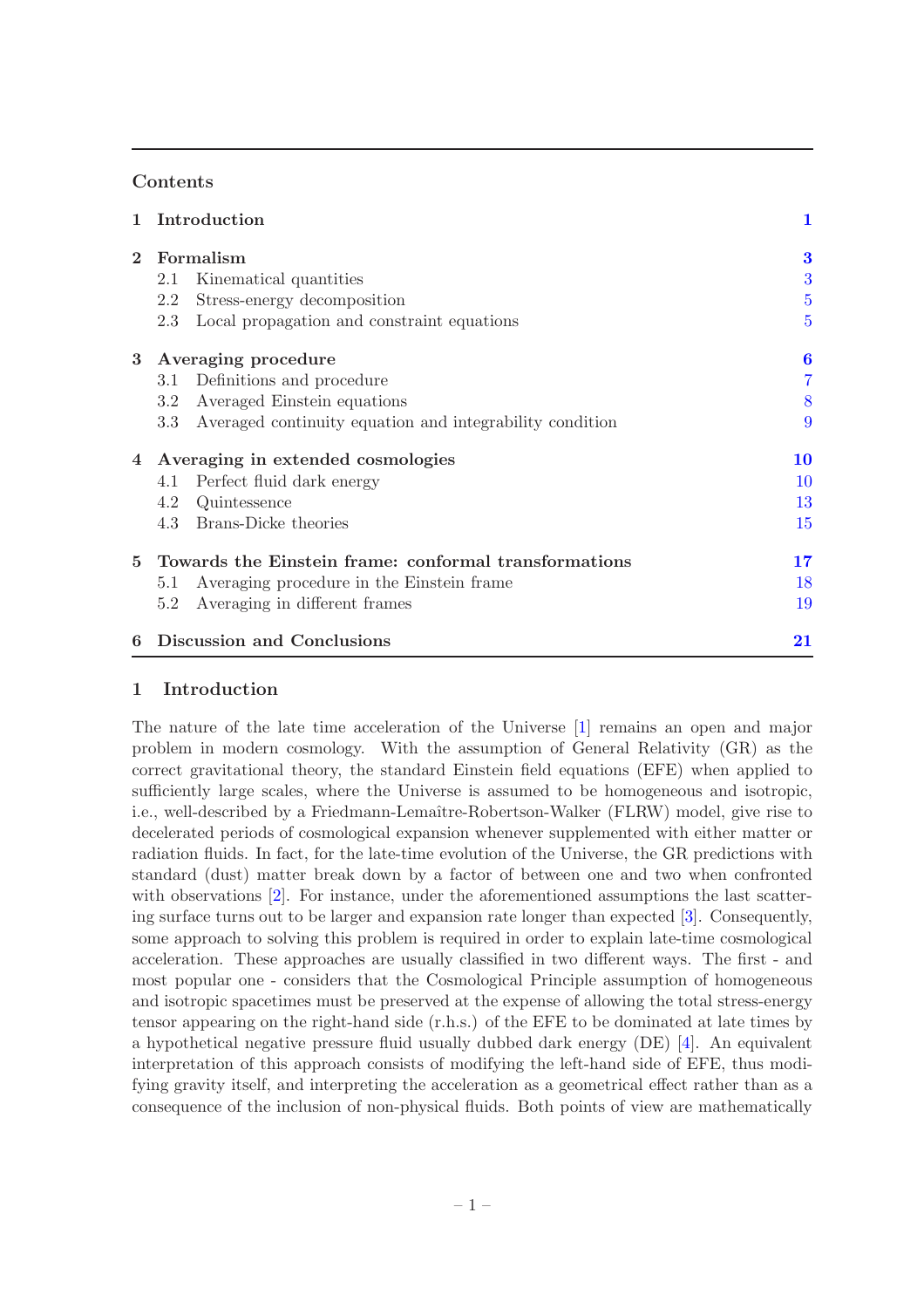# Contents

| $\mathbf{1}$   | Introduction                                                    | 1              |
|----------------|-----------------------------------------------------------------|----------------|
| $\overline{2}$ | Formalism                                                       | $\bf{3}$       |
|                | Kinematical quantities<br>2.1                                   | 3              |
|                | 2.2<br>Stress-energy decomposition                              | $\overline{5}$ |
|                | Local propagation and constraint equations<br>2.3               | $\overline{5}$ |
| 3 <sup>1</sup> | Averaging procedure                                             | 6              |
|                | Definitions and procedure<br>3.1                                | $\overline{7}$ |
|                | Averaged Einstein equations<br>$3.2\,$                          | 8              |
|                | Averaged continuity equation and integrability condition<br>3.3 | 9              |
| 4              | Averaging in extended cosmologies                               | 10             |
|                | Perfect fluid dark energy<br>4.1                                | 10             |
|                | Quintessence<br>4.2                                             | 13             |
|                | 4.3 Brans-Dicke theories                                        | 15             |
| 5              | Towards the Einstein frame: conformal transformations           | 17             |
|                | Averaging procedure in the Einstein frame<br>5.1                | 18             |
|                | Averaging in different frames<br>$5.2\,$                        | 19             |
| 6              | Discussion and Conclusions                                      | 21             |

# <span id="page-1-0"></span>1 Introduction

The nature of the late time acceleration of the Universe [\[1\]](#page-23-0) remains an open and major problem in modern cosmology. With the assumption of General Relativity (GR) as the correct gravitational theory, the standard Einstein field equations (EFE) when applied to sufficiently large scales, where the Universe is assumed to be homogeneous and isotropic, i.e., well-described by a Friedmann-Lemaître-Robertson-Walker (FLRW) model, give rise to decelerated periods of cosmological expansion whenever supplemented with either matter or radiation fluids. In fact, for the late-time evolution of the Universe, the GR predictions with standard (dust) matter break down by a factor of between one and two when confronted with observations [\[2](#page-23-1)]. For instance, under the aforementioned assumptions the last scattering surface turns out to be larger and expansion rate longer than expected [\[3](#page-23-2)]. Consequently, some approach to solving this problem is required in order to explain late-time cosmological acceleration. These approaches are usually classified in two different ways. The first - and most popular one - considers that the Cosmological Principle assumption of homogeneous and isotropic spacetimes must be preserved at the expense of allowing the total stress-energy tensor appearing on the right-hand side (r.h.s.) of the EFE to be dominated at late times by a hypothetical negative pressure fluid usually dubbed dark energy (DE) [\[4](#page-23-3)]. An equivalent interpretation of this approach consists of modifying the left-hand side of EFE, thus modifying gravity itself, and interpreting the acceleration as a geometrical effect rather than as a consequence of the inclusion of non-physical fluids. Both points of view are mathematically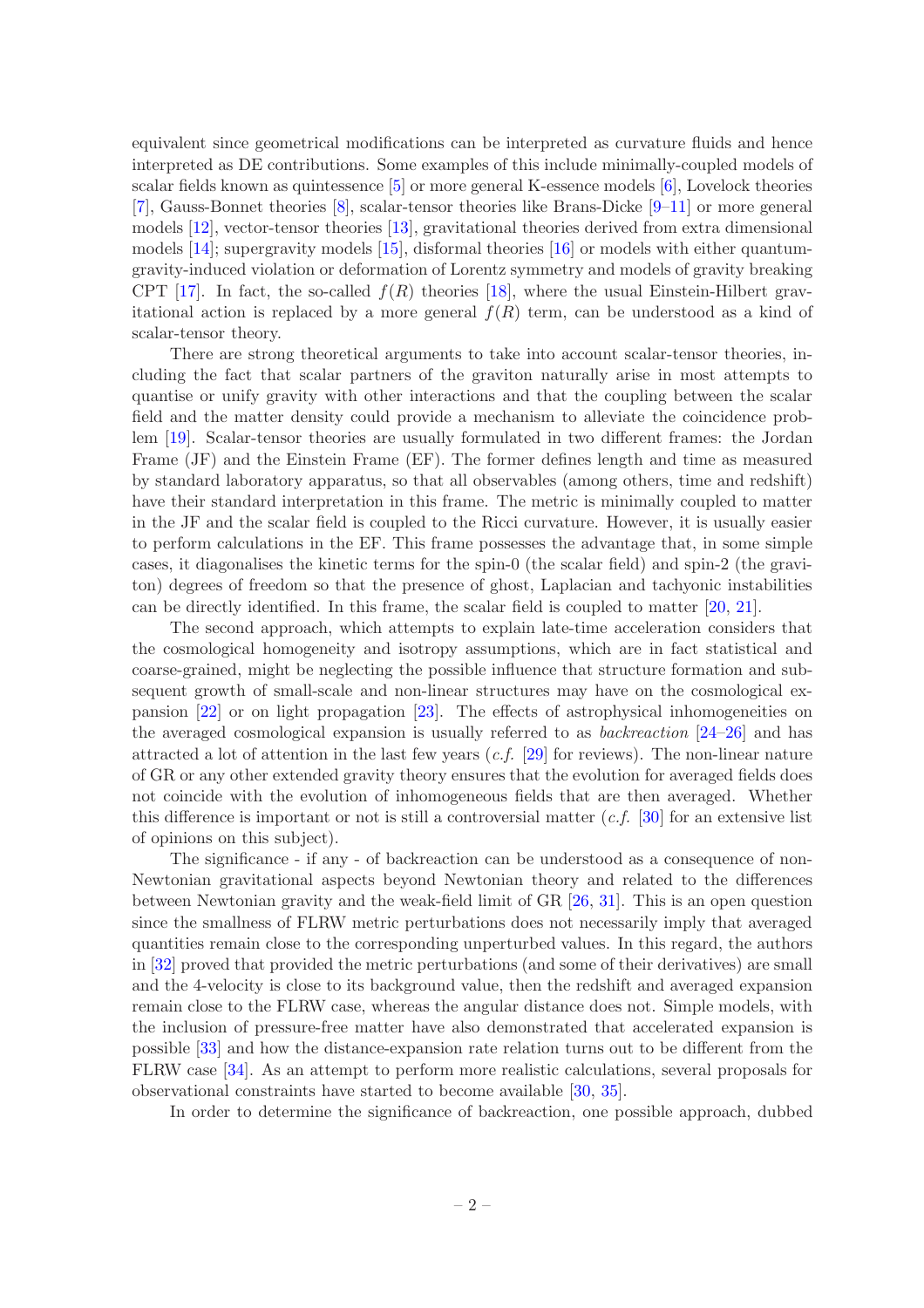equivalent since geometrical modifications can be interpreted as curvature fluids and hence interpreted as DE contributions. Some examples of this include minimally-coupled models of scalar fields known as quintessence [\[5](#page-23-4)] or more general K-essence models [\[6](#page-23-5)], Lovelock theories [\[7](#page-23-6)], Gauss-Bonnet theories [\[8](#page-23-7)], scalar-tensor theories like Brans-Dicke [\[9](#page-23-8)[–11](#page-23-9)] or more general models [\[12](#page-23-10)], vector-tensor theories [\[13](#page-23-11)], gravitational theories derived from extra dimensional models [\[14](#page-24-0)]; supergravity models [\[15\]](#page-24-1), disformal theories [\[16](#page-24-2)] or models with either quantumgravity-induced violation or deformation of Lorentz symmetry and models of gravity breaking CPT [\[17](#page-24-3)]. In fact, the so-called  $f(R)$  theories [\[18](#page-24-4)], where the usual Einstein-Hilbert gravitational action is replaced by a more general  $f(R)$  term, can be understood as a kind of scalar-tensor theory.

There are strong theoretical arguments to take into account scalar-tensor theories, including the fact that scalar partners of the graviton naturally arise in most attempts to quantise or unify gravity with other interactions and that the coupling between the scalar field and the matter density could provide a mechanism to alleviate the coincidence problem [\[19](#page-24-5)]. Scalar-tensor theories are usually formulated in two different frames: the Jordan Frame (JF) and the Einstein Frame (EF). The former defines length and time as measured by standard laboratory apparatus, so that all observables (among others, time and redshift) have their standard interpretation in this frame. The metric is minimally coupled to matter in the JF and the scalar field is coupled to the Ricci curvature. However, it is usually easier to perform calculations in the EF. This frame possesses the advantage that, in some simple cases, it diagonalises the kinetic terms for the spin-0 (the scalar field) and spin-2 (the graviton) degrees of freedom so that the presence of ghost, Laplacian and tachyonic instabilities can be directly identified. In this frame, the scalar field is coupled to matter [\[20](#page-24-6), [21\]](#page-24-7).

The second approach, which attempts to explain late-time acceleration considers that the cosmological homogeneity and isotropy assumptions, which are in fact statistical and coarse-grained, might be neglecting the possible influence that structure formation and subsequent growth of small-scale and non-linear structures may have on the cosmological expansion [\[22\]](#page-24-8) or on light propagation [\[23\]](#page-24-9). The effects of astrophysical inhomogeneities on the averaged cosmological expansion is usually referred to as *backreaction*  $[24-26]$  $[24-26]$  and has attracted a lot of attention in the last few years  $(c.f. \, [29]$  $(c.f. \, [29]$  $(c.f. \, [29]$  for reviews). The non-linear nature of GR or any other extended gravity theory ensures that the evolution for averaged fields does not coincide with the evolution of inhomogeneous fields that are then averaged. Whether this difference is important or not is still a controversial matter  $(c.f. 30)$  for an extensive list of opinions on this subject).

The significance - if any - of backreaction can be understood as a consequence of non-Newtonian gravitational aspects beyond Newtonian theory and related to the differences between Newtonian gravity and the weak-field limit of GR [\[26](#page-25-1), [31\]](#page-25-4). This is an open question since the smallness of FLRW metric perturbations does not necessarily imply that averaged quantities remain close to the corresponding unperturbed values. In this regard, the authors in [\[32\]](#page-25-5) proved that provided the metric perturbations (and some of their derivatives) are small and the 4-velocity is close to its background value, then the redshift and averaged expansion remain close to the FLRW case, whereas the angular distance does not. Simple models, with the inclusion of pressure-free matter have also demonstrated that accelerated expansion is possible [\[33\]](#page-25-6) and how the distance-expansion rate relation turns out to be different from the FLRW case [\[34](#page-25-7)]. As an attempt to perform more realistic calculations, several proposals for observational constraints have started to become available [\[30](#page-25-3), [35](#page-25-8)].

In order to determine the significance of backreaction, one possible approach, dubbed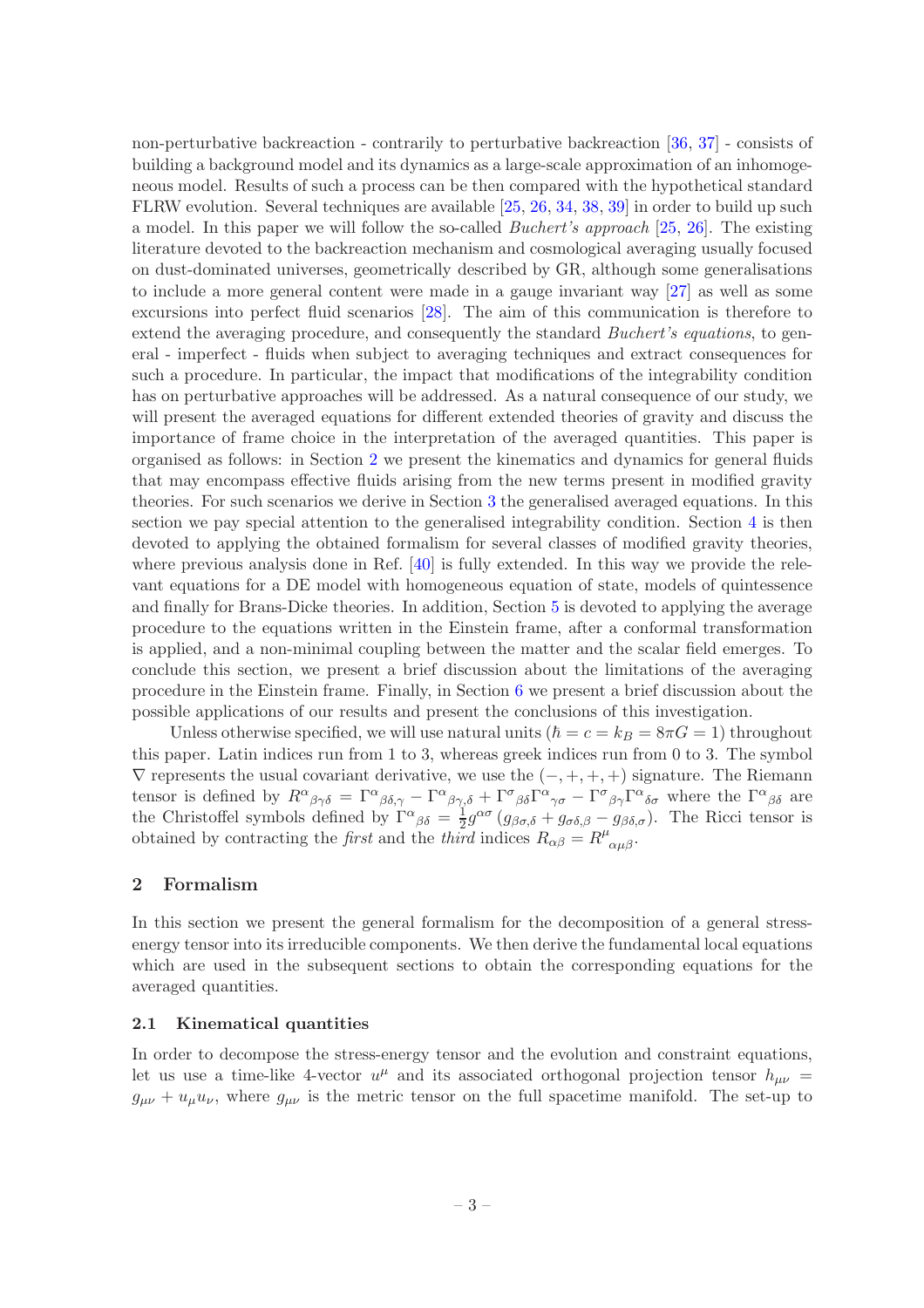non-perturbative backreaction - contrarily to perturbative backreaction [\[36](#page-25-9), [37](#page-25-10)] - consists of building a background model and its dynamics as a large-scale approximation of an inhomogeneous model. Results of such a process can be then compared with the hypothetical standard FLRW evolution. Several techniques are available [\[25](#page-25-11), [26](#page-25-1), [34](#page-25-7), [38,](#page-25-12) [39](#page-25-13)] in order to build up such a model. In this paper we will follow the so-called *Buchert's approach* [\[25,](#page-25-11) [26](#page-25-1)]. The existing literature devoted to the backreaction mechanism and cosmological averaging usually focused on dust-dominated universes, geometrically described by GR, although some generalisations to include a more general content were made in a gauge invariant way [\[27](#page-25-14)] as well as some excursions into perfect fluid scenarios [\[28\]](#page-25-15). The aim of this communication is therefore to extend the averaging procedure, and consequently the standard *Buchert's equations*, to general - imperfect - fluids when subject to averaging techniques and extract consequences for such a procedure. In particular, the impact that modifications of the integrability condition has on perturbative approaches will be addressed. As a natural consequence of our study, we will present the averaged equations for different extended theories of gravity and discuss the importance of frame choice in the interpretation of the averaged quantities. This paper is organised as follows: in Section [2](#page-3-0) we present the kinematics and dynamics for general fluids that may encompass effective fluids arising from the new terms present in modified gravity theories. For such scenarios we derive in Section [3](#page-6-0) the generalised averaged equations. In this section we pay special attention to the generalised integrability condition. Section [4](#page-10-0) is then devoted to applying the obtained formalism for several classes of modified gravity theories, where previous analysis done in Ref. [\[40](#page-25-16)] is fully extended. In this way we provide the relevant equations for a DE model with homogeneous equation of state, models of quintessence and finally for Brans-Dicke theories. In addition, Section [5](#page-17-0) is devoted to applying the average procedure to the equations written in the Einstein frame, after a conformal transformation is applied, and a non-minimal coupling between the matter and the scalar field emerges. To conclude this section, we present a brief discussion about the limitations of the averaging procedure in the Einstein frame. Finally, in Section [6](#page-21-0) we present a brief discussion about the possible applications of our results and present the conclusions of this investigation.

Unless otherwise specified, we will use natural units  $(\hbar = c = k_B = 8\pi G = 1)$  throughout this paper. Latin indices run from 1 to 3, whereas greek indices run from 0 to 3. The symbol  $\nabla$  represents the usual covariant derivative, we use the  $(-, +, +, +)$  signature. The Riemann tensor is defined by  $R^{\alpha}{}_{\beta\gamma\delta} = \Gamma^{\alpha}{}_{\beta\delta,\gamma} - \Gamma^{\alpha}{}_{\beta\gamma\delta} + \Gamma^{\sigma}{}_{\beta\delta}\Gamma^{\alpha}{}_{\gamma\sigma} - \Gamma^{\sigma}{}_{\beta\gamma}\Gamma^{\alpha}{}_{\delta\sigma}$  where the  $\Gamma^{\alpha}{}_{\beta\delta}$  are the Christoffel symbols defined by  $\Gamma^{\alpha}{}_{\beta\delta} = \frac{1}{2}g^{\alpha\sigma}(g_{\beta\sigma,\delta} + g_{\sigma\delta,\beta} - g_{\beta\delta,\sigma})$ . The Ricci tensor is obtained by contracting the *first* and the *third* indices  $R_{\alpha\beta} = R^{\mu}{}_{\alpha\mu\beta}$ .

# <span id="page-3-0"></span>2 Formalism

In this section we present the general formalism for the decomposition of a general stressenergy tensor into its irreducible components. We then derive the fundamental local equations which are used in the subsequent sections to obtain the corresponding equations for the averaged quantities.

#### <span id="page-3-1"></span>2.1 Kinematical quantities

In order to decompose the stress-energy tensor and the evolution and constraint equations, let us use a time-like 4-vector  $u^{\mu}$  and its associated orthogonal projection tensor  $h_{\mu\nu}$  =  $g_{\mu\nu} + u_{\mu}u_{\nu}$ , where  $g_{\mu\nu}$  is the metric tensor on the full spacetime manifold. The set-up to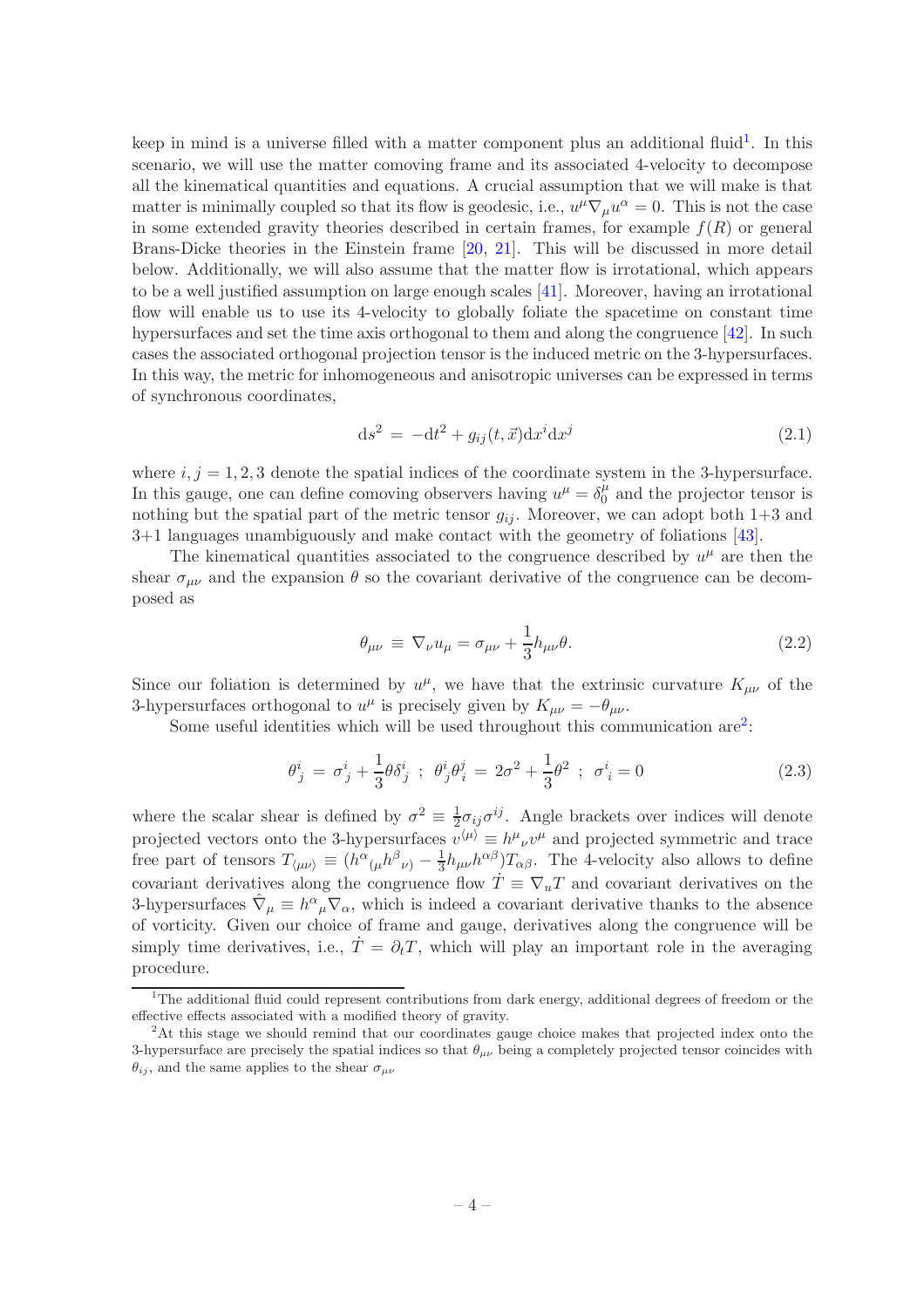keep in mind is a universe filled with a matter component plus an additional fluid<sup>[1](#page-4-0)</sup>. In this scenario, we will use the matter comoving frame and its associated 4-velocity to decompose all the kinematical quantities and equations. A crucial assumption that we will make is that matter is minimally coupled so that its flow is geodesic, i.e.,  $u^{\mu} \nabla_{\mu} u^{\alpha} = 0$ . This is not the case in some extended gravity theories described in certain frames, for example  $f(R)$  or general Brans-Dicke theories in the Einstein frame [\[20](#page-24-6), [21\]](#page-24-7). This will be discussed in more detail below. Additionally, we will also assume that the matter flow is irrotational, which appears to be a well justified assumption on large enough scales [\[41](#page-25-17)]. Moreover, having an irrotational flow will enable us to use its 4-velocity to globally foliate the spacetime on constant time hypersurfaces and set the time axis orthogonal to them and along the congruence [\[42](#page-25-18)]. In such cases the associated orthogonal projection tensor is the induced metric on the 3-hypersurfaces. In this way, the metric for inhomogeneous and anisotropic universes can be expressed in terms of synchronous coordinates,

$$
\mathrm{d}s^2 = -\mathrm{d}t^2 + g_{ij}(t, \vec{x})\mathrm{d}x^i \mathrm{d}x^j \tag{2.1}
$$

where  $i, j = 1, 2, 3$  denote the spatial indices of the coordinate system in the 3-hypersurface. In this gauge, one can define comoving observers having  $u^{\mu} = \delta_0^{\mu}$  $\frac{\mu}{0}$  and the projector tensor is nothing but the spatial part of the metric tensor  $g_{ij}$ . Moreover, we can adopt both  $1+3$  and 3+1 languages unambiguously and make contact with the geometry of foliations [\[43\]](#page-25-19).

The kinematical quantities associated to the congruence described by  $u^{\mu}$  are then the shear  $\sigma_{\mu\nu}$  and the expansion  $\theta$  so the covariant derivative of the congruence can be decomposed as

$$
\theta_{\mu\nu} \equiv \nabla_{\nu} u_{\mu} = \sigma_{\mu\nu} + \frac{1}{3} h_{\mu\nu} \theta. \tag{2.2}
$$

Since our foliation is determined by  $u^{\mu}$ , we have that the extrinsic curvature  $K_{\mu\nu}$  of the 3-hypersurfaces orthogonal to  $u^{\mu}$  is precisely given by  $K_{\mu\nu} = -\theta_{\mu\nu}$ .

Some useful identities which will be used throughout this communication  $are^2$  $are^2$ :

<span id="page-4-2"></span>
$$
\theta^i_j = \sigma^i_j + \frac{1}{3} \theta \delta^i_j \; ; \; \theta^i_j \theta^j_i = 2\sigma^2 + \frac{1}{3} \theta^2 \; ; \; \sigma^i_i = 0 \tag{2.3}
$$

where the scalar shear is defined by  $\sigma^2 \equiv \frac{1}{2} \sigma_{ij} \sigma^{ij}$ . Angle brackets over indices will denote projected vectors onto the 3-hypersurfaces  $v^{(\mu)} \equiv h^{\mu}{}_{\nu}v^{\mu}$  and projected symmetric and trace free part of tensors  $T_{\langle\mu\nu\rangle} \equiv (h^{\alpha}{}_{(\mu}h^{\beta}{}_{\nu)} - \frac{1}{3})$  $\frac{1}{3}h_{\mu\nu}h^{\alpha\beta}$ ) $T_{\alpha\beta}$ . The 4-velocity also allows to define covariant derivatives along the congruence flow  $\dot{T} \equiv \nabla_u T$  and covariant derivatives on the 3-hypersurfaces  $\hat{\nabla}_{\mu} \equiv h^{\alpha}{}_{\mu} \nabla_{\alpha}$ , which is indeed a covariant derivative thanks to the absence of vorticity. Given our choice of frame and gauge, derivatives along the congruence will be simply time derivatives, i.e.,  $\dot{T} = \partial_t T$ , which will play an important role in the averaging procedure.

<span id="page-4-0"></span><sup>&</sup>lt;sup>1</sup>The additional fluid could represent contributions from dark energy, additional degrees of freedom or the effective effects associated with a modified theory of gravity.

<span id="page-4-1"></span><sup>&</sup>lt;sup>2</sup>At this stage we should remind that our coordinates gauge choice makes that projected index onto the 3-hypersurface are precisely the spatial indices so that  $\theta_{\mu\nu}$  being a completely projected tensor coincides with  $\theta_{ij}$ , and the same applies to the shear  $\sigma_{\mu\nu}$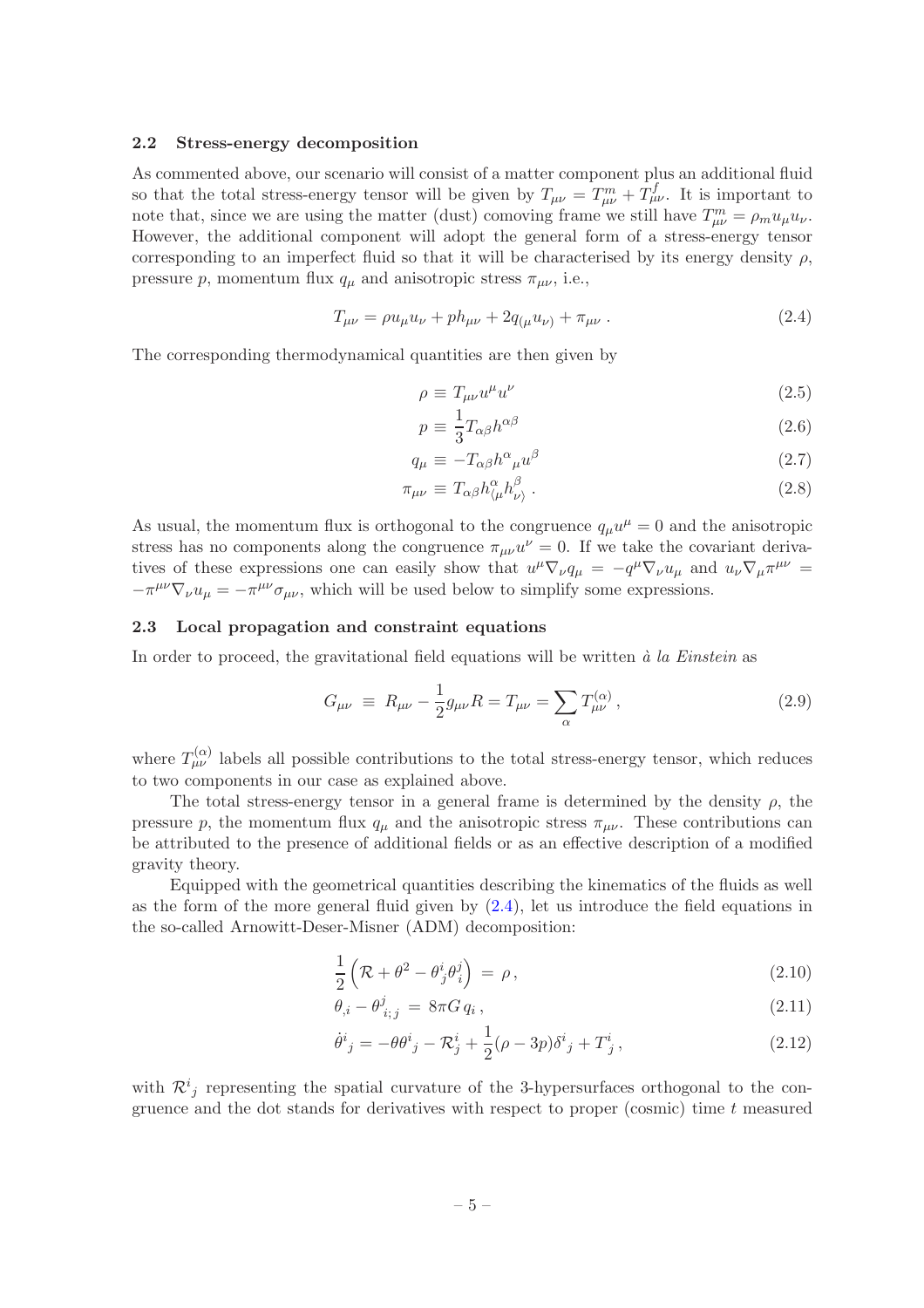# <span id="page-5-0"></span>2.2 Stress-energy decomposition

As commented above, our scenario will consist of a matter component plus an additional fluid so that the total stress-energy tensor will be given by  $T_{\mu\nu} = T_{\mu\nu}^m + T_{\mu\nu}^f$ . It is important to note that, since we are using the matter (dust) comoving frame we still have  $T_{\mu\nu}^m = \rho_m u_\mu u_\nu$ . However, the additional component will adopt the general form of a stress-energy tensor corresponding to an imperfect fluid so that it will be characterised by its energy density  $\rho$ , pressure p, momentum flux  $q_u$  and anisotropic stress  $\pi_{\mu\nu}$ , i.e.,

<span id="page-5-2"></span>
$$
T_{\mu\nu} = \rho u_{\mu} u_{\nu} + p h_{\mu\nu} + 2q_{(\mu} u_{\nu)} + \pi_{\mu\nu} . \tag{2.4}
$$

The corresponding thermodynamical quantities are then given by

$$
\rho \equiv T_{\mu\nu}u^{\mu}u^{\nu} \tag{2.5}
$$

$$
p \equiv \frac{1}{3} T_{\alpha\beta} h^{\alpha\beta} \tag{2.6}
$$

$$
q_{\mu} \equiv -T_{\alpha\beta}h^{\alpha}{}_{\mu}u^{\beta} \tag{2.7}
$$

$$
\pi_{\mu\nu} \equiv T_{\alpha\beta} h^{\alpha}_{\langle\mu} h^{\beta}_{\nu\rangle} \,. \tag{2.8}
$$

As usual, the momentum flux is orthogonal to the congruence  $q_{\mu}u^{\mu} = 0$  and the anisotropic stress has no components along the congruence  $\pi_{\mu\nu}u^{\nu} = 0$ . If we take the covariant derivatives of these expressions one can easily show that  $u^{\mu} \nabla_{\nu} q_{\mu} = -q^{\mu} \nabla_{\nu} u_{\mu}$  and  $u_{\nu} \nabla_{\mu} \pi^{\mu\nu} =$  $-\pi^{\mu\nu}\nabla_{\nu}u_{\mu} = -\pi^{\mu\nu}\sigma_{\mu\nu}$ , which will be used below to simplify some expressions.

#### <span id="page-5-1"></span>2.3 Local propagation and constraint equations

In order to proceed, the gravitational field equations will be written  $\dot{a}$  la Einstein as

$$
G_{\mu\nu} \equiv R_{\mu\nu} - \frac{1}{2} g_{\mu\nu} R = T_{\mu\nu} = \sum_{\alpha} T_{\mu\nu}^{(\alpha)}, \qquad (2.9)
$$

where  $T_{\mu\nu}^{(\alpha)}$  labels all possible contributions to the total stress-energy tensor, which reduces to two components in our case as explained above.

The total stress-energy tensor in a general frame is determined by the density  $\rho$ , the pressure p, the momentum flux  $q_{\mu}$  and the anisotropic stress  $\pi_{\mu\nu}$ . These contributions can be attributed to the presence of additional fields or as an effective description of a modified gravity theory.

Equipped with the geometrical quantities describing the kinematics of the fluids as well as the form of the more general fluid given by  $(2.4)$ , let us introduce the field equations in the so-called Arnowitt-Deser-Misner (ADM) decomposition:

<span id="page-5-3"></span>
$$
\frac{1}{2}\left(\mathcal{R} + \theta^2 - \theta_j^i \theta_i^j\right) = \rho, \qquad (2.10)
$$

$$
\theta_{,i} - \theta_{i;j}^j = 8\pi G q_i, \qquad (2.11)
$$

$$
\dot{\theta}^{i}{}_{j} = -\theta \theta^{i}{}_{j} - \mathcal{R}^{i}{}_{j} + \frac{1}{2} (\rho - 3p) \delta^{i}{}_{j} + T^{i}{}_{j} , \qquad (2.12)
$$

with  $\mathcal{R}^{i}{}_{j}$  representing the spatial curvature of the 3-hypersurfaces orthogonal to the congruence and the dot stands for derivatives with respect to proper (cosmic) time  $t$  measured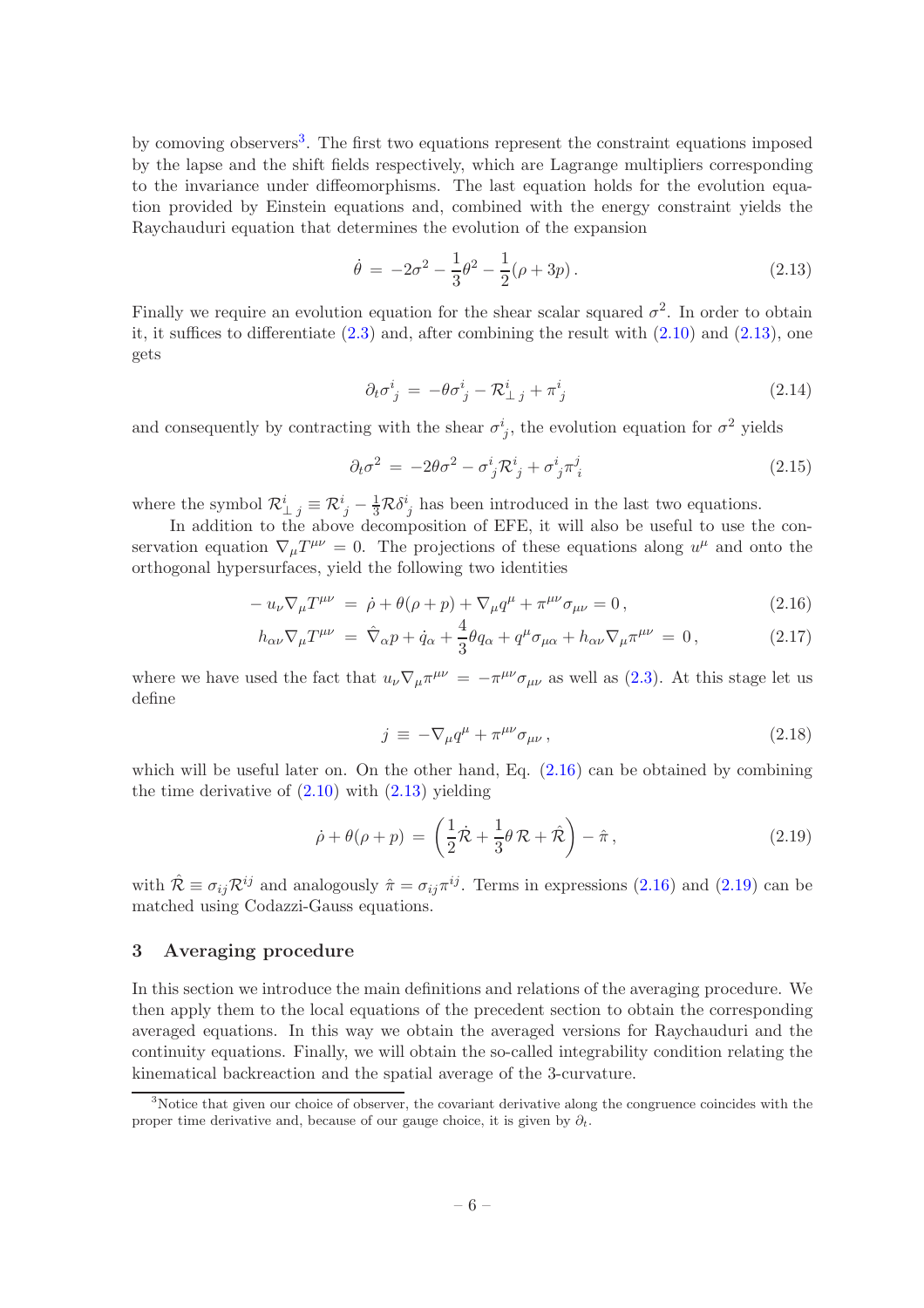by comoving observers<sup>[3](#page-6-1)</sup>. The first two equations represent the constraint equations imposed by the lapse and the shift fields respectively, which are Lagrange multipliers corresponding to the invariance under diffeomorphisms. The last equation holds for the evolution equation provided by Einstein equations and, combined with the energy constraint yields the Raychauduri equation that determines the evolution of the expansion

<span id="page-6-2"></span>
$$
\dot{\theta} = -2\sigma^2 - \frac{1}{3}\theta^2 - \frac{1}{2}(\rho + 3p). \tag{2.13}
$$

Finally we require an evolution equation for the shear scalar squared  $\sigma^2$ . In order to obtain it, it suffices to differentiate  $(2.3)$  and, after combining the result with  $(2.10)$  and  $(2.13)$ , one gets

$$
\partial_t \sigma^i_j = -\theta \sigma^i_j - \mathcal{R}^i_{\perp j} + \pi^i_j \tag{2.14}
$$

and consequently by contracting with the shear  $\sigma_j^i$ , the evolution equation for  $\sigma^2$  yields

$$
\partial_t \sigma^2 = -2\theta \sigma^2 - \sigma^i_j \mathcal{R}^i_j + \sigma^i_j \pi^j_i \tag{2.15}
$$

where the symbol  $\mathcal{R}_{\perp}^i_j \equiv \mathcal{R}_j^i - \frac{1}{3} \mathcal{R} \delta_j^i$  has been introduced in the last two equations.

In addition to the above decomposition of EFE, it will also be useful to use the conservation equation  $\nabla_{\mu}T^{\mu\nu} = 0$ . The projections of these equations along  $u^{\mu}$  and onto the orthogonal hypersurfaces, yield the following two identities

<span id="page-6-3"></span>
$$
-u_{\nu}\nabla_{\mu}T^{\mu\nu} = \dot{\rho} + \theta(\rho + p) + \nabla_{\mu}q^{\mu} + \pi^{\mu\nu}\sigma_{\mu\nu} = 0, \qquad (2.16)
$$

$$
h_{\alpha\nu}\nabla_{\mu}T^{\mu\nu} = \hat{\nabla}_{\alpha}p + \dot{q}_{\alpha} + \frac{4}{3}\theta q_{\alpha} + q^{\mu}\sigma_{\mu\alpha} + h_{\alpha\nu}\nabla_{\mu}\pi^{\mu\nu} = 0, \qquad (2.17)
$$

where we have used the fact that  $u_{\nu} \nabla_{\mu} \pi^{\mu\nu} = -\pi^{\mu\nu} \sigma_{\mu\nu}$  as well as [\(2.3\)](#page-4-2). At this stage let us define

<span id="page-6-5"></span>
$$
j \equiv -\nabla_{\mu}q^{\mu} + \pi^{\mu\nu}\sigma_{\mu\nu}, \qquad (2.18)
$$

which will be useful later on. On the other hand, Eq.  $(2.16)$  can be obtained by combining the time derivative of  $(2.10)$  with  $(2.13)$  yielding

<span id="page-6-4"></span>
$$
\dot{\rho} + \theta(\rho + p) = \left(\frac{1}{2}\dot{\mathcal{R}} + \frac{1}{3}\theta\mathcal{R} + \hat{\mathcal{R}}\right) - \hat{\pi},\tag{2.19}
$$

with  $\hat{\mathcal{R}} \equiv \sigma_{ij} \mathcal{R}^{ij}$  and analogously  $\hat{\pi} = \sigma_{ij} \pi^{ij}$ . Terms in expressions [\(2.16\)](#page-6-3) and [\(2.19\)](#page-6-4) can be matched using Codazzi-Gauss equations.

# <span id="page-6-0"></span>3 Averaging procedure

In this section we introduce the main definitions and relations of the averaging procedure. We then apply them to the local equations of the precedent section to obtain the corresponding averaged equations. In this way we obtain the averaged versions for Raychauduri and the continuity equations. Finally, we will obtain the so-called integrability condition relating the kinematical backreaction and the spatial average of the 3-curvature.

<span id="page-6-1"></span><sup>&</sup>lt;sup>3</sup>Notice that given our choice of observer, the covariant derivative along the congruence coincides with the proper time derivative and, because of our gauge choice, it is given by  $\partial_t$ .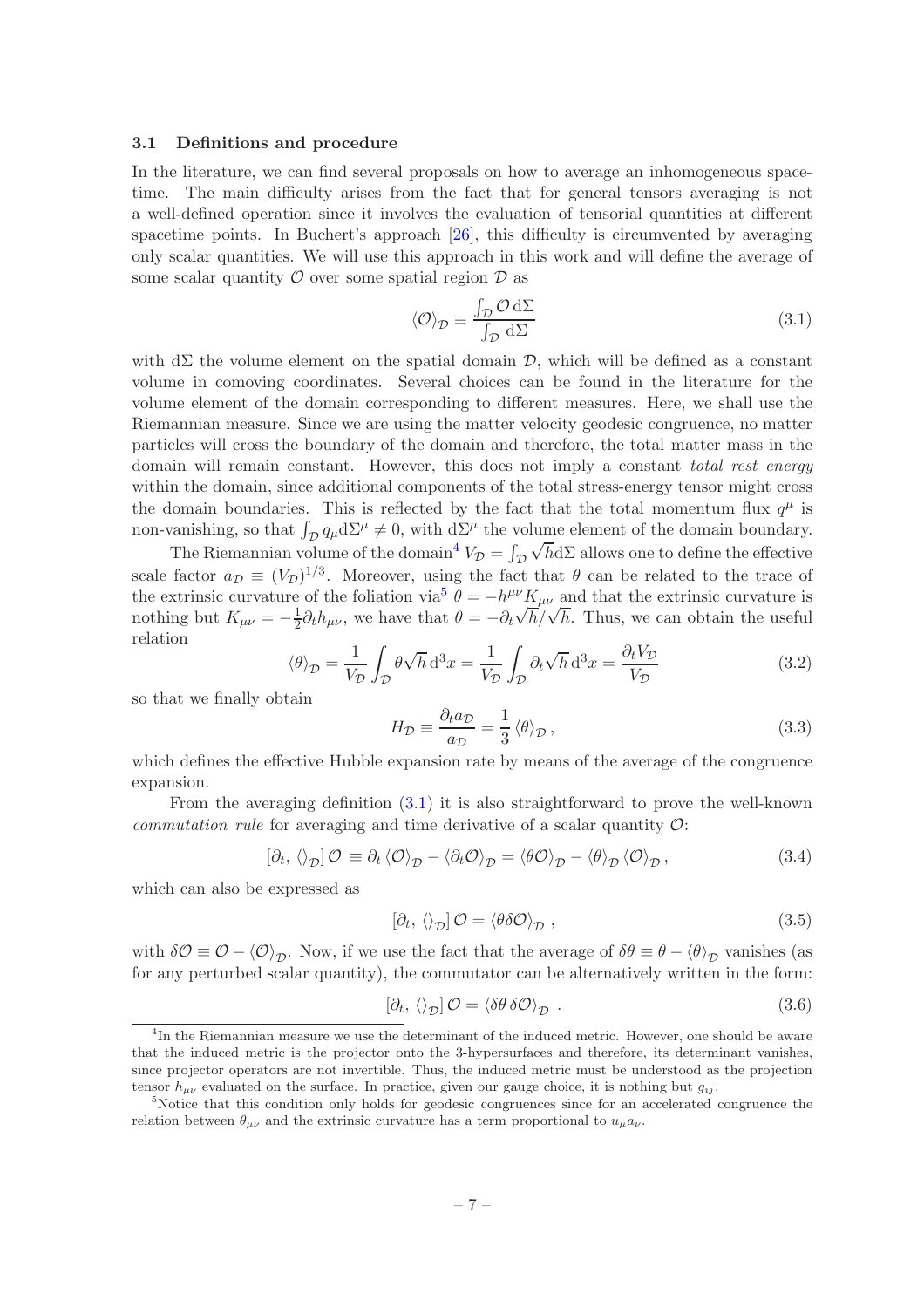# <span id="page-7-0"></span>3.1 Definitions and procedure

In the literature, we can find several proposals on how to average an inhomogeneous spacetime. The main difficulty arises from the fact that for general tensors averaging is not a well-defined operation since it involves the evaluation of tensorial quantities at different spacetime points. In Buchert's approach [\[26\]](#page-25-1), this difficulty is circumvented by averaging only scalar quantities. We will use this approach in this work and will define the average of some scalar quantity  $\mathcal O$  over some spatial region  $\mathcal D$  as

<span id="page-7-3"></span>
$$
\langle \mathcal{O} \rangle_{\mathcal{D}} \equiv \frac{\int_{\mathcal{D}} \mathcal{O} \, \mathrm{d}\Sigma}{\int_{\mathcal{D}} \, \mathrm{d}\Sigma} \tag{3.1}
$$

with  $d\Sigma$  the volume element on the spatial domain  $D$ , which will be defined as a constant volume in comoving coordinates. Several choices can be found in the literature for the volume element of the domain corresponding to different measures. Here, we shall use the Riemannian measure. Since we are using the matter velocity geodesic congruence, no matter particles will cross the boundary of the domain and therefore, the total matter mass in the domain will remain constant. However, this does not imply a constant *total rest energy* within the domain, since additional components of the total stress-energy tensor might cross the domain boundaries. This is reflected by the fact that the total momentum flux  $q^{\mu}$  is non-vanishing, so that  $\int_{\mathcal{D}} q_{\mu} d\Sigma^{\mu} \neq 0$ , with  $d\Sigma^{\mu}$  the volume element of the domain boundary.

The Riemannian volume of the domain<sup>[4](#page-7-1)</sup>  $V_{\mathcal{D}} = \int_{\mathcal{D}} \sqrt{h} d\Sigma$  allows one to define the effective scale factor  $a_{\mathcal{D}} \equiv (V_{\mathcal{D}})^{1/3}$ . Moreover, using the fact that  $\theta$  can be related to the trace of the extrinsic curvature of the foliation via<sup>[5](#page-7-2)</sup>  $\theta = -h^{\mu\nu}K_{\mu\nu}$  and that the extrinsic curvature is nothing but  $K_{\mu\nu} = -\frac{1}{2}\partial_t h_{\mu\nu}$ , we have that  $\theta = -\partial_t \sqrt{h}/\sqrt{h}$ . Thus, we can obtain the useful relation

$$
\langle \theta \rangle_{\mathcal{D}} = \frac{1}{V_{\mathcal{D}}} \int_{\mathcal{D}} \theta \sqrt{h} \, \mathrm{d}^3 x = \frac{1}{V_{\mathcal{D}}} \int_{\mathcal{D}} \partial_t \sqrt{h} \, \mathrm{d}^3 x = \frac{\partial_t V_{\mathcal{D}}}{V_{\mathcal{D}}} \tag{3.2}
$$

so that we finally obtain

$$
H_{\mathcal{D}} \equiv \frac{\partial_t a_{\mathcal{D}}}{a_{\mathcal{D}}} = \frac{1}{3} \langle \theta \rangle_{\mathcal{D}},\tag{3.3}
$$

which defines the effective Hubble expansion rate by means of the average of the congruence expansion.

From the averaging definition [\(3.1\)](#page-7-3) it is also straightforward to prove the well-known *commutation rule* for averaging and time derivative of a scalar quantity  $\mathcal{O}$ :

<span id="page-7-4"></span>
$$
[\partial_t, \langle \rangle_{\mathcal{D}}] \mathcal{O} \equiv \partial_t \langle \mathcal{O} \rangle_{\mathcal{D}} - \langle \partial_t \mathcal{O} \rangle_{\mathcal{D}} = \langle \theta \mathcal{O} \rangle_{\mathcal{D}} - \langle \theta \rangle_{\mathcal{D}} \langle \mathcal{O} \rangle_{\mathcal{D}}, \tag{3.4}
$$

which can also be expressed as

$$
[\partial_t, \langle \rangle_{\mathcal{D}}] \mathcal{O} = \langle \theta \delta \mathcal{O} \rangle_{\mathcal{D}} , \qquad (3.5)
$$

with  $\delta \mathcal{O} \equiv \mathcal{O} - \langle \mathcal{O} \rangle_{\mathcal{D}}$ . Now, if we use the fact that the average of  $\delta \theta \equiv \theta - \langle \theta \rangle_{\mathcal{D}}$  vanishes (as for any perturbed scalar quantity), the commutator can be alternatively written in the form:

$$
[\partial_t, \langle \rangle_{\mathcal{D}}] \mathcal{O} = \langle \delta \theta \, \delta \mathcal{O} \rangle_{\mathcal{D}} \tag{3.6}
$$

<span id="page-7-1"></span><sup>&</sup>lt;sup>4</sup>In the Riemannian measure we use the determinant of the induced metric. However, one should be aware that the induced metric is the projector onto the 3-hypersurfaces and therefore, its determinant vanishes, since projector operators are not invertible. Thus, the induced metric must be understood as the projection tensor  $h_{\mu\nu}$  evaluated on the surface. In practice, given our gauge choice, it is nothing but  $g_{ij}$ .

<span id="page-7-2"></span><sup>5</sup>Notice that this condition only holds for geodesic congruences since for an accelerated congruence the relation between  $\theta_{\mu\nu}$  and the extrinsic curvature has a term proportional to  $u_{\mu}a_{\nu}$ .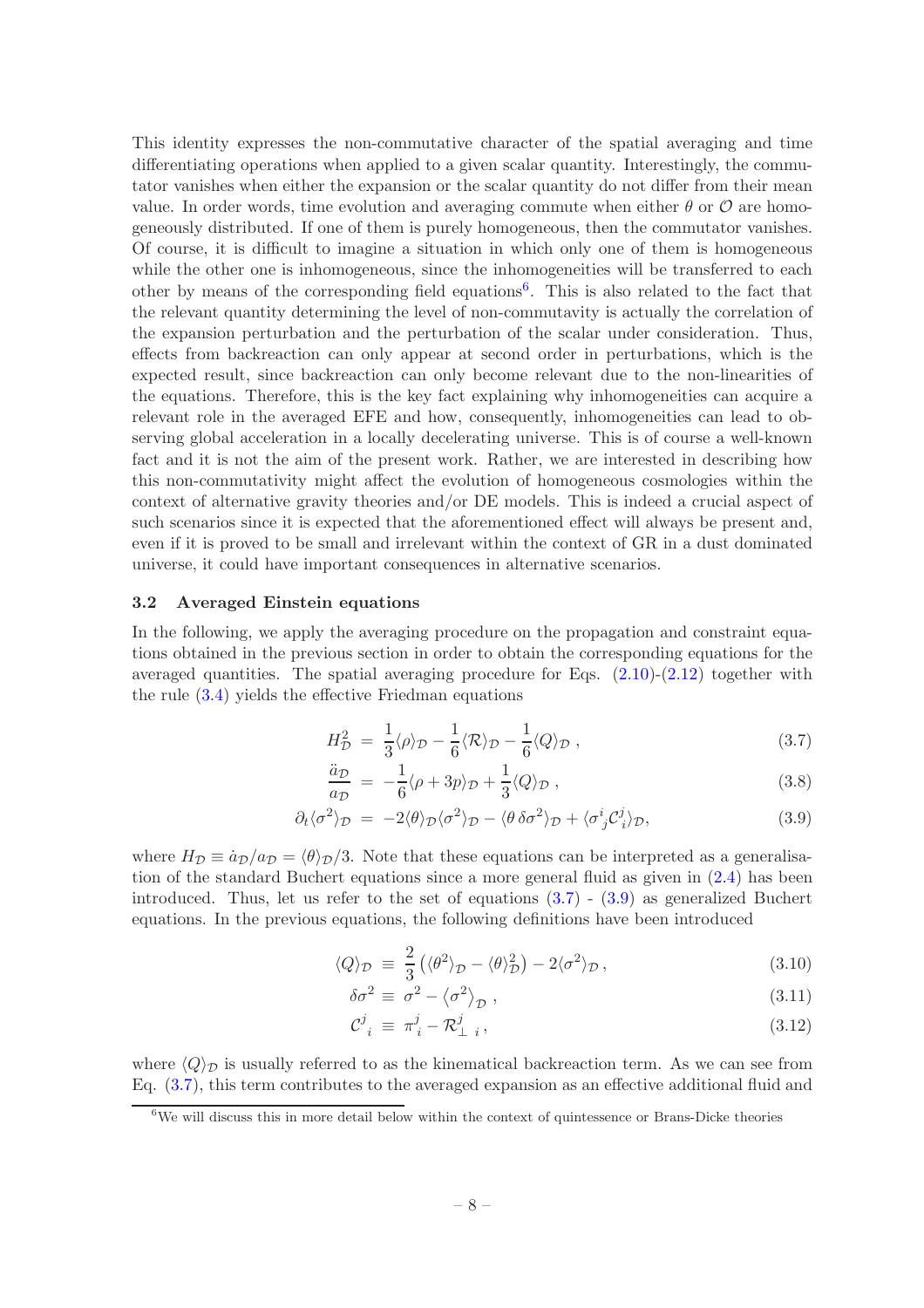This identity expresses the non-commutative character of the spatial averaging and time differentiating operations when applied to a given scalar quantity. Interestingly, the commutator vanishes when either the expansion or the scalar quantity do not differ from their mean value. In order words, time evolution and averaging commute when either  $\theta$  or  $\mathcal O$  are homogeneously distributed. If one of them is purely homogeneous, then the commutator vanishes. Of course, it is difficult to imagine a situation in which only one of them is homogeneous while the other one is inhomogeneous, since the inhomogeneities will be transferred to each other by means of the corresponding field equations<sup>[6](#page-8-1)</sup>. This is also related to the fact that the relevant quantity determining the level of non-commutavity is actually the correlation of the expansion perturbation and the perturbation of the scalar under consideration. Thus, effects from backreaction can only appear at second order in perturbations, which is the expected result, since backreaction can only become relevant due to the non-linearities of the equations. Therefore, this is the key fact explaining why inhomogeneities can acquire a relevant role in the averaged EFE and how, consequently, inhomogeneities can lead to observing global acceleration in a locally decelerating universe. This is of course a well-known fact and it is not the aim of the present work. Rather, we are interested in describing how this non-commutativity might affect the evolution of homogeneous cosmologies within the context of alternative gravity theories and/or DE models. This is indeed a crucial aspect of such scenarios since it is expected that the aforementioned effect will always be present and, even if it is proved to be small and irrelevant within the context of GR in a dust dominated universe, it could have important consequences in alternative scenarios.

# <span id="page-8-0"></span>3.2 Averaged Einstein equations

In the following, we apply the averaging procedure on the propagation and constraint equations obtained in the previous section in order to obtain the corresponding equations for the averaged quantities. The spatial averaging procedure for Eqs.  $(2.10)-(2.12)$  $(2.10)-(2.12)$  together with the rule [\(3.4\)](#page-7-4) yields the effective Friedman equations

<span id="page-8-2"></span>
$$
H_{\mathcal{D}}^2 = \frac{1}{3} \langle \rho \rangle_{\mathcal{D}} - \frac{1}{6} \langle \mathcal{R} \rangle_{\mathcal{D}} - \frac{1}{6} \langle Q \rangle_{\mathcal{D}} , \qquad (3.7)
$$

$$
\frac{\ddot{a}_{\mathcal{D}}}{a_{\mathcal{D}}} = -\frac{1}{6}\langle \rho + 3p \rangle_{\mathcal{D}} + \frac{1}{3}\langle Q \rangle_{\mathcal{D}} , \qquad (3.8)
$$

$$
\partial_t \langle \sigma^2 \rangle_{\mathcal{D}} = -2 \langle \theta \rangle_{\mathcal{D}} \langle \sigma^2 \rangle_{\mathcal{D}} - \langle \theta \, \delta \sigma^2 \rangle_{\mathcal{D}} + \langle \sigma^i_j \mathcal{C}^j_i \rangle_{\mathcal{D}}, \tag{3.9}
$$

where  $H_{\mathcal{D}} \equiv \dot{a}_{\mathcal{D}}/a_{\mathcal{D}} = \langle \theta \rangle_{\mathcal{D}}/3$ . Note that these equations can be interpreted as a generalisation of the standard Buchert equations since a more general fluid as given in [\(2.4\)](#page-5-2) has been introduced. Thus, let us refer to the set of equations [\(3.7\)](#page-8-2) - [\(3.9\)](#page-8-2) as generalized Buchert equations. In the previous equations, the following definitions have been introduced

$$
\langle Q \rangle_{\mathcal{D}} \equiv \frac{2}{3} \left( \langle \theta^2 \rangle_{\mathcal{D}} - \langle \theta \rangle_{\mathcal{D}}^2 \right) - 2 \langle \sigma^2 \rangle_{\mathcal{D}}, \tag{3.10}
$$

$$
\delta \sigma^2 \equiv \sigma^2 - \langle \sigma^2 \rangle_{\mathcal{D}} , \qquad (3.11)
$$

$$
\mathcal{C}_{i}^{j} \equiv \pi_{i}^{j} - \mathcal{R}_{\perp i}^{j}, \qquad (3.12)
$$

where  $\langle Q \rangle_{\mathcal{D}}$  is usually referred to as the kinematical backreaction term. As we can see from Eq. [\(3.7\)](#page-8-2), this term contributes to the averaged expansion as an effective additional fluid and

<span id="page-8-1"></span> $6$ We will discuss this in more detail below within the context of quintessence or Brans-Dicke theories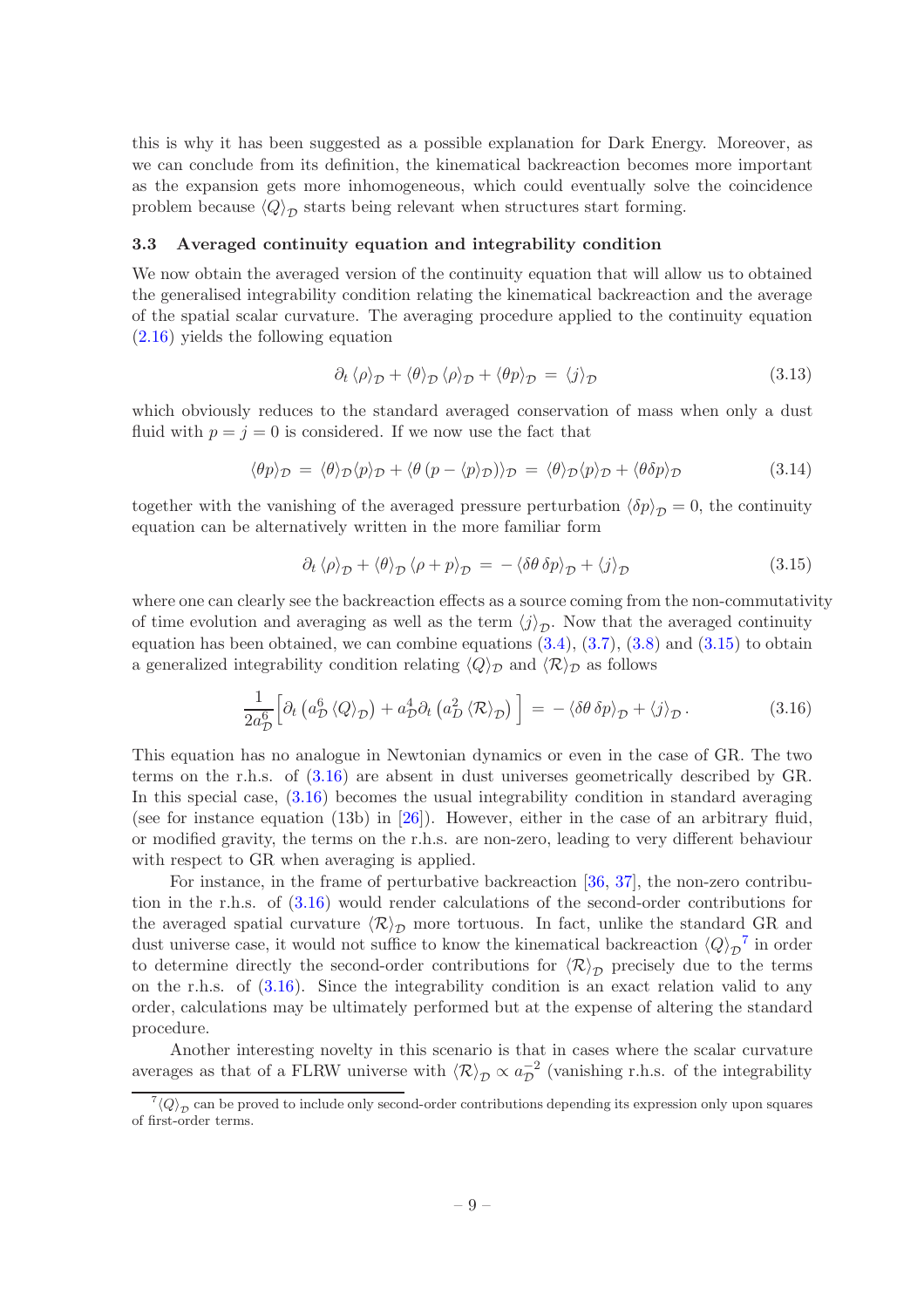this is why it has been suggested as a possible explanation for Dark Energy. Moreover, as we can conclude from its definition, the kinematical backreaction becomes more important as the expansion gets more inhomogeneous, which could eventually solve the coincidence problem because  $\langle Q \rangle_{\mathcal{D}}$  starts being relevant when structures start forming.

#### <span id="page-9-0"></span>3.3 Averaged continuity equation and integrability condition

We now obtain the averaged version of the continuity equation that will allow us to obtained the generalised integrability condition relating the kinematical backreaction and the average of the spatial scalar curvature. The averaging procedure applied to the continuity equation [\(2.16\)](#page-6-3) yields the following equation

$$
\partial_t \langle \rho \rangle_{\mathcal{D}} + \langle \theta \rangle_{\mathcal{D}} \langle \rho \rangle_{\mathcal{D}} + \langle \theta p \rangle_{\mathcal{D}} = \langle j \rangle_{\mathcal{D}} \tag{3.13}
$$

which obviously reduces to the standard averaged conservation of mass when only a dust fluid with  $p = j = 0$  is considered. If we now use the fact that

$$
\langle \theta p \rangle_{\mathcal{D}} = \langle \theta \rangle_{\mathcal{D}} \langle p \rangle_{\mathcal{D}} + \langle \theta (p - \langle p \rangle_{\mathcal{D}}) \rangle_{\mathcal{D}} = \langle \theta \rangle_{\mathcal{D}} \langle p \rangle_{\mathcal{D}} + \langle \theta \delta p \rangle_{\mathcal{D}} \tag{3.14}
$$

together with the vanishing of the averaged pressure perturbation  $\langle \delta p \rangle_{\mathcal{D}} = 0$ , the continuity equation can be alternatively written in the more familiar form

<span id="page-9-1"></span>
$$
\partial_t \langle \rho \rangle_{\mathcal{D}} + \langle \theta \rangle_{\mathcal{D}} \langle \rho + p \rangle_{\mathcal{D}} = - \langle \delta \theta \, \delta p \rangle_{\mathcal{D}} + \langle j \rangle_{\mathcal{D}} \tag{3.15}
$$

where one can clearly see the backreaction effects as a source coming from the non-commutativity of time evolution and averaging as well as the term  $\langle i \rangle_{\mathcal{D}}$ . Now that the averaged continuity equation has been obtained, we can combine equations  $(3.4)$ ,  $(3.7)$ ,  $(3.8)$  and  $(3.15)$  to obtain a generalized integrability condition relating  $\langle Q \rangle_{\mathcal{D}}$  and  $\langle \mathcal{R} \rangle_{\mathcal{D}}$  as follows

<span id="page-9-2"></span>
$$
\frac{1}{2a_{\mathcal{D}}^{6}} \Big[ \partial_{t} \left( a_{\mathcal{D}}^{6} \left\langle Q \right\rangle_{\mathcal{D}} \right) + a_{\mathcal{D}}^{4} \partial_{t} \left( a_{\mathcal{D}}^{2} \left\langle \mathcal{R} \right\rangle_{\mathcal{D}} \right) \Big] = - \left\langle \delta \theta \, \delta p \right\rangle_{\mathcal{D}} + \left\langle j \right\rangle_{\mathcal{D}}. \tag{3.16}
$$

This equation has no analogue in Newtonian dynamics or even in the case of GR. The two terms on the r.h.s. of [\(3.16\)](#page-9-2) are absent in dust universes geometrically described by GR. In this special case, [\(3.16\)](#page-9-2) becomes the usual integrability condition in standard averaging (see for instance equation (13b) in  $[26]$ ). However, either in the case of an arbitrary fluid, or modified gravity, the terms on the r.h.s. are non-zero, leading to very different behaviour with respect to GR when averaging is applied.

For instance, in the frame of perturbative backreaction [\[36](#page-25-9), [37](#page-25-10)], the non-zero contribution in the r.h.s. of [\(3.16\)](#page-9-2) would render calculations of the second-order contributions for the averaged spatial curvature  $\langle \mathcal{R} \rangle_{\mathcal{D}}$  more tortuous. In fact, unlike the standard GR and dust universe case, it would not suffice to know the kinematical backreaction  $\langle Q \rangle_{\mathcal{D}}^7$  $\langle Q \rangle_{\mathcal{D}}^7$  in order to determine directly the second-order contributions for  $\langle R \rangle_{\mathcal{D}}$  precisely due to the terms on the r.h.s. of [\(3.16\)](#page-9-2). Since the integrability condition is an exact relation valid to any order, calculations may be ultimately performed but at the expense of altering the standard procedure.

Another interesting novelty in this scenario is that in cases where the scalar curvature averages as that of a FLRW universe with  $\langle R \rangle_{\mathcal{D}} \propto a_{\mathcal{D}}^{-2}$  $\overline{\mathcal{D}}^2$  (vanishing r.h.s. of the integrability

<span id="page-9-3"></span> $\langle \langle Q \rangle_p$  can be proved to include only second-order contributions depending its expression only upon squares of first-order terms.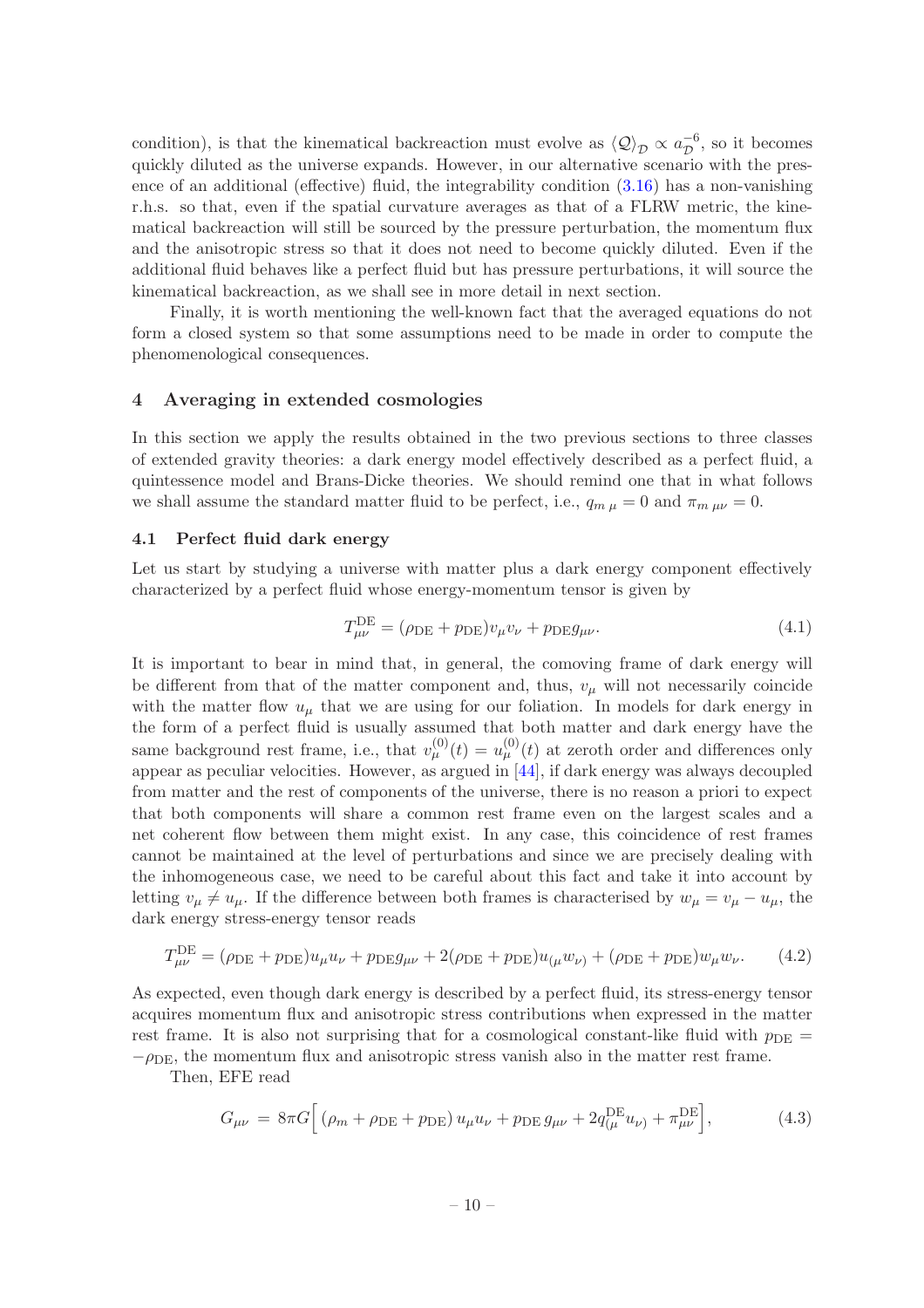condition), is that the kinematical backreaction must evolve as  $\langle \mathcal{Q} \rangle_{\mathcal{D}} \propto a_{\mathcal{D}}^{-6}$ , so it becomes quickly diluted as the universe expands. However, in our alternative scenario with the presence of an additional (effective) fluid, the integrability condition [\(3.16\)](#page-9-2) has a non-vanishing r.h.s. so that, even if the spatial curvature averages as that of a FLRW metric, the kinematical backreaction will still be sourced by the pressure perturbation, the momentum flux and the anisotropic stress so that it does not need to become quickly diluted. Even if the additional fluid behaves like a perfect fluid but has pressure perturbations, it will source the kinematical backreaction, as we shall see in more detail in next section.

Finally, it is worth mentioning the well-known fact that the averaged equations do not form a closed system so that some assumptions need to be made in order to compute the phenomenological consequences.

# <span id="page-10-0"></span>4 Averaging in extended cosmologies

In this section we apply the results obtained in the two previous sections to three classes of extended gravity theories: a dark energy model effectively described as a perfect fluid, a quintessence model and Brans-Dicke theories. We should remind one that in what follows we shall assume the standard matter fluid to be perfect, i.e.,  $q_{m\mu} = 0$  and  $\pi_{m\mu\nu} = 0$ .

# <span id="page-10-1"></span>4.1 Perfect fluid dark energy

Let us start by studying a universe with matter plus a dark energy component effectively characterized by a perfect fluid whose energy-momentum tensor is given by

$$
T_{\mu\nu}^{\text{DE}} = (\rho_{\text{DE}} + p_{\text{DE}})v_{\mu}v_{\nu} + p_{\text{DE}}g_{\mu\nu}.
$$
\n(4.1)

It is important to bear in mind that, in general, the comoving frame of dark energy will be different from that of the matter component and, thus,  $v_{\mu}$  will not necessarily coincide with the matter flow  $u_{\mu}$  that we are using for our foliation. In models for dark energy in the form of a perfect fluid is usually assumed that both matter and dark energy have the same background rest frame, i.e., that  $v_{\mu}^{(0)}(t) = u_{\mu}^{(0)}(t)$  at zeroth order and differences only appear as peculiar velocities. However, as argued in [\[44\]](#page-25-20), if dark energy was always decoupled from matter and the rest of components of the universe, there is no reason a priori to expect that both components will share a common rest frame even on the largest scales and a net coherent flow between them might exist. In any case, this coincidence of rest frames cannot be maintained at the level of perturbations and since we are precisely dealing with the inhomogeneous case, we need to be careful about this fact and take it into account by letting  $v_{\mu} \neq u_{\mu}$ . If the difference between both frames is characterised by  $w_{\mu} = v_{\mu} - u_{\mu}$ , the dark energy stress-energy tensor reads

$$
T_{\mu\nu}^{\text{DE}} = (\rho_{\text{DE}} + p_{\text{DE}})u_{\mu}u_{\nu} + p_{\text{DE}}g_{\mu\nu} + 2(\rho_{\text{DE}} + p_{\text{DE}})u_{(\mu}w_{\nu)} + (\rho_{\text{DE}} + p_{\text{DE}})w_{\mu}w_{\nu}.
$$
 (4.2)

As expected, even though dark energy is described by a perfect fluid, its stress-energy tensor acquires momentum flux and anisotropic stress contributions when expressed in the matter rest frame. It is also not surprising that for a cosmological constant-like fluid with  $p_{\text{DE}} =$  $-\rho_{\text{DE}}$ , the momentum flux and anisotropic stress vanish also in the matter rest frame.

Then, EFE read

$$
G_{\mu\nu} = 8\pi G \Big[ (\rho_m + \rho_{\text{DE}} + p_{\text{DE}}) u_{\mu} u_{\nu} + p_{\text{DE}} g_{\mu\nu} + 2q_{(\mu}^{\text{DE}} u_{\nu)} + \pi_{\mu\nu}^{\text{DE}} \Big], \tag{4.3}
$$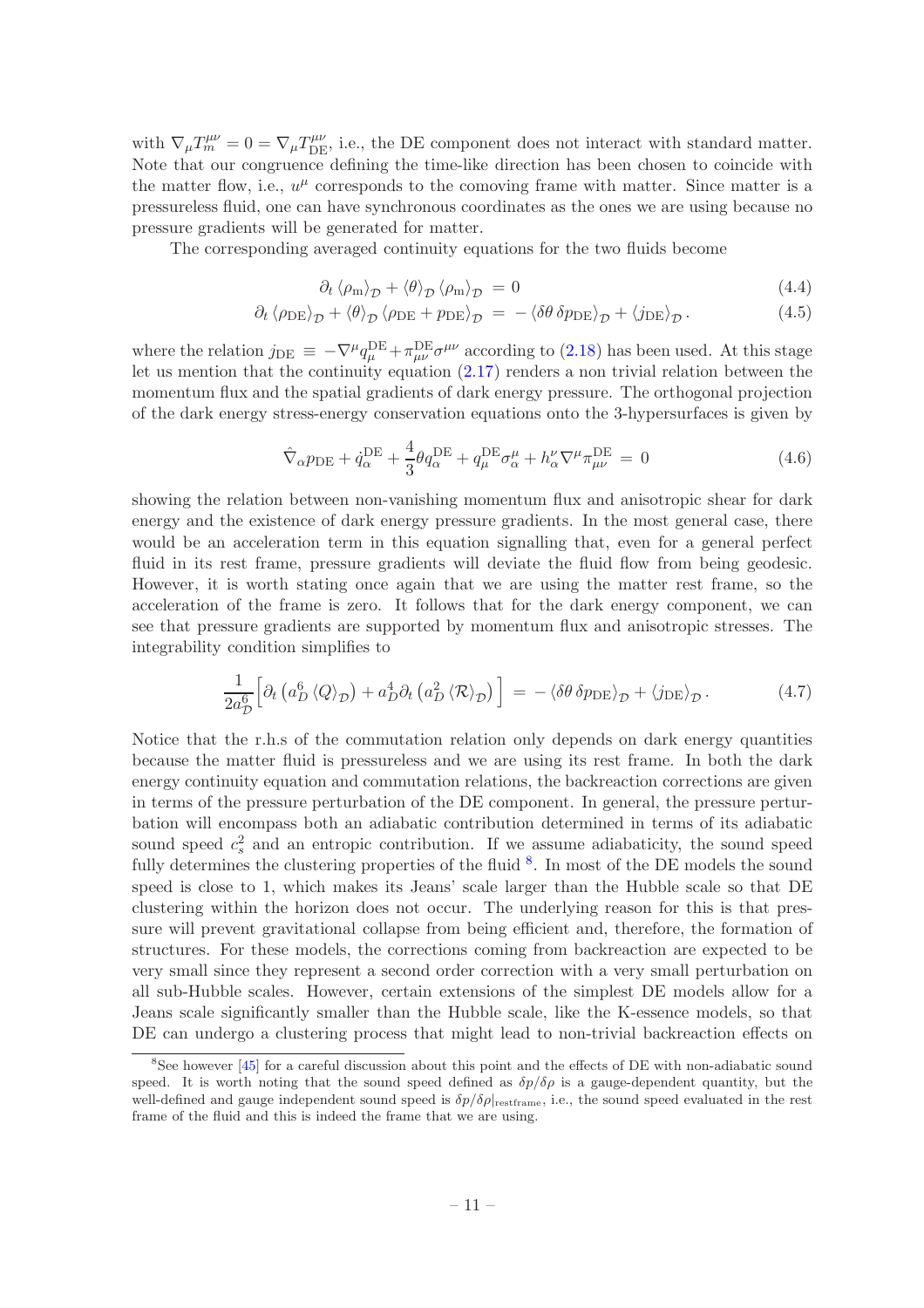with  $\nabla_{\mu}T_m^{\mu\nu} = 0 = \nabla_{\mu}T_{\text{DE}}^{\mu\nu}$ , i.e., the DE component does not interact with standard matter. Note that our congruence defining the time-like direction has been chosen to coincide with the matter flow, i.e.,  $u^{\mu}$  corresponds to the comoving frame with matter. Since matter is a pressureless fluid, one can have synchronous coordinates as the ones we are using because no pressure gradients will be generated for matter.

The corresponding averaged continuity equations for the two fluids become

$$
\partial_t \left\langle \rho_m \right\rangle_{\mathcal{D}} + \left\langle \theta \right\rangle_{\mathcal{D}} \left\langle \rho_m \right\rangle_{\mathcal{D}} = 0 \tag{4.4}
$$

$$
\partial_t \left\langle \rho_{\rm DE} \right\rangle_{\mathcal{D}} + \left\langle \theta \right\rangle_{\mathcal{D}} \left\langle \rho_{\rm DE} + p_{\rm DE} \right\rangle_{\mathcal{D}} = - \left\langle \delta \theta \, \delta p_{\rm DE} \right\rangle_{\mathcal{D}} + \left\langle j_{\rm DE} \right\rangle_{\mathcal{D}}. \tag{4.5}
$$

where the relation  $j_{\text{DE}} \equiv -\nabla^{\mu}q_{\mu}^{\text{DE}} + \pi_{\mu\nu}^{\text{DE}}\sigma^{\mu\nu}$  according to (2.[18\)](#page-6-5) has been used. At this stage let us mention that the continuity equation (2.[17\)](#page-6-3) renders a non trivial relation between the momentum flux and the spatial gradients of dark energy pressure. The orthogonal projection of the dark energy stress-energy conservation equations onto the 3-hypersurfaces is given by

$$
\hat{\nabla}_{\alpha} p_{\text{DE}} + \dot{q}_{\alpha}^{\text{DE}} + \frac{4}{3} \theta q_{\alpha}^{\text{DE}} + q_{\mu}^{\text{DE}} \sigma_{\alpha}^{\mu} + h_{\alpha}^{\nu} \nabla^{\mu} \pi_{\mu\nu}^{\text{DE}} = 0 \tag{4.6}
$$

showing the relation between non-vanishing momentum flux and anisotropic shear for dark energy and the existence of dark energy pressure gradients. In the most general case, there would be an acceleration term in this equation signalling that, even for a general perfect fluid in its rest frame, pressure gradients will deviate the fluid flow from being geodesic. However, it is worth stating once again that we are using the matter rest frame, so the acceleration of the frame is zero. It follows that for the dark energy component, we can see that pressure gradients are supported by momentum flux and anisotropic stresses. The integrability condition simplifies to

<span id="page-11-1"></span>
$$
\frac{1}{2a_{\mathcal{D}}^{6}} \Big[ \partial_{t} \left( a_{D}^{6} \left\langle Q \right\rangle_{\mathcal{D}} \right) + a_{D}^{4} \partial_{t} \left( a_{D}^{2} \left\langle \mathcal{R} \right\rangle_{\mathcal{D}} \right) \Big] = - \left\langle \delta \theta \, \delta p_{\mathrm{DE}} \right\rangle_{\mathcal{D}} + \left\langle j_{\mathrm{DE}} \right\rangle_{\mathcal{D}}. \tag{4.7}
$$

Notice that the r.h.s of the commutation relation only depends on dark energy quantities because the matter fluid is pressureless and we are using its rest frame. In both the dark energy continuity equation and commutation relations, the backreaction corrections are given in terms of the pressure perturbation of the DE component. In general, the pressure perturbation will encompass both an adiabatic contribution determined in terms of its adiabatic sound speed  $c_s^2$  and an entropic contribution. If we assume adiabaticity, the sound speed fully determines the clustering properties of the fluid <sup>[8](#page-11-0)</sup>. In most of the DE models the sound speed is close to 1, which makes its Jeans' scale larger than the Hubble scale so that DE clustering within the horizon does not occur. The underlying reason for this is that pressure will prevent gravitational collapse from being efficient and, therefore, the formation of structures. For these models, the corrections coming from backreaction are expected to be very small since they represent a second order correction with a very small perturbation on all sub-Hubble scales. However, certain extensions of the simplest DE models allow for a Jeans scale significantly smaller than the Hubble scale, like the K-essence models, so that DE can undergo a clustering process that might lead to non-trivial backreaction effects on

<span id="page-11-0"></span><sup>&</sup>lt;sup>8</sup>See however [\[45\]](#page-25-21) for a careful discussion about this point and the effects of DE with non-adiabatic sound speed. It is worth noting that the sound speed defined as  $\delta p/\delta \rho$  is a gauge-dependent quantity, but the well-defined and gauge independent sound speed is  $\delta p/\delta \rho|_{\text{restframe}}$ , i.e., the sound speed evaluated in the rest frame of the fluid and this is indeed the frame that we are using.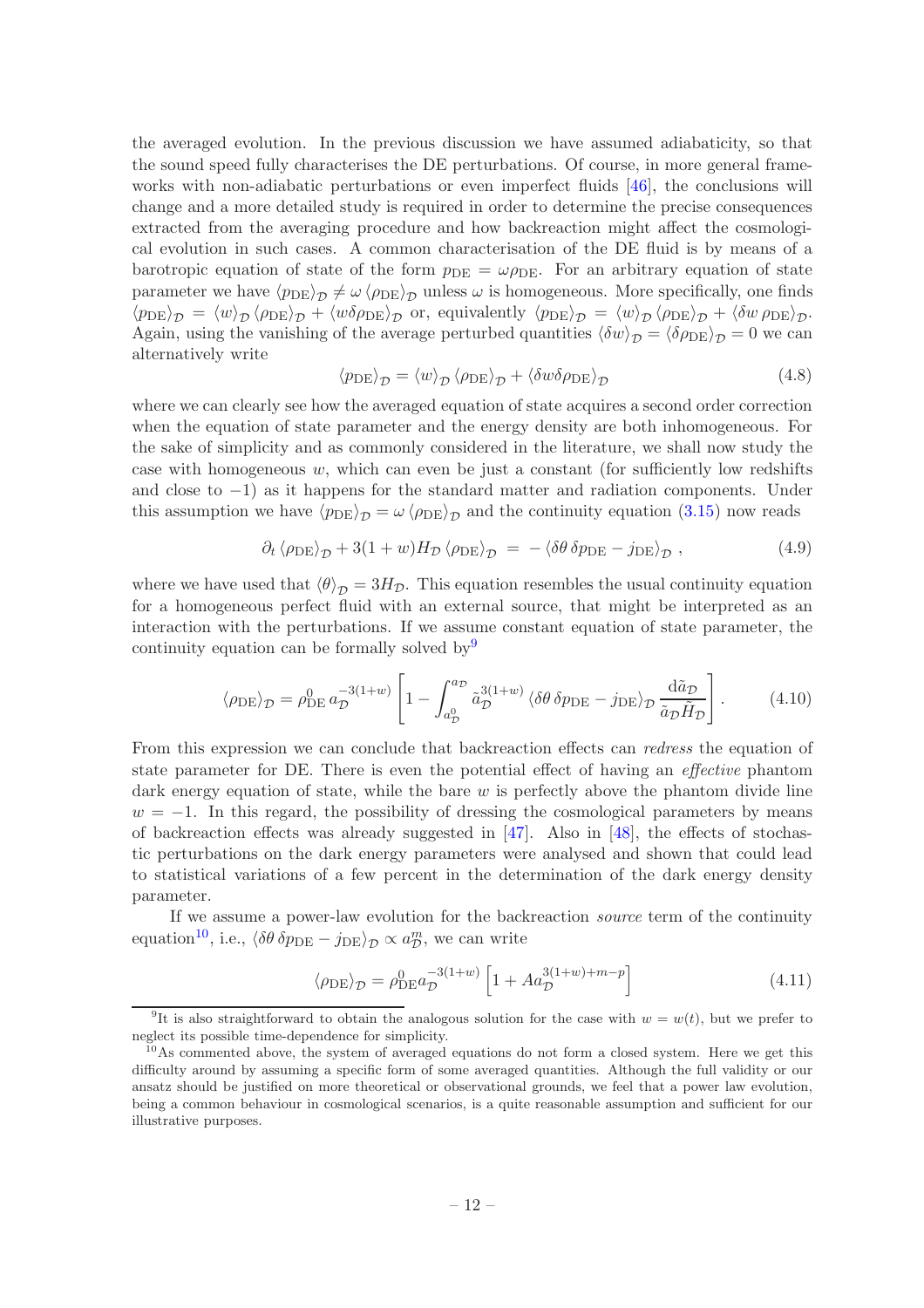the averaged evolution. In the previous discussion we have assumed adiabaticity, so that the sound speed fully characterises the DE perturbations. Of course, in more general frameworks with non-adiabatic perturbations or even imperfect fluids [\[46\]](#page-25-22), the conclusions will change and a more detailed study is required in order to determine the precise consequences extracted from the averaging procedure and how backreaction might affect the cosmological evolution in such cases. A common characterisation of the DE fluid is by means of a barotropic equation of state of the form  $p_{\text{DE}} = \omega \rho_{\text{DE}}$ . For an arbitrary equation of state parameter we have  $\langle p_{\text{DE}} \rangle_{\mathcal{D}} \neq \omega \langle \rho_{\text{DE}} \rangle_{\mathcal{D}}$  unless  $\omega$  is homogeneous. More specifically, one finds  $\langle p_{\text{DE}}\rangle_{\mathcal{D}} = \langle w\rangle_{\mathcal{D}} \langle \rho_{\text{DE}}\rangle_{\mathcal{D}} + \langle w\delta\rho_{\text{DE}}\rangle_{\mathcal{D}}$  or, equivalently  $\langle p_{\text{DE}}\rangle_{\mathcal{D}} = \langle w\rangle_{\mathcal{D}} \langle \rho_{\text{DE}}\rangle_{\mathcal{D}} + \langle \delta w \rho_{\text{DE}}\rangle_{\mathcal{D}}$ . Again, using the vanishing of the average perturbed quantities  $\langle \delta w \rangle_{\mathcal{D}} = \langle \delta \rho_{\text{DE}} \rangle_{\mathcal{D}} = 0$  we can alternatively write

$$
\langle p_{\text{DE}} \rangle_{\mathcal{D}} = \langle w \rangle_{\mathcal{D}} \langle \rho_{\text{DE}} \rangle_{\mathcal{D}} + \langle \delta w \delta \rho_{\text{DE}} \rangle_{\mathcal{D}} \tag{4.8}
$$

where we can clearly see how the averaged equation of state acquires a second order correction when the equation of state parameter and the energy density are both inhomogeneous. For the sake of simplicity and as commonly considered in the literature, we shall now study the case with homogeneous  $w$ , which can even be just a constant (for sufficiently low redshifts and close to −1) as it happens for the standard matter and radiation components. Under this assumption we have  $\langle p_{\text{DE}} \rangle_{\mathcal{D}} = \omega \langle \rho_{\text{DE}} \rangle_{\mathcal{D}}$  and the continuity equation [\(3.15\)](#page-9-1) now reads

$$
\partial_t \left\langle \rho_{\rm DE} \right\rangle_{\mathcal{D}} + 3(1+w)H_{\mathcal{D}} \left\langle \rho_{\rm DE} \right\rangle_{\mathcal{D}} = -\left\langle \delta\theta \,\delta p_{\rm DE} - j_{\rm DE} \right\rangle_{\mathcal{D}} , \tag{4.9}
$$

where we have used that  $\langle \theta \rangle_{\mathcal{D}} = 3H_{\mathcal{D}}$ . This equation resembles the usual continuity equation for a homogeneous perfect fluid with an external source, that might be interpreted as an interaction with the perturbations. If we assume constant equation of state parameter, the continuity equation can be formally solved by  $9$ 

$$
\langle \rho_{\rm DE} \rangle_{\mathcal{D}} = \rho_{\rm DE}^0 \, a_{\mathcal{D}}^{-3(1+w)} \left[ 1 - \int_{a_{\mathcal{D}}^0}^{a_{\mathcal{D}}} \tilde{a}_{\mathcal{D}}^{3(1+w)} \, \langle \delta \theta \, \delta p_{\rm DE} - j_{\rm DE} \rangle_{\mathcal{D}} \, \frac{\mathrm{d}\tilde{a}_{\mathcal{D}}}{\tilde{a}_{\mathcal{D}} \tilde{H}_{\mathcal{D}}} \right]. \tag{4.10}
$$

From this expression we can conclude that backreaction effects can *redress* the equation of state parameter for DE. There is even the potential effect of having an effective phantom dark energy equation of state, while the bare  $w$  is perfectly above the phantom divide line  $w = -1$ . In this regard, the possibility of dressing the cosmological parameters by means of backreaction effects was already suggested in  $[47]$ . Also in  $[48]$ , the effects of stochastic perturbations on the dark energy parameters were analysed and shown that could lead to statistical variations of a few percent in the determination of the dark energy density parameter.

If we assume a power-law evolution for the backreaction source term of the continuity equation<sup>[10](#page-12-1)</sup>, i.e.,  $\langle \delta \theta \, \delta p_{\text{DE}} - j_{\text{DE}} \rangle_{\mathcal{D}} \propto a_{\mathcal{D}}^m$ , we can write

<span id="page-12-2"></span>
$$
\langle \rho_{\text{DE}} \rangle_{\mathcal{D}} = \rho_{\text{DE}}^0 a_{\mathcal{D}}^{-3(1+w)} \left[ 1 + A a_{\mathcal{D}}^{3(1+w) + m - p} \right] \tag{4.11}
$$

<span id="page-12-0"></span><sup>&</sup>lt;sup>9</sup>It is also straightforward to obtain the analogous solution for the case with  $w = w(t)$ , but we prefer to neglect its possible time-dependence for simplicity.

<span id="page-12-1"></span><sup>&</sup>lt;sup>10</sup>As commented above, the system of averaged equations do not form a closed system. Here we get this difficulty around by assuming a specific form of some averaged quantities. Although the full validity or our ansatz should be justified on more theoretical or observational grounds, we feel that a power law evolution, being a common behaviour in cosmological scenarios, is a quite reasonable assumption and sufficient for our illustrative purposes.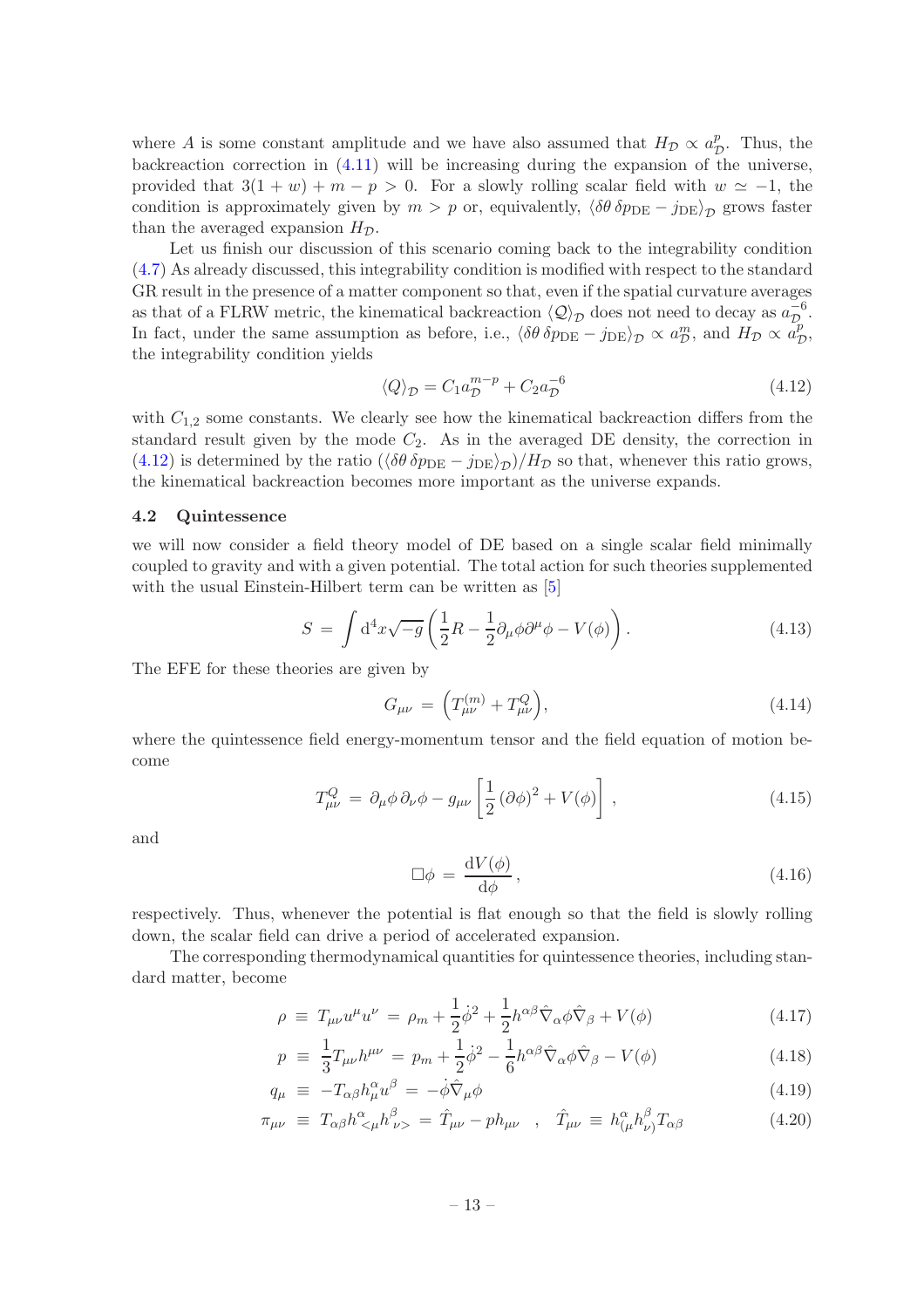where A is some constant amplitude and we have also assumed that  $H_{\mathcal{D}} \propto a_{\mathcal{D}}^p$ . Thus, the  $\frac{1}{2}$  backreaction correction in  $(4.11)$  will be increasing during the expansion of the universe, provided that  $3(1 + w) + m - p > 0$ . For a slowly rolling scalar field with  $w \simeq -1$ , the condition is approximately given by  $m > p$  or, equivalently,  $\langle \delta \theta \delta p_{\text{DE}} - j_{\text{DE}} \rangle_{\mathcal{D}}$  grows faster than the averaged expansion  $H_{\mathcal{D}}$ .

Let us finish our discussion of this scenario coming back to the integrability condition [\(4.7\)](#page-11-1) As already discussed, this integrability condition is modified with respect to the standard GR result in the presence of a matter component so that, even if the spatial curvature averages as that of a FLRW metric, the kinematical backreaction  $\langle Q \rangle_{\mathcal{D}}$  does not need to decay as  $a_{\mathcal{D}}^{-6}$  $\overline{\mathcal{D}}_{\!\!n}^{\mathbf{-0}}$ In fact, under the same assumption as before, i.e.,  $\langle \delta \theta \delta p_{DE} - j_{DE} \rangle_{\mathcal{D}} \propto a_{\mathcal{D}}^{m}$ , and  $H_{\mathcal{D}} \propto a_{\mathcal{I}}^{m}$  $_{\mathcal{D}}^{p}$ the integrability condition yields

<span id="page-13-1"></span>
$$
\langle Q \rangle_{\mathcal{D}} = C_1 a_{\mathcal{D}}^{m-p} + C_2 a_{\mathcal{D}}^{-6}
$$
\n(4.12)

with  $C_{1,2}$  some constants. We clearly see how the kinematical backreaction differs from the standard result given by the mode  $C_2$ . As in the averaged DE density, the correction in [\(4.12\)](#page-13-1) is determined by the ratio  $(\langle \delta \theta \delta p_{\rm DE} - j_{\rm DE} \rangle_{\mathcal{D}})/H_{\mathcal{D}}$  so that, whenever this ratio grows, the kinematical backreaction becomes more important as the universe expands.

#### <span id="page-13-0"></span>4.2 Quintessence

we will now consider a field theory model of DE based on a single scalar field minimally coupled to gravity and with a given potential. The total action for such theories supplemented with the usual Einstein-Hilbert term can be written as [\[5](#page-23-4)]

$$
S = \int d^4x \sqrt{-g} \left( \frac{1}{2}R - \frac{1}{2} \partial_\mu \phi \partial^\mu \phi - V(\phi) \right). \tag{4.13}
$$

The EFE for these theories are given by

$$
G_{\mu\nu} = \left( T_{\mu\nu}^{(m)} + T_{\mu\nu}^{Q} \right), \tag{4.14}
$$

where the quintessence field energy-momentum tensor and the field equation of motion become

$$
T_{\mu\nu}^{Q} = \partial_{\mu}\phi\,\partial_{\nu}\phi - g_{\mu\nu}\left[\frac{1}{2}\left(\partial\phi\right)^{2} + V(\phi)\right],\tag{4.15}
$$

and

$$
\Box \phi = \frac{\mathrm{d}V(\phi)}{\mathrm{d}\phi},\tag{4.16}
$$

respectively. Thus, whenever the potential is flat enough so that the field is slowly rolling down, the scalar field can drive a period of accelerated expansion.

The corresponding thermodynamical quantities for quintessence theories, including standard matter, become

<span id="page-13-2"></span>
$$
\rho \equiv T_{\mu\nu}u^{\mu}u^{\nu} = \rho_m + \frac{1}{2}\dot{\phi}^2 + \frac{1}{2}h^{\alpha\beta}\hat{\nabla}_{\alpha}\phi\hat{\nabla}_{\beta} + V(\phi)
$$
\n(4.17)

$$
p \equiv \frac{1}{3} T_{\mu\nu} h^{\mu\nu} = p_m + \frac{1}{2} \dot{\phi}^2 - \frac{1}{6} h^{\alpha\beta} \hat{\nabla}_{\alpha} \phi \hat{\nabla}_{\beta} - V(\phi)
$$
 (4.18)

$$
q_{\mu} \equiv -T_{\alpha\beta}h^{\alpha}_{\mu}u^{\beta} = -\dot{\phi}\hat{\nabla}_{\mu}\phi \tag{4.19}
$$

$$
\pi_{\mu\nu} \equiv T_{\alpha\beta} h^{\alpha}_{\langle\mu} h^{\beta}_{\nu\rangle} = \hat{T}_{\mu\nu} - p h_{\mu\nu} \quad , \quad \hat{T}_{\mu\nu} \equiv h^{\alpha}_{(\mu} h^{\beta}_{\nu)} T_{\alpha\beta} \tag{4.20}
$$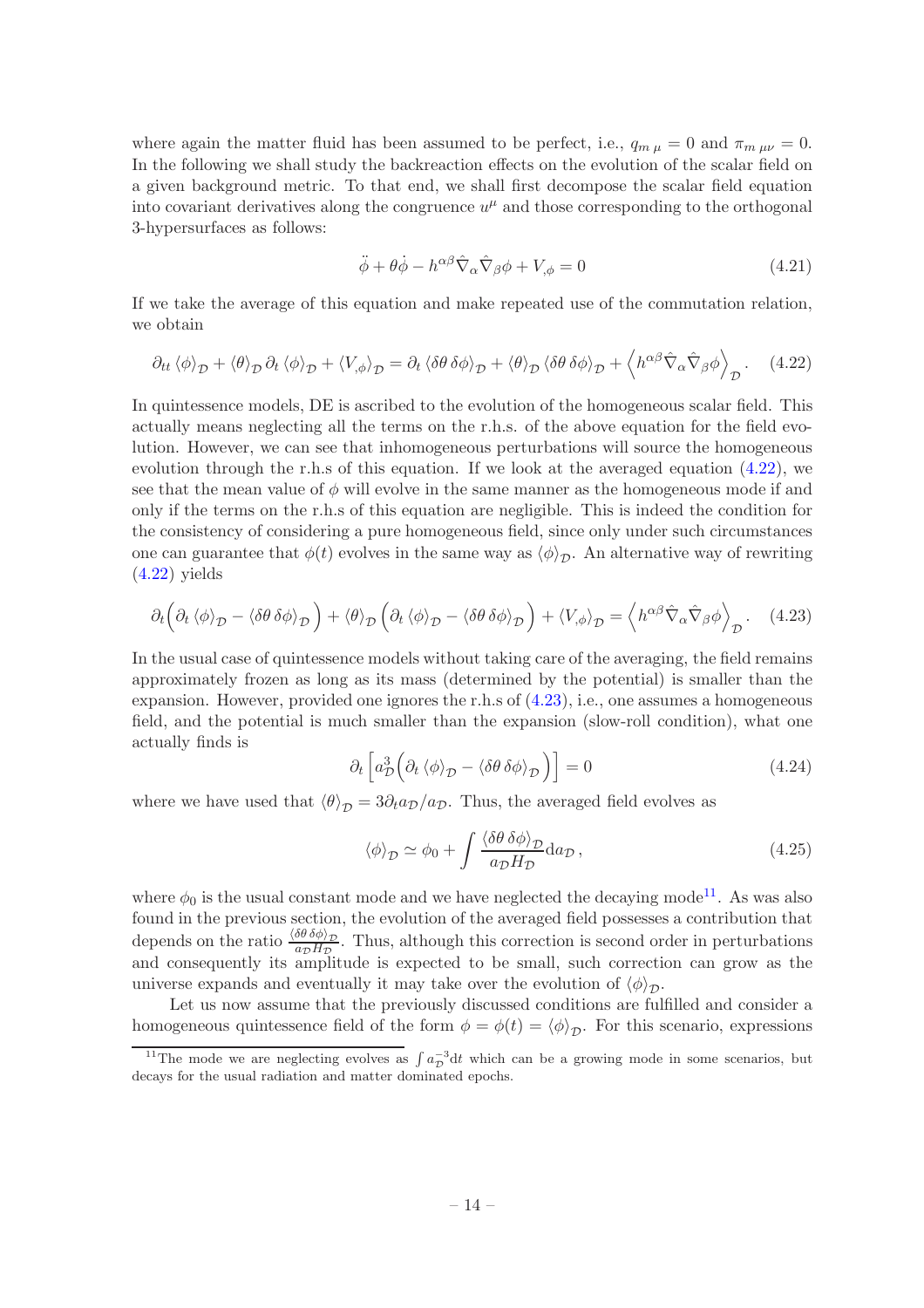where again the matter fluid has been assumed to be perfect, i.e.,  $q_{m\mu} = 0$  and  $\pi_{m\mu\nu} = 0$ . In the following we shall study the backreaction effects on the evolution of the scalar field on a given background metric. To that end, we shall first decompose the scalar field equation into covariant derivatives along the congruence  $u^{\mu}$  and those corresponding to the orthogonal 3-hypersurfaces as follows:

$$
\ddot{\phi} + \theta \dot{\phi} - h^{\alpha \beta} \hat{\nabla}_{\alpha} \hat{\nabla}_{\beta} \phi + V_{,\phi} = 0 \tag{4.21}
$$

If we take the average of this equation and make repeated use of the commutation relation, we obtain

<span id="page-14-0"></span>
$$
\partial_{tt} \langle \phi \rangle_{\mathcal{D}} + \langle \theta \rangle_{\mathcal{D}} \partial_t \langle \phi \rangle_{\mathcal{D}} + \langle V_{,\phi} \rangle_{\mathcal{D}} = \partial_t \langle \delta \theta \delta \phi \rangle_{\mathcal{D}} + \langle \theta \rangle_{\mathcal{D}} \langle \delta \theta \delta \phi \rangle_{\mathcal{D}} + \left\langle h^{\alpha \beta} \hat{\nabla}_{\alpha} \hat{\nabla}_{\beta} \phi \right\rangle_{\mathcal{D}}. \quad (4.22)
$$

In quintessence models, DE is ascribed to the evolution of the homogeneous scalar field. This actually means neglecting all the terms on the r.h.s. of the above equation for the field evolution. However, we can see that inhomogeneous perturbations will source the homogeneous evolution through the r.h.s of this equation. If we look at the averaged equation [\(4.22\)](#page-14-0), we see that the mean value of  $\phi$  will evolve in the same manner as the homogeneous mode if and only if the terms on the r.h.s of this equation are negligible. This is indeed the condition for the consistency of considering a pure homogeneous field, since only under such circumstances one can guarantee that  $\phi(t)$  evolves in the same way as  $\langle \phi \rangle_{\mathcal{D}}$ . An alternative way of rewriting [\(4.22\)](#page-14-0) yields

<span id="page-14-1"></span>
$$
\partial_t \left( \partial_t \left\langle \phi \right\rangle_{\mathcal{D}} - \left\langle \delta \theta \delta \phi \right\rangle_{\mathcal{D}} \right) + \left\langle \theta \right\rangle_{\mathcal{D}} \left( \partial_t \left\langle \phi \right\rangle_{\mathcal{D}} - \left\langle \delta \theta \delta \phi \right\rangle_{\mathcal{D}} \right) + \left\langle V_{,\phi} \right\rangle_{\mathcal{D}} = \left\langle h^{\alpha \beta} \hat{\nabla}_{\alpha} \hat{\nabla}_{\beta} \phi \right\rangle_{\mathcal{D}}. \quad (4.23)
$$

In the usual case of quintessence models without taking care of the averaging, the field remains approximately frozen as long as its mass (determined by the potential) is smaller than the expansion. However, provided one ignores the r.h.s of [\(4.23\)](#page-14-1), i.e., one assumes a homogeneous field, and the potential is much smaller than the expansion (slow-roll condition), what one actually finds is

$$
\partial_t \left[ a_{\mathcal{D}}^3 \left( \partial_t \left\langle \phi \right\rangle_{\mathcal{D}} - \left\langle \delta \theta \delta \phi \right\rangle_{\mathcal{D}} \right) \right] = 0 \tag{4.24}
$$

where we have used that  $\langle \theta \rangle_{\mathcal{D}} = 3 \partial_t a_{\mathcal{D}}/a_{\mathcal{D}}$ . Thus, the averaged field evolves as

$$
\langle \phi \rangle_{\mathcal{D}} \simeq \phi_0 + \int \frac{\langle \delta \theta \, \delta \phi \rangle_{\mathcal{D}}}{a_{\mathcal{D}} H_{\mathcal{D}}} da_{\mathcal{D}},\tag{4.25}
$$

where  $\phi_0$  is the usual constant mode and we have neglected the decaying mode<sup>[11](#page-14-2)</sup>. As was also found in the previous section, the evolution of the averaged field possesses a contribution that depends on the ratio  $\frac{\langle \delta \theta \delta \phi \rangle_{\mathcal{D}}}{a_{\mathcal{D}}H_{\mathcal{D}}}$ . Thus, although this correction is second order in perturbations and consequently its amplitude is expected to be small, such correction can grow as the universe expands and eventually it may take over the evolution of  $\langle \phi \rangle_{\mathcal{D}}$ .

Let us now assume that the previously discussed conditions are fulfilled and consider a homogeneous quintessence field of the form  $\phi = \phi(t) = \langle \phi \rangle_{\mathcal{D}}$ . For this scenario, expressions

<span id="page-14-2"></span><sup>&</sup>lt;sup>11</sup>The mode we are neglecting evolves as  $\int a_D^{-3} dt$  which can be a growing mode in some scenarios, but decays for the usual radiation and matter dominated epochs.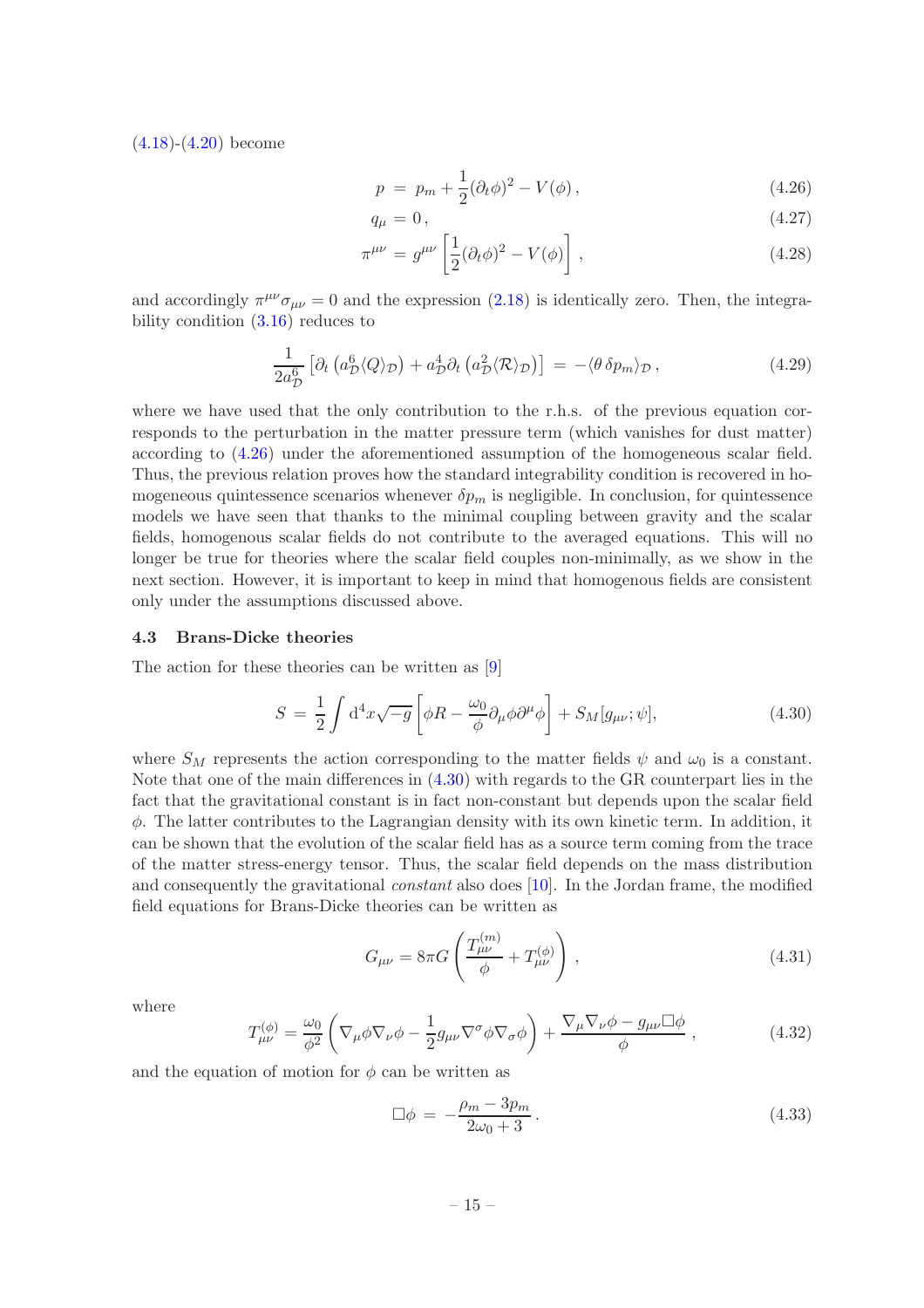$(4.18)-(4.20)$  $(4.18)-(4.20)$  $(4.18)-(4.20)$  become

<span id="page-15-1"></span>
$$
p = p_m + \frac{1}{2} (\partial_t \phi)^2 - V(\phi) \,, \tag{4.26}
$$

$$
q_{\mu} = 0, \qquad (4.27)
$$

$$
\pi^{\mu\nu} = g^{\mu\nu} \left[ \frac{1}{2} (\partial_t \phi)^2 - V(\phi) \right], \qquad (4.28)
$$

and accordingly  $\pi^{\mu\nu}\sigma_{\mu\nu} = 0$  and the expression [\(2.18\)](#page-6-5) is identically zero. Then, the integrability condition [\(3.16\)](#page-9-2) reduces to

$$
\frac{1}{2a_{\mathcal{D}}^{6}}\left[\partial_{t}\left(a_{\mathcal{D}}^{6}\langle Q\rangle_{\mathcal{D}}\right)+a_{\mathcal{D}}^{4}\partial_{t}\left(a_{\mathcal{D}}^{2}\langle\mathcal{R}\rangle_{\mathcal{D}}\right)\right]=-\langle\theta\,\delta p_{m}\rangle_{\mathcal{D}},\tag{4.29}
$$

where we have used that the only contribution to the r.h.s. of the previous equation corresponds to the perturbation in the matter pressure term (which vanishes for dust matter) according to [\(4.26\)](#page-15-1) under the aforementioned assumption of the homogeneous scalar field. Thus, the previous relation proves how the standard integrability condition is recovered in homogeneous quintessence scenarios whenever  $\delta p_m$  is negligible. In conclusion, for quintessence models we have seen that thanks to the minimal coupling between gravity and the scalar fields, homogenous scalar fields do not contribute to the averaged equations. This will no longer be true for theories where the scalar field couples non-minimally, as we show in the next section. However, it is important to keep in mind that homogenous fields are consistent only under the assumptions discussed above.

# <span id="page-15-0"></span>4.3 Brans-Dicke theories

The action for these theories can be written as [\[9](#page-23-8)]

<span id="page-15-2"></span>
$$
S = \frac{1}{2} \int d^4x \sqrt{-g} \left[ \phi R - \frac{\omega_0}{\phi} \partial_\mu \phi \partial^\mu \phi \right] + S_M[g_{\mu\nu}; \psi], \tag{4.30}
$$

where  $S_M$  represents the action corresponding to the matter fields  $\psi$  and  $\omega_0$  is a constant. Note that one of the main differences in [\(4.30\)](#page-15-2) with regards to the GR counterpart lies in the fact that the gravitational constant is in fact non-constant but depends upon the scalar field  $\phi$ . The latter contributes to the Lagrangian density with its own kinetic term. In addition, it can be shown that the evolution of the scalar field has as a source term coming from the trace of the matter stress-energy tensor. Thus, the scalar field depends on the mass distribution and consequently the gravitational *constant* also does [\[10](#page-23-12)]. In the Jordan frame, the modified field equations for Brans-Dicke theories can be written as

$$
G_{\mu\nu} = 8\pi G \left( \frac{T_{\mu\nu}^{(m)}}{\phi} + T_{\mu\nu}^{(\phi)} \right) , \qquad (4.31)
$$

where

$$
T_{\mu\nu}^{(\phi)} = \frac{\omega_0}{\phi^2} \left( \nabla_{\mu}\phi \nabla_{\nu}\phi - \frac{1}{2}g_{\mu\nu}\nabla^{\sigma}\phi \nabla_{\sigma}\phi \right) + \frac{\nabla_{\mu}\nabla_{\nu}\phi - g_{\mu\nu}\Box\phi}{\phi} , \qquad (4.32)
$$

and the equation of motion for  $\phi$  can be written as

<span id="page-15-3"></span>
$$
\Box \phi = -\frac{\rho_m - 3p_m}{2\omega_0 + 3}.\tag{4.33}
$$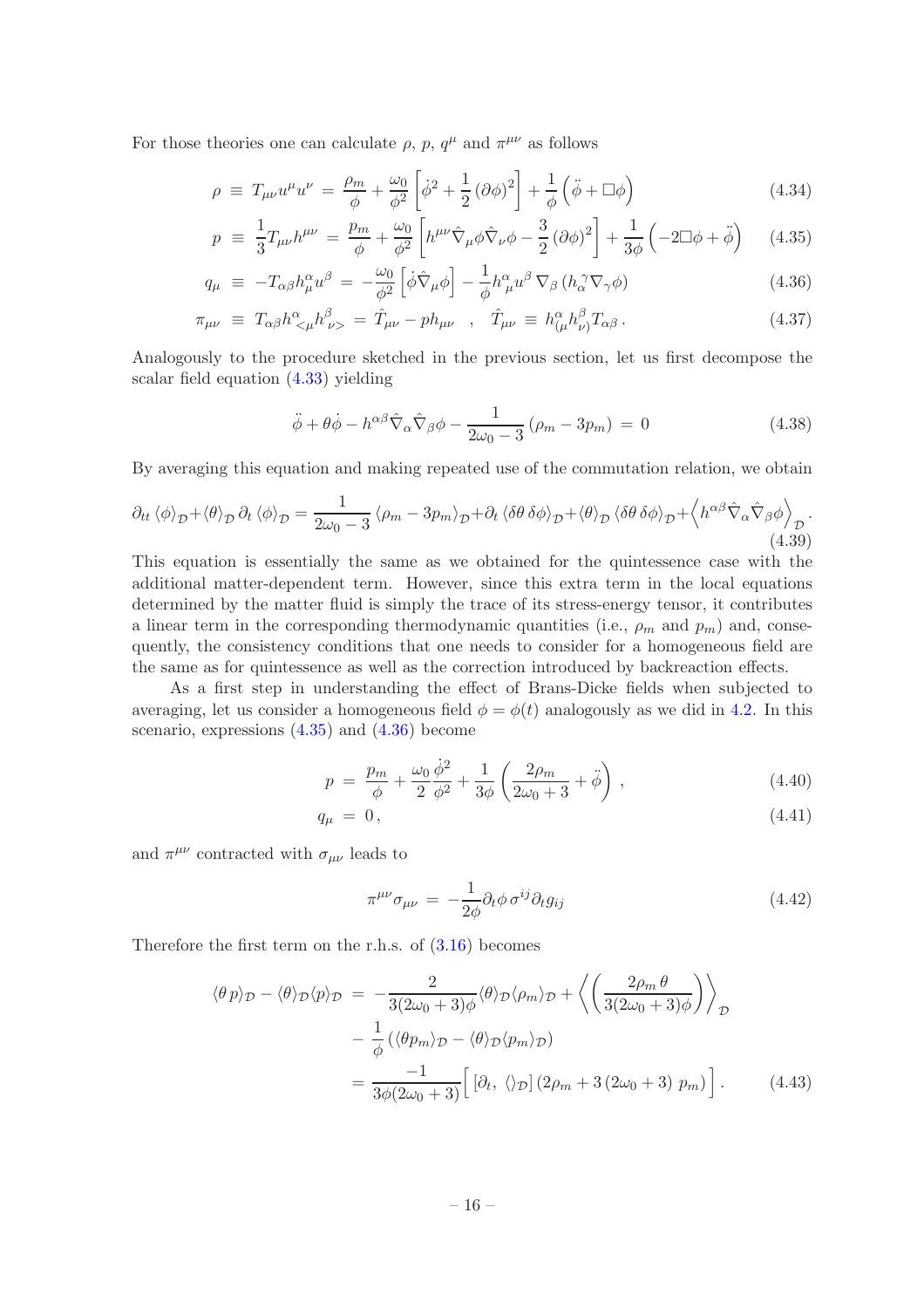For those theories one can calculate  $\rho$ ,  $p$ ,  $q^{\mu}$  and  $\pi^{\mu\nu}$  as follows

<span id="page-16-0"></span>
$$
\rho \equiv T_{\mu\nu} u^{\mu} u^{\nu} = \frac{\rho_m}{\phi} + \frac{\omega_0}{\phi^2} \left[ \dot{\phi}^2 + \frac{1}{2} (\partial \phi)^2 \right] + \frac{1}{\phi} \left( \ddot{\phi} + \Box \phi \right)
$$
(4.34)

$$
p \equiv \frac{1}{3}T_{\mu\nu}h^{\mu\nu} = \frac{p_m}{\phi} + \frac{\omega_0}{\phi^2} \left[ h^{\mu\nu}\hat{\nabla}_{\mu}\phi\hat{\nabla}_{\nu}\phi - \frac{3}{2}(\partial\phi)^2 \right] + \frac{1}{3\phi} \left( -2\Box\phi + \ddot{\phi} \right) \tag{4.35}
$$

$$
q_{\mu} \equiv -T_{\alpha\beta}h^{\alpha}_{\mu}u^{\beta} = -\frac{\omega_0}{\phi^2} \left[ \dot{\phi}\hat{\nabla}_{\mu}\phi \right] - \frac{1}{\phi}h^{\alpha}_{\mu}u^{\beta}\nabla_{\beta}\left(h^{\gamma}_{\alpha}\nabla_{\gamma}\phi\right)
$$
(4.36)

$$
\pi_{\mu\nu} \equiv T_{\alpha\beta} h^{\alpha}_{\ \langle\mu} h^{\beta}_{\ \nu\rangle} = \hat{T}_{\mu\nu} - p h_{\mu\nu} \ , \quad \hat{T}_{\mu\nu} \equiv h^{\alpha}_{(\mu} h^{\beta}_{\nu)} T_{\alpha\beta} \,. \tag{4.37}
$$

Analogously to the procedure sketched in the previous section, let us first decompose the scalar field equation [\(4.33\)](#page-15-3) yielding

$$
\ddot{\phi} + \theta \dot{\phi} - h^{\alpha \beta} \hat{\nabla}_{\alpha} \hat{\nabla}_{\beta} \phi - \frac{1}{2\omega_0 - 3} (\rho_m - 3p_m) = 0 \tag{4.38}
$$

By averaging this equation and making repeated use of the commutation relation, we obtain

$$
\partial_{tt} \langle \phi \rangle_{\mathcal{D}} + \langle \theta \rangle_{\mathcal{D}} \partial_t \langle \phi \rangle_{\mathcal{D}} = \frac{1}{2\omega_0 - 3} \langle \rho_m - 3p_m \rangle_{\mathcal{D}} + \partial_t \langle \delta \theta \delta \phi \rangle_{\mathcal{D}} + \langle \theta \rangle_{\mathcal{D}} \langle \delta \theta \delta \phi \rangle_{\mathcal{D}} + \left\langle h^{\alpha \beta} \hat{\nabla}_{\alpha} \hat{\nabla}_{\beta} \phi \right\rangle_{\mathcal{D}}.
$$
\n(4.39)

This equation is essentially the same as we obtained for the quintessence case with the additional matter-dependent term. However, since this extra term in the local equations determined by the matter fluid is simply the trace of its stress-energy tensor, it contributes a linear term in the corresponding thermodynamic quantities (i.e.,  $\rho_m$  and  $p_m$ ) and, consequently, the consistency conditions that one needs to consider for a homogeneous field are the same as for quintessence as well as the correction introduced by backreaction effects.

As a first step in understanding the effect of Brans-Dicke fields when subjected to averaging, let us consider a homogeneous field  $\phi = \phi(t)$  analogously as we did in [4.2.](#page-13-0) In this scenario, expressions [\(4.35\)](#page-16-0) and [\(4.36\)](#page-16-0) become

$$
p = \frac{p_m}{\phi} + \frac{\omega_0}{2} \frac{\dot{\phi}^2}{\phi^2} + \frac{1}{3\phi} \left( \frac{2\rho_m}{2\omega_0 + 3} + \ddot{\phi} \right) , \qquad (4.40)
$$

$$
q_{\mu} = 0, \t\t(4.41)
$$

and  $\pi^{\mu\nu}$  contracted with  $\sigma_{\mu\nu}$  leads to

<span id="page-16-1"></span>
$$
\pi^{\mu\nu}\sigma_{\mu\nu} = -\frac{1}{2\phi}\partial_t\phi\,\sigma^{ij}\partial_t g_{ij} \tag{4.42}
$$

Therefore the first term on the r.h.s. of [\(3.16\)](#page-9-2) becomes

$$
\langle \theta p \rangle_{\mathcal{D}} - \langle \theta \rangle_{\mathcal{D}} \langle p \rangle_{\mathcal{D}} = -\frac{2}{3(2\omega_0 + 3)\phi} \langle \theta \rangle_{\mathcal{D}} \langle \rho_m \rangle_{\mathcal{D}} + \left\langle \left( \frac{2\rho_m \theta}{3(2\omega_0 + 3)\phi} \right) \right\rangle_{\mathcal{D}} - \frac{1}{\phi} \left( \langle \theta p_m \rangle_{\mathcal{D}} - \langle \theta \rangle_{\mathcal{D}} \langle p_m \rangle_{\mathcal{D}} \right) = \frac{-1}{3\phi(2\omega_0 + 3)} \Big[ \left[ \partial_t, \langle \rangle_{\mathcal{D}} \right] \left( 2\rho_m + 3(2\omega_0 + 3) p_m \right) \Big]. \tag{4.43}
$$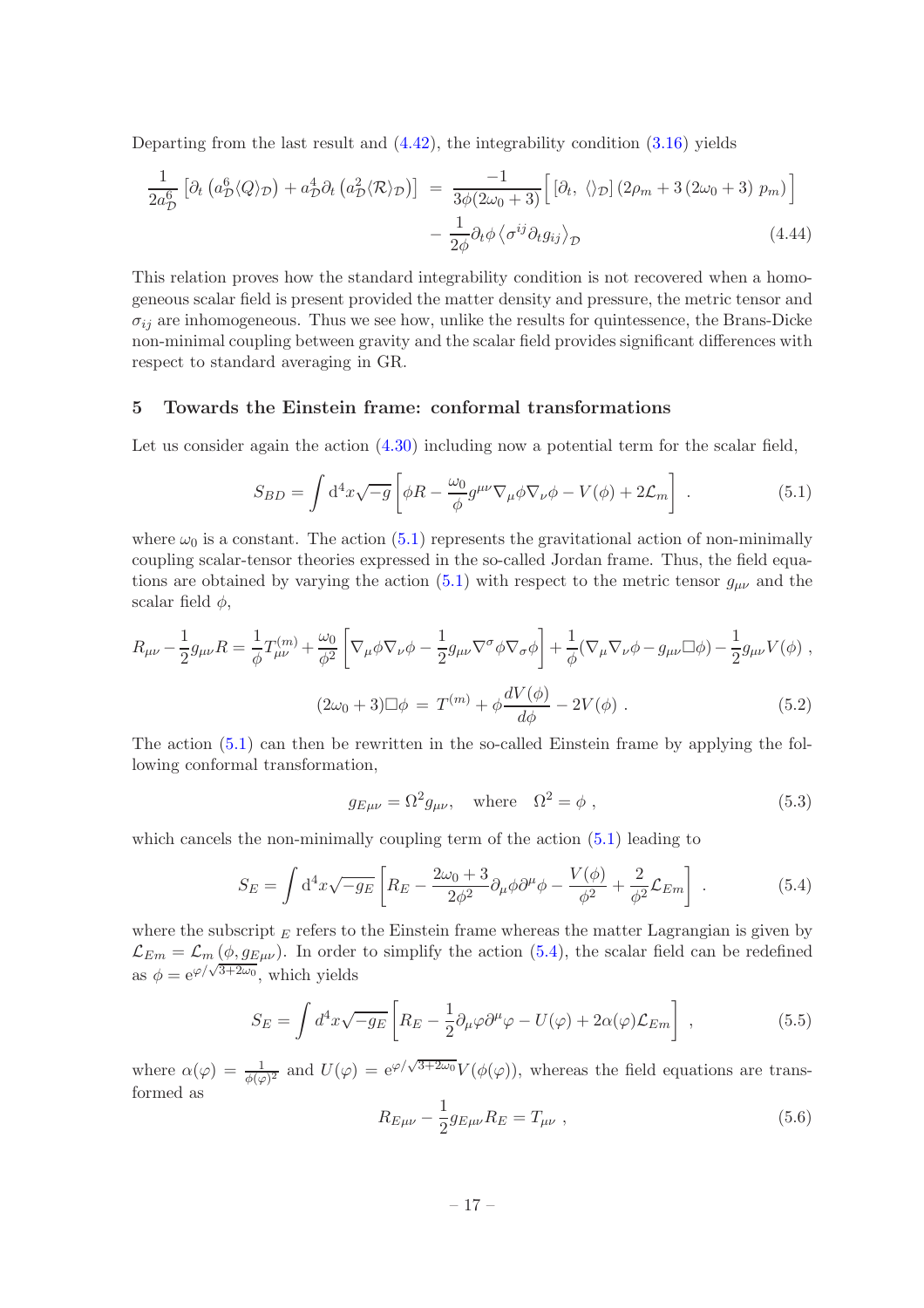Departing from the last result and  $(4.42)$ , the integrability condition  $(3.16)$  yields

$$
\frac{1}{2a_{\mathcal{D}}^{6}}\left[\partial_{t}\left(a_{\mathcal{D}}^{6}\langle Q\rangle_{\mathcal{D}}\right)+a_{\mathcal{D}}^{4}\partial_{t}\left(a_{\mathcal{D}}^{2}\langle\mathcal{R}\rangle_{\mathcal{D}}\right)\right]=\frac{-1}{3\phi(2\omega_{0}+3)}\left[\left[\partial_{t},\left\langle\rangle_{\mathcal{D}}\right](2\rho_{m}+3\left(2\omega_{0}+3\right)\,p_{m}\right)\right]
$$
\n
$$
-\frac{1}{2\phi}\partial_{t}\phi\left\langle\sigma^{ij}\partial_{t}g_{ij}\right\rangle_{\mathcal{D}}\tag{4.44}
$$

This relation proves how the standard integrability condition is not recovered when a homogeneous scalar field is present provided the matter density and pressure, the metric tensor and  $\sigma_{ij}$  are inhomogeneous. Thus we see how, unlike the results for quintessence, the Brans-Dicke non-minimal coupling between gravity and the scalar field provides significant differences with respect to standard averaging in GR.

## <span id="page-17-0"></span>5 Towards the Einstein frame: conformal transformations

Let us consider again the action  $(4.30)$  including now a potential term for the scalar field,

<span id="page-17-1"></span>
$$
S_{BD} = \int d^4x \sqrt{-g} \left[ \phi R - \frac{\omega_0}{\phi} g^{\mu\nu} \nabla_\mu \phi \nabla_\nu \phi - V(\phi) + 2\mathcal{L}_m \right] \,. \tag{5.1}
$$

where  $\omega_0$  is a constant. The action [\(5.1\)](#page-17-1) represents the gravitational action of non-minimally coupling scalar-tensor theories expressed in the so-called Jordan frame. Thus, the field equations are obtained by varying the action  $(5.1)$  with respect to the metric tensor  $g_{\mu\nu}$  and the scalar field  $\phi$ ,

$$
R_{\mu\nu} - \frac{1}{2}g_{\mu\nu}R = \frac{1}{\phi}T_{\mu\nu}^{(m)} + \frac{\omega_0}{\phi^2} \left[ \nabla_{\mu}\phi\nabla_{\nu}\phi - \frac{1}{2}g_{\mu\nu}\nabla^{\sigma}\phi\nabla_{\sigma}\phi \right] + \frac{1}{\phi}(\nabla_{\mu}\nabla_{\nu}\phi - g_{\mu\nu}\Box\phi) - \frac{1}{2}g_{\mu\nu}V(\phi) ,
$$
  

$$
(2\omega_0 + 3)\Box\phi = T^{(m)} + \phi\frac{dV(\phi)}{d\phi} - 2V(\phi) .
$$
 (5.2)

The action [\(5.1\)](#page-17-1) can then be rewritten in the so-called Einstein frame by applying the following conformal transformation,

<span id="page-17-4"></span>
$$
g_{E\mu\nu} = \Omega^2 g_{\mu\nu}, \quad \text{where} \quad \Omega^2 = \phi \;, \tag{5.3}
$$

which cancels the non-minimally coupling term of the action  $(5.1)$  leading to

<span id="page-17-2"></span>
$$
S_E = \int d^4x \sqrt{-g_E} \left[ R_E - \frac{2\omega_0 + 3}{2\phi^2} \partial_\mu \phi \partial^\mu \phi - \frac{V(\phi)}{\phi^2} + \frac{2}{\phi^2} \mathcal{L}_{Em} \right] \,. \tag{5.4}
$$

where the subscript  $E$  refers to the Einstein frame whereas the matter Lagrangian is given by  $\mathcal{L}_{Em} = \mathcal{L}_m (\phi, g_{E\mu\nu})$ . In order to simplify the action [\(5.4\)](#page-17-2), the scalar field can be redefined as  $\phi = e^{\varphi/\sqrt{3+2\omega_0}}$ , which yields

<span id="page-17-3"></span>
$$
S_E = \int d^4x \sqrt{-g_E} \left[ R_E - \frac{1}{2} \partial_\mu \varphi \partial^\mu \varphi - U(\varphi) + 2\alpha(\varphi) \mathcal{L}_{Em} \right] , \qquad (5.5)
$$

where  $\alpha(\varphi) = \frac{1}{\phi(\varphi)^2}$  and  $U(\varphi) = e^{\varphi/\sqrt{3+2\omega_0}} V(\phi(\varphi))$ , whereas the field equations are transformed as

$$
R_{E\mu\nu} - \frac{1}{2}g_{E\mu\nu}R_E = T_{\mu\nu} \,, \tag{5.6}
$$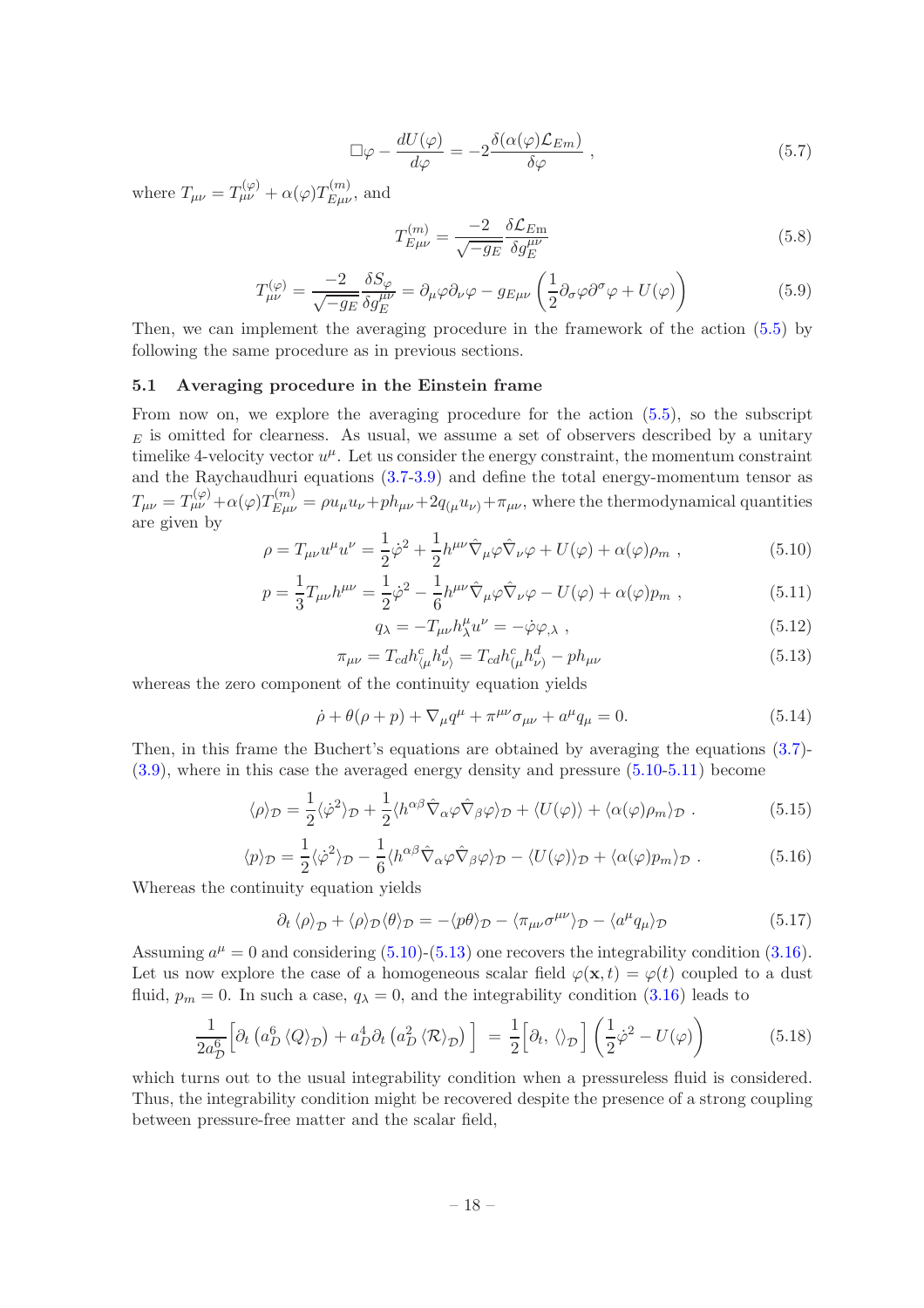$$
\Box \varphi - \frac{dU(\varphi)}{d\varphi} = -2 \frac{\delta(\alpha(\varphi)\mathcal{L}_{Em})}{\delta \varphi} , \qquad (5.7)
$$

where  $T_{\mu\nu} = T_{\mu\nu}^{(\varphi)} + \alpha(\varphi) T_{E\mu\nu}^{(m)}$ , and

$$
T_{E\mu\nu}^{(m)} = \frac{-2}{\sqrt{-g_E}} \frac{\delta \mathcal{L}_{Em}}{\delta g_E^{\mu\nu}}
$$
(5.8)

$$
T_{\mu\nu}^{(\varphi)} = \frac{-2}{\sqrt{-g_E}} \frac{\delta S_{\varphi}}{\delta g_E^{\mu\nu}} = \partial_{\mu}\varphi \partial_{\nu}\varphi - g_{E\mu\nu} \left(\frac{1}{2} \partial_{\sigma}\varphi \partial^{\sigma}\varphi + U(\varphi)\right)
$$
(5.9)

Then, we can implement the averaging procedure in the framework of the action [\(5.5\)](#page-17-3) by following the same procedure as in previous sections.

#### <span id="page-18-0"></span>5.1 Averaging procedure in the Einstein frame

From now on, we explore the averaging procedure for the action [\(5.5\)](#page-17-3), so the subscript  $E$  is omitted for clearness. As usual, we assume a set of observers described by a unitary timelike 4-velocity vector  $u^{\mu}$ . Let us consider the energy constraint, the momentum constraint and the Raychaudhuri equations [\(3.7-3.9\)](#page-8-2) and define the total energy-momentum tensor as  $T_{\mu\nu} = T_{\mu\nu}^{(\varphi)} + \alpha(\varphi)T_{E\mu\nu}^{(m)} = \rho u_{\mu}u_{\nu} + p h_{\mu\nu} + 2q_{(\mu}u_{\nu)} + \pi_{\mu\nu}$ , where the thermodynamical quantities are given by

<span id="page-18-1"></span>
$$
\rho = T_{\mu\nu} u^{\mu} u^{\nu} = \frac{1}{2} \dot{\varphi}^2 + \frac{1}{2} h^{\mu\nu} \hat{\nabla}_{\mu} \varphi \hat{\nabla}_{\nu} \varphi + U(\varphi) + \alpha(\varphi) \rho_m , \qquad (5.10)
$$

<span id="page-18-2"></span>
$$
p = \frac{1}{3}T_{\mu\nu}h^{\mu\nu} = \frac{1}{2}\dot{\varphi}^2 - \frac{1}{6}h^{\mu\nu}\hat{\nabla}_{\mu}\varphi\hat{\nabla}_{\nu}\varphi - U(\varphi) + \alpha(\varphi)p_m , \qquad (5.11)
$$

$$
q_{\lambda} = -T_{\mu\nu}h^{\mu}_{\lambda}u^{\nu} = -\dot{\varphi}\varphi_{,\lambda} , \qquad (5.12)
$$

<span id="page-18-3"></span>
$$
\pi_{\mu\nu} = T_{cd} h^c_{\langle \mu} h^d_{\nu \rangle} = T_{cd} h^c_{\langle \mu} h^d_{\nu \rangle} - p h_{\mu\nu} \tag{5.13}
$$

whereas the zero component of the continuity equation yields

$$
\dot{\rho} + \theta(\rho + p) + \nabla_{\mu}q^{\mu} + \pi^{\mu\nu}\sigma_{\mu\nu} + a^{\mu}q_{\mu} = 0.
$$
\n(5.14)

Then, in this frame the Buchert's equations are obtained by averaging the equations [\(3.7\)](#page-8-2)- [\(3.9\)](#page-8-2), where in this case the averaged energy density and pressure [\(5.10-](#page-18-1)[5.11\)](#page-18-2) become

$$
\langle \rho \rangle_{\mathcal{D}} = \frac{1}{2} \langle \dot{\varphi}^2 \rangle_{\mathcal{D}} + \frac{1}{2} \langle h^{\alpha \beta} \hat{\nabla}_{\alpha} \varphi \hat{\nabla}_{\beta} \varphi \rangle_{\mathcal{D}} + \langle U(\varphi) \rangle + \langle \alpha(\varphi) \rho_m \rangle_{\mathcal{D}} . \tag{5.15}
$$

$$
\langle p \rangle_{\mathcal{D}} = \frac{1}{2} \langle \dot{\varphi}^2 \rangle_{\mathcal{D}} - \frac{1}{6} \langle h^{\alpha \beta} \hat{\nabla}_{\alpha} \varphi \hat{\nabla}_{\beta} \varphi \rangle_{\mathcal{D}} - \langle U(\varphi) \rangle_{\mathcal{D}} + \langle \alpha(\varphi) p_m \rangle_{\mathcal{D}} . \tag{5.16}
$$

Whereas the continuity equation yields

$$
\partial_t \langle \rho \rangle_{\mathcal{D}} + \langle \rho \rangle_{\mathcal{D}} \langle \theta \rangle_{\mathcal{D}} = -\langle p\theta \rangle_{\mathcal{D}} - \langle \pi_{\mu\nu} \sigma^{\mu\nu} \rangle_{\mathcal{D}} - \langle a^{\mu} q_{\mu} \rangle_{\mathcal{D}} \tag{5.17}
$$

Assuming  $a^{\mu} = 0$  and considering [\(5.10\)](#page-18-1)-[\(5.13\)](#page-18-3) one recovers the integrability condition [\(3.16\)](#page-9-2). Let us now explore the case of a homogeneous scalar field  $\varphi(\mathbf{x}, t) = \varphi(t)$  coupled to a dust fluid,  $p_m = 0$ . In such a case,  $q_{\lambda} = 0$ , and the integrability condition [\(3.16\)](#page-9-2) leads to

$$
\frac{1}{2a_{\mathcal{D}}^{6}} \Big[ \partial_{t} \left( a_{D}^{6} \left\langle Q \right\rangle_{\mathcal{D}} \right) + a_{D}^{4} \partial_{t} \left( a_{D}^{2} \left\langle \mathcal{R} \right\rangle_{\mathcal{D}} \right) \Big] = \frac{1}{2} \Big[ \partial_{t}, \left\langle \right\rangle_{\mathcal{D}} \Big] \left( \frac{1}{2} \dot{\varphi}^{2} - U(\varphi) \right) \tag{5.18}
$$

which turns out to the usual integrability condition when a pressureless fluid is considered. Thus, the integrability condition might be recovered despite the presence of a strong coupling between pressure-free matter and the scalar field,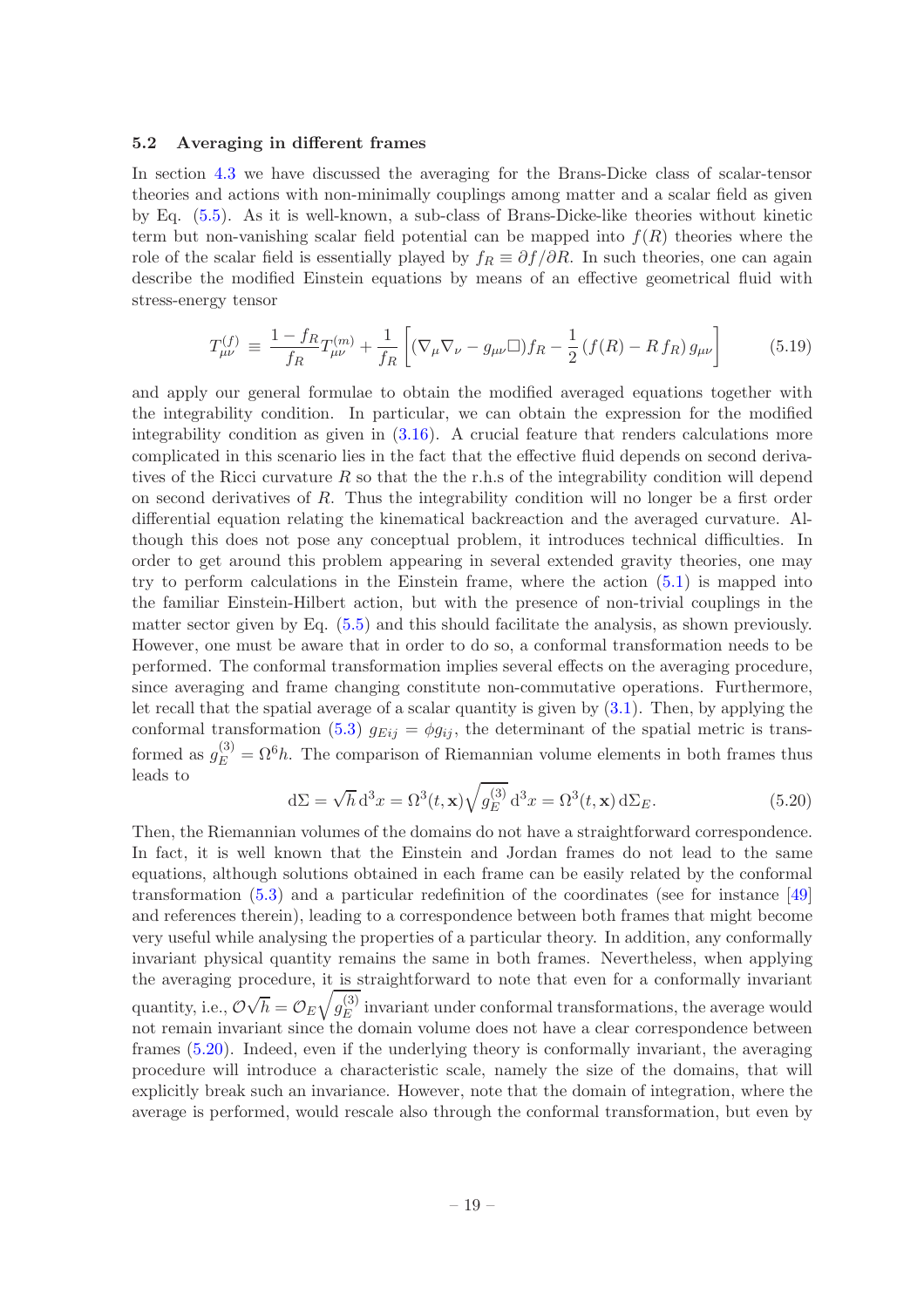# <span id="page-19-0"></span>5.2 Averaging in different frames

In section [4.3](#page-15-0) we have discussed the averaging for the Brans-Dicke class of scalar-tensor theories and actions with non-minimally couplings among matter and a scalar field as given by Eq. [\(5.5\)](#page-17-3). As it is well-known, a sub-class of Brans-Dicke-like theories without kinetic term but non-vanishing scalar field potential can be mapped into  $f(R)$  theories where the role of the scalar field is essentially played by  $f_R \equiv \partial f / \partial R$ . In such theories, one can again describe the modified Einstein equations by means of an effective geometrical fluid with stress-energy tensor

$$
T_{\mu\nu}^{(f)} \equiv \frac{1 - f_R}{f_R} T_{\mu\nu}^{(m)} + \frac{1}{f_R} \left[ (\nabla_{\mu} \nabla_{\nu} - g_{\mu\nu} \square) f_R - \frac{1}{2} \left( f(R) - R f_R \right) g_{\mu\nu} \right] \tag{5.19}
$$

and apply our general formulae to obtain the modified averaged equations together with the integrability condition. In particular, we can obtain the expression for the modified integrability condition as given in  $(3.16)$ . A crucial feature that renders calculations more complicated in this scenario lies in the fact that the effective fluid depends on second derivatives of the Ricci curvature  $R$  so that the the r.h.s of the integrability condition will depend on second derivatives of R. Thus the integrability condition will no longer be a first order differential equation relating the kinematical backreaction and the averaged curvature. Although this does not pose any conceptual problem, it introduces technical difficulties. In order to get around this problem appearing in several extended gravity theories, one may try to perform calculations in the Einstein frame, where the action [\(5.1\)](#page-17-1) is mapped into the familiar Einstein-Hilbert action, but with the presence of non-trivial couplings in the matter sector given by Eq. [\(5.5\)](#page-17-3) and this should facilitate the analysis, as shown previously. However, one must be aware that in order to do so, a conformal transformation needs to be performed. The conformal transformation implies several effects on the averaging procedure, since averaging and frame changing constitute non-commutative operations. Furthermore, let recall that the spatial average of a scalar quantity is given by [\(3.1\)](#page-7-3). Then, by applying the conformal transformation [\(5.3\)](#page-17-4)  $g_{Eij} = \phi g_{ij}$ , the determinant of the spatial metric is transformed as  $g_E^{(3)} = \Omega^6 h$ . The comparison of Riemannian volume elements in both frames thus leads to

<span id="page-19-1"></span>
$$
d\Sigma = \sqrt{h} d^3 x = \Omega^3(t, \mathbf{x}) \sqrt{g_E^{(3)}} d^3 x = \Omega^3(t, \mathbf{x}) d\Sigma_E.
$$
 (5.20)

Then, the Riemannian volumes of the domains do not have a straightforward correspondence. In fact, it is well known that the Einstein and Jordan frames do not lead to the same equations, although solutions obtained in each frame can be easily related by the conformal transformation [\(5.3\)](#page-17-4) and a particular redefinition of the coordinates (see for instance [\[49](#page-26-2)] and references therein), leading to a correspondence between both frames that might become very useful while analysing the properties of a particular theory. In addition, any conformally invariant physical quantity remains the same in both frames. Nevertheless, when applying the averaging procedure, it is straightforward to note that even for a conformally invariant quantity, i.e.,  $\mathcal{O}\sqrt{h} = \mathcal{O}_E\sqrt{g_E^{(3)}}$  $\mathcal{E}^{(5)}_E$  invariant under conformal transformations, the average would not remain invariant since the domain volume does not have a clear correspondence between frames [\(5.20\)](#page-19-1). Indeed, even if the underlying theory is conformally invariant, the averaging procedure will introduce a characteristic scale, namely the size of the domains, that will explicitly break such an invariance. However, note that the domain of integration, where the average is performed, would rescale also through the conformal transformation, but even by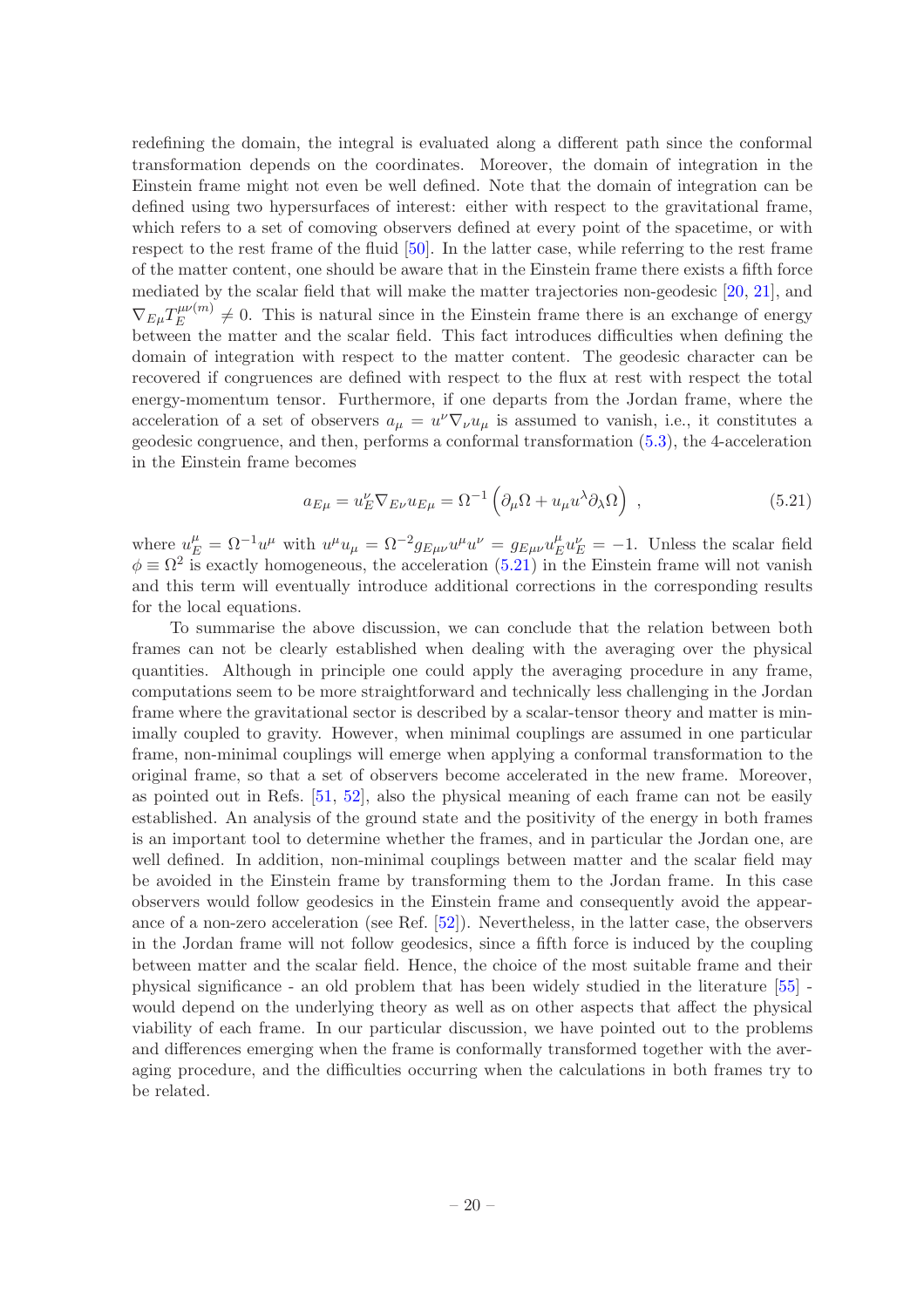redefining the domain, the integral is evaluated along a different path since the conformal transformation depends on the coordinates. Moreover, the domain of integration in the Einstein frame might not even be well defined. Note that the domain of integration can be defined using two hypersurfaces of interest: either with respect to the gravitational frame, which refers to a set of comoving observers defined at every point of the spacetime, or with respect to the rest frame of the fluid [\[50\]](#page-26-3). In the latter case, while referring to the rest frame of the matter content, one should be aware that in the Einstein frame there exists a fifth force mediated by the scalar field that will make the matter trajectories non-geodesic [\[20](#page-24-6), [21](#page-24-7)], and  $\nabla_{E\mu}T_{E}^{\mu\nu(m)}$  $E_E^{\mu\nu(m)} \neq 0$ . This is natural since in the Einstein frame there is an exchange of energy between the matter and the scalar field. This fact introduces difficulties when defining the domain of integration with respect to the matter content. The geodesic character can be recovered if congruences are defined with respect to the flux at rest with respect the total energy-momentum tensor. Furthermore, if one departs from the Jordan frame, where the acceleration of a set of observers  $a_{\mu} = u^{\nu} \nabla_{\nu} u_{\mu}$  is assumed to vanish, i.e., it constitutes a geodesic congruence, and then, performs a conformal transformation [\(5.3\)](#page-17-4), the 4-acceleration in the Einstein frame becomes

<span id="page-20-0"></span>
$$
a_{E\mu} = u_E^{\nu} \nabla_{E\nu} u_{E\mu} = \Omega^{-1} \left( \partial_{\mu} \Omega + u_{\mu} u^{\lambda} \partial_{\lambda} \Omega \right) , \qquad (5.21)
$$

where  $u_E^{\mu} = \Omega^{-1} u^{\mu}$  with  $u^{\mu} u_{\mu} = \Omega^{-2} g_{E\mu\nu} u^{\mu} u^{\nu} = g_{E\mu\nu} u_E^{\mu}$  $E^{\mu} u_E^{\nu} = -1$ . Unless the scalar field  $\phi \equiv \Omega^2$  is exactly homogeneous, the acceleration [\(5.21\)](#page-20-0) in the Einstein frame will not vanish and this term will eventually introduce additional corrections in the corresponding results for the local equations.

To summarise the above discussion, we can conclude that the relation between both frames can not be clearly established when dealing with the averaging over the physical quantities. Although in principle one could apply the averaging procedure in any frame, computations seem to be more straightforward and technically less challenging in the Jordan frame where the gravitational sector is described by a scalar-tensor theory and matter is minimally coupled to gravity. However, when minimal couplings are assumed in one particular frame, non-minimal couplings will emerge when applying a conformal transformation to the original frame, so that a set of observers become accelerated in the new frame. Moreover, as pointed out in Refs. [\[51](#page-26-4), [52](#page-26-5)], also the physical meaning of each frame can not be easily established. An analysis of the ground state and the positivity of the energy in both frames is an important tool to determine whether the frames, and in particular the Jordan one, are well defined. In addition, non-minimal couplings between matter and the scalar field may be avoided in the Einstein frame by transforming them to the Jordan frame. In this case observers would follow geodesics in the Einstein frame and consequently avoid the appearance of a non-zero acceleration (see Ref. [\[52](#page-26-5)]). Nevertheless, in the latter case, the observers in the Jordan frame will not follow geodesics, since a fifth force is induced by the coupling between matter and the scalar field. Hence, the choice of the most suitable frame and their physical significance - an old problem that has been widely studied in the literature [\[55](#page-26-6)] would depend on the underlying theory as well as on other aspects that affect the physical viability of each frame. In our particular discussion, we have pointed out to the problems and differences emerging when the frame is conformally transformed together with the averaging procedure, and the difficulties occurring when the calculations in both frames try to be related.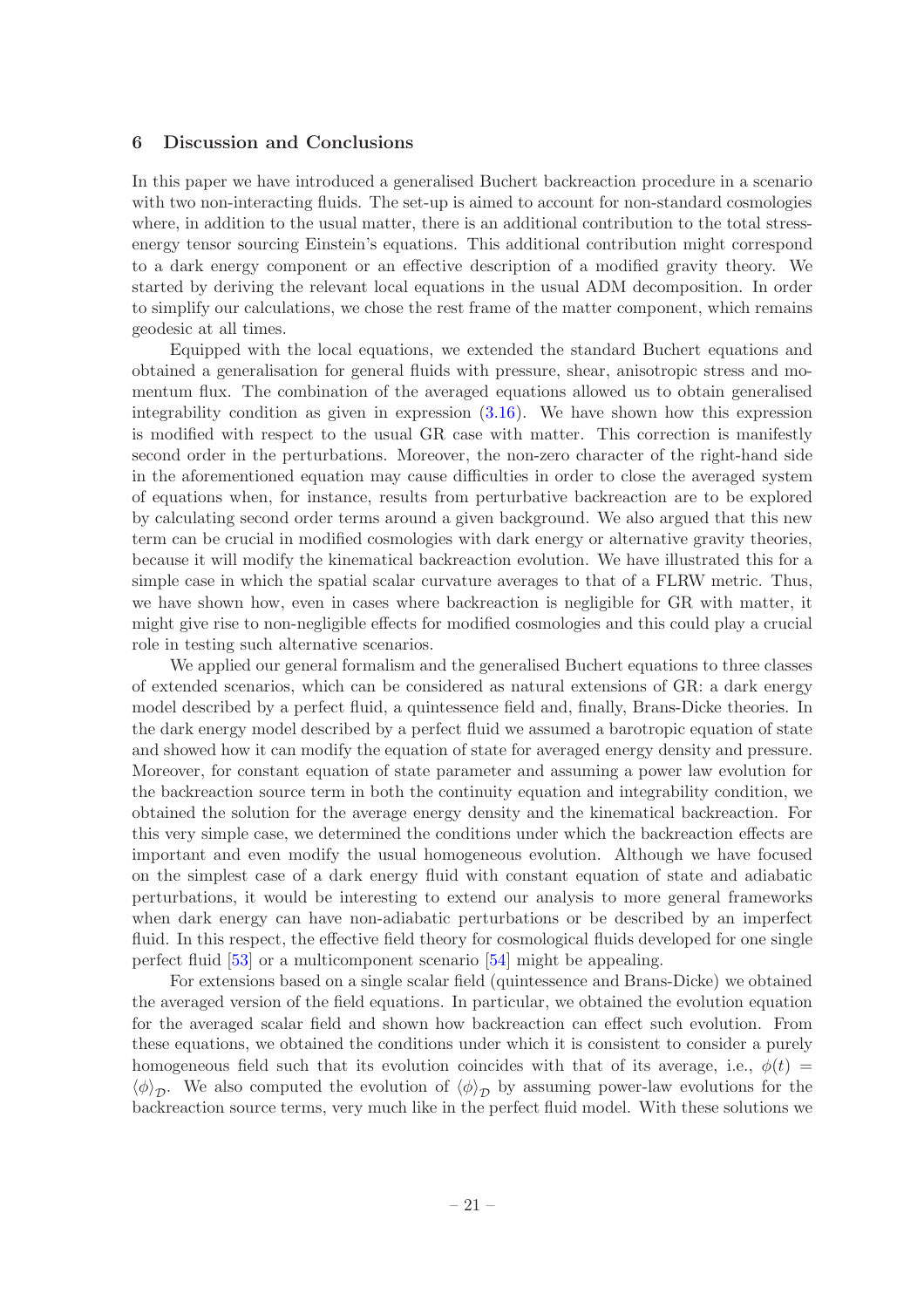# <span id="page-21-0"></span>6 Discussion and Conclusions

In this paper we have introduced a generalised Buchert backreaction procedure in a scenario with two non-interacting fluids. The set-up is aimed to account for non-standard cosmologies where, in addition to the usual matter, there is an additional contribution to the total stressenergy tensor sourcing Einstein's equations. This additional contribution might correspond to a dark energy component or an effective description of a modified gravity theory. We started by deriving the relevant local equations in the usual ADM decomposition. In order to simplify our calculations, we chose the rest frame of the matter component, which remains geodesic at all times.

Equipped with the local equations, we extended the standard Buchert equations and obtained a generalisation for general fluids with pressure, shear, anisotropic stress and momentum flux. The combination of the averaged equations allowed us to obtain generalised integrability condition as given in expression [\(3.16\)](#page-9-2). We have shown how this expression is modified with respect to the usual GR case with matter. This correction is manifestly second order in the perturbations. Moreover, the non-zero character of the right-hand side in the aforementioned equation may cause difficulties in order to close the averaged system of equations when, for instance, results from perturbative backreaction are to be explored by calculating second order terms around a given background. We also argued that this new term can be crucial in modified cosmologies with dark energy or alternative gravity theories, because it will modify the kinematical backreaction evolution. We have illustrated this for a simple case in which the spatial scalar curvature averages to that of a FLRW metric. Thus, we have shown how, even in cases where backreaction is negligible for GR with matter, it might give rise to non-negligible effects for modified cosmologies and this could play a crucial role in testing such alternative scenarios.

We applied our general formalism and the generalised Buchert equations to three classes of extended scenarios, which can be considered as natural extensions of GR: a dark energy model described by a perfect fluid, a quintessence field and, finally, Brans-Dicke theories. In the dark energy model described by a perfect fluid we assumed a barotropic equation of state and showed how it can modify the equation of state for averaged energy density and pressure. Moreover, for constant equation of state parameter and assuming a power law evolution for the backreaction source term in both the continuity equation and integrability condition, we obtained the solution for the average energy density and the kinematical backreaction. For this very simple case, we determined the conditions under which the backreaction effects are important and even modify the usual homogeneous evolution. Although we have focused on the simplest case of a dark energy fluid with constant equation of state and adiabatic perturbations, it would be interesting to extend our analysis to more general frameworks when dark energy can have non-adiabatic perturbations or be described by an imperfect fluid. In this respect, the effective field theory for cosmological fluids developed for one single perfect fluid [\[53](#page-26-7)] or a multicomponent scenario [\[54](#page-26-8)] might be appealing.

For extensions based on a single scalar field (quintessence and Brans-Dicke) we obtained the averaged version of the field equations. In particular, we obtained the evolution equation for the averaged scalar field and shown how backreaction can effect such evolution. From these equations, we obtained the conditions under which it is consistent to consider a purely homogeneous field such that its evolution coincides with that of its average, i.e.,  $\phi(t)$  =  $\langle \phi \rangle_{\mathcal{D}}$ . We also computed the evolution of  $\langle \phi \rangle_{\mathcal{D}}$  by assuming power-law evolutions for the backreaction source terms, very much like in the perfect fluid model. With these solutions we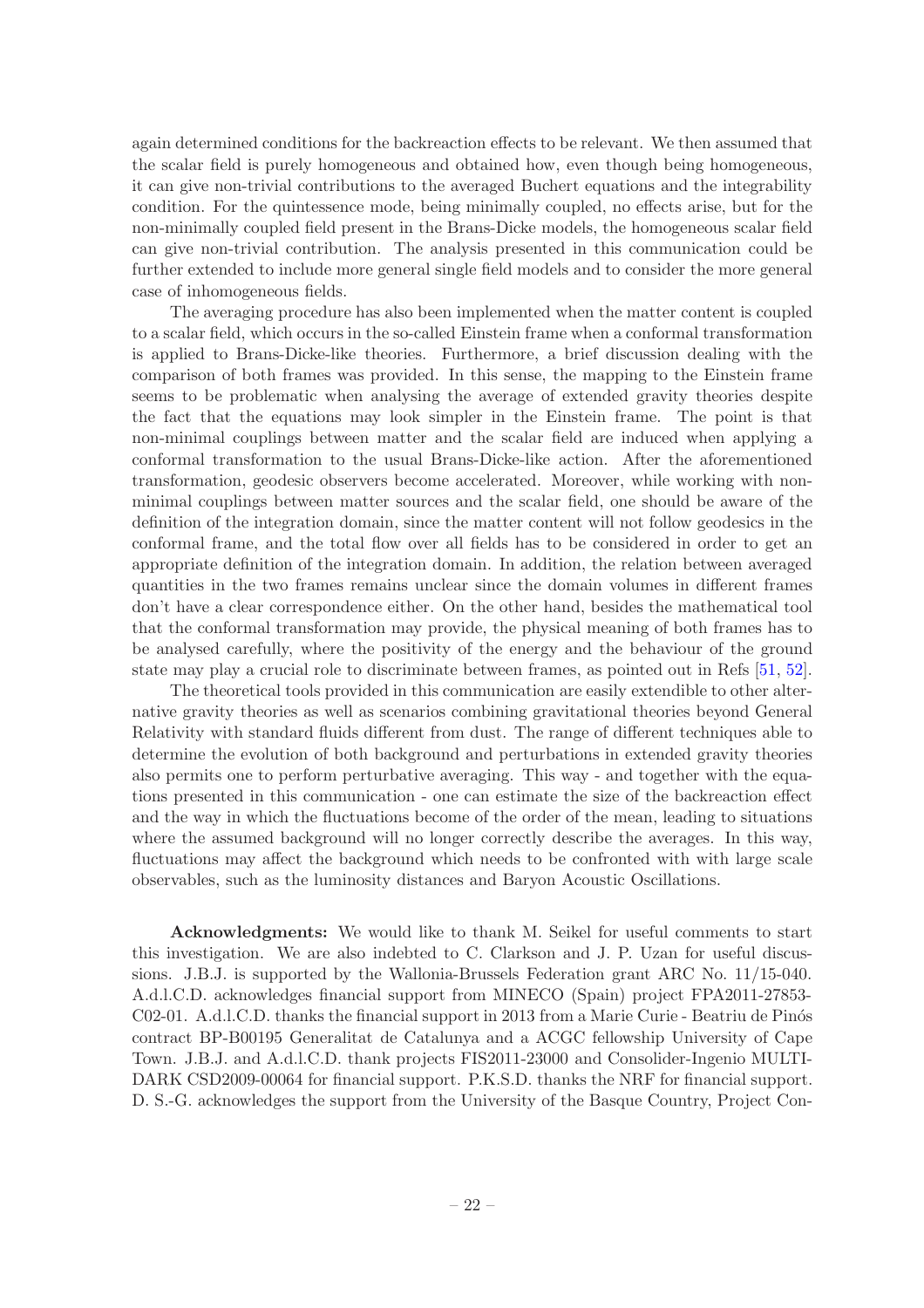again determined conditions for the backreaction effects to be relevant. We then assumed that the scalar field is purely homogeneous and obtained how, even though being homogeneous, it can give non-trivial contributions to the averaged Buchert equations and the integrability condition. For the quintessence mode, being minimally coupled, no effects arise, but for the non-minimally coupled field present in the Brans-Dicke models, the homogeneous scalar field can give non-trivial contribution. The analysis presented in this communication could be further extended to include more general single field models and to consider the more general case of inhomogeneous fields.

The averaging procedure has also been implemented when the matter content is coupled to a scalar field, which occurs in the so-called Einstein frame when a conformal transformation is applied to Brans-Dicke-like theories. Furthermore, a brief discussion dealing with the comparison of both frames was provided. In this sense, the mapping to the Einstein frame seems to be problematic when analysing the average of extended gravity theories despite the fact that the equations may look simpler in the Einstein frame. The point is that non-minimal couplings between matter and the scalar field are induced when applying a conformal transformation to the usual Brans-Dicke-like action. After the aforementioned transformation, geodesic observers become accelerated. Moreover, while working with nonminimal couplings between matter sources and the scalar field, one should be aware of the definition of the integration domain, since the matter content will not follow geodesics in the conformal frame, and the total flow over all fields has to be considered in order to get an appropriate definition of the integration domain. In addition, the relation between averaged quantities in the two frames remains unclear since the domain volumes in different frames don't have a clear correspondence either. On the other hand, besides the mathematical tool that the conformal transformation may provide, the physical meaning of both frames has to be analysed carefully, where the positivity of the energy and the behaviour of the ground state may play a crucial role to discriminate between frames, as pointed out in Refs [\[51,](#page-26-4) [52](#page-26-5)].

The theoretical tools provided in this communication are easily extendible to other alternative gravity theories as well as scenarios combining gravitational theories beyond General Relativity with standard fluids different from dust. The range of different techniques able to determine the evolution of both background and perturbations in extended gravity theories also permits one to perform perturbative averaging. This way - and together with the equations presented in this communication - one can estimate the size of the backreaction effect and the way in which the fluctuations become of the order of the mean, leading to situations where the assumed background will no longer correctly describe the averages. In this way, fluctuations may affect the background which needs to be confronted with with large scale observables, such as the luminosity distances and Baryon Acoustic Oscillations.

Acknowledgments: We would like to thank M. Seikel for useful comments to start this investigation. We are also indebted to C. Clarkson and J. P. Uzan for useful discussions. J.B.J. is supported by the Wallonia-Brussels Federation grant ARC No. 11/15-040. A.d.l.C.D. acknowledges financial support from MINECO (Spain) project FPA2011-27853- C02-01. A.d.l.C.D. thanks the financial support in 2013 from a Marie Curie - Beatriu de Pinós contract BP-B00195 Generalitat de Catalunya and a ACGC fellowship University of Cape Town. J.B.J. and A.d.l.C.D. thank projects FIS2011-23000 and Consolider-Ingenio MULTI-DARK CSD2009-00064 for financial support. P.K.S.D. thanks the NRF for financial support. D. S.-G. acknowledges the support from the University of the Basque Country, Project Con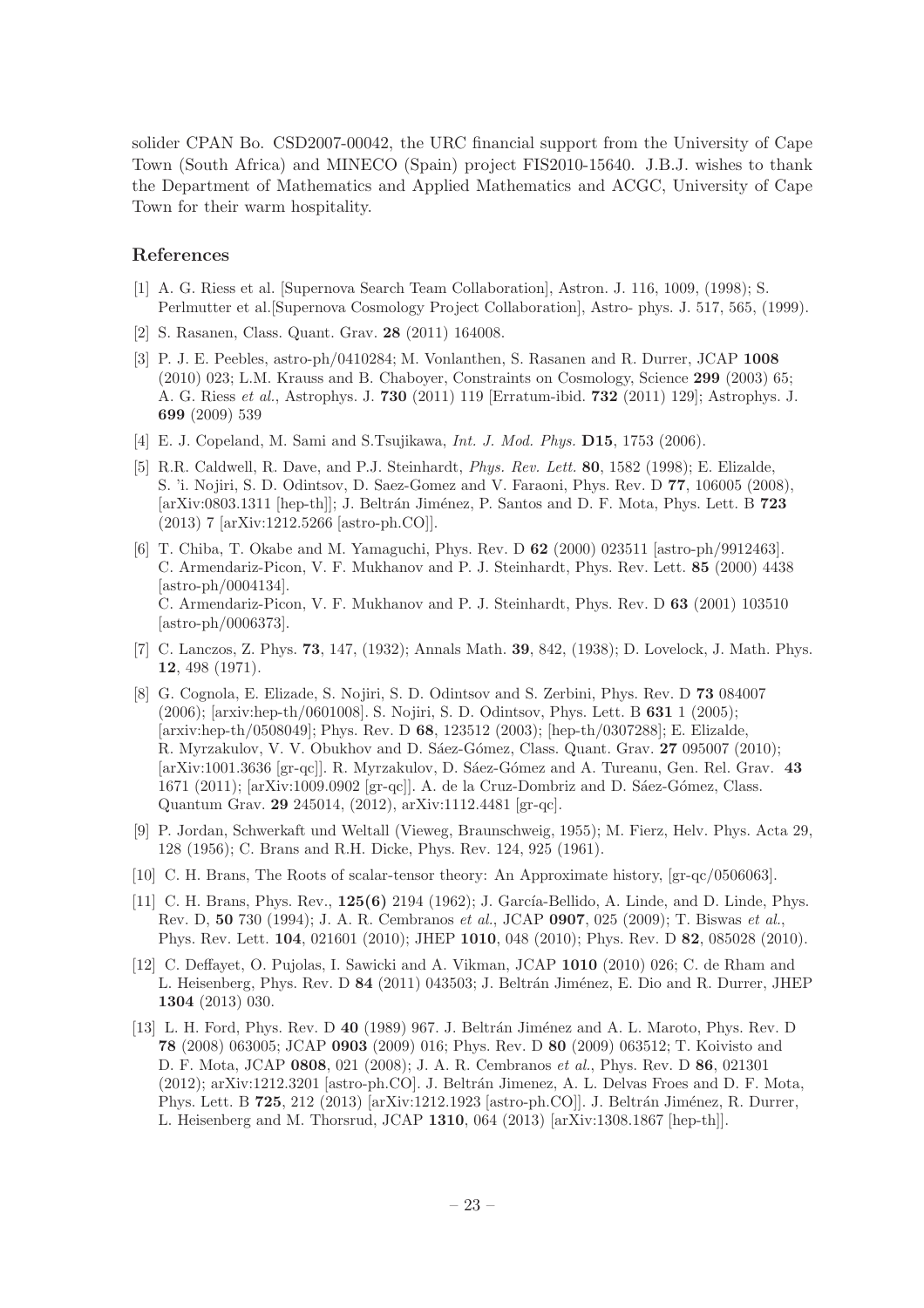solider CPAN Bo. CSD2007-00042, the URC financial support from the University of Cape Town (South Africa) and MINECO (Spain) project FIS2010-15640. J.B.J. wishes to thank the Department of Mathematics and Applied Mathematics and ACGC, University of Cape Town for their warm hospitality.

# References

- <span id="page-23-0"></span>[1] A. G. Riess et al. [Supernova Search Team Collaboration], Astron. J. 116, 1009, (1998); S. Perlmutter et al.[Supernova Cosmology Project Collaboration], Astro- phys. J. 517, 565, (1999).
- <span id="page-23-1"></span>[2] S. Rasanen, Class. Quant. Grav. 28 (2011) 164008.
- <span id="page-23-2"></span>[3] P. J. E. Peebles, astro-ph/0410284; M. Vonlanthen, S. Rasanen and R. Durrer, JCAP 1008 (2010) 023; L.M. Krauss and B. Chaboyer, Constraints on Cosmology, Science 299 (2003) 65; A. G. Riess et al., Astrophys. J. 730 (2011) 119 [Erratum-ibid. 732 (2011) 129]; Astrophys. J. 699 (2009) 539
- <span id="page-23-3"></span>[4] E. J. Copeland, M. Sami and S.Tsujikawa, Int. J. Mod. Phys. D15, 1753 (2006).
- <span id="page-23-4"></span>[5] R.R. Caldwell, R. Dave, and P.J. Steinhardt, Phys. Rev. Lett. 80, 1582 (1998); E. Elizalde, S. 'i. Nojiri, S. D. Odintsov, D. Saez-Gomez and V. Faraoni, Phys. Rev. D 77, 106005 (2008), [arXiv:0803.1311 [hep-th]]; J. Beltrán Jiménez, P. Santos and D. F. Mota, Phys. Lett. B 723 (2013) 7 [arXiv:1212.5266 [astro-ph.CO]].
- <span id="page-23-5"></span>[6] T. Chiba, T. Okabe and M. Yamaguchi, Phys. Rev. D 62 (2000) 023511 [astro-ph/9912463]. C. Armendariz-Picon, V. F. Mukhanov and P. J. Steinhardt, Phys. Rev. Lett. 85 (2000) 4438 [astro-ph/0004134]. C. Armendariz-Picon, V. F. Mukhanov and P. J. Steinhardt, Phys. Rev. D 63 (2001) 103510 [astro-ph/0006373].
- <span id="page-23-6"></span>[7] C. Lanczos, Z. Phys. 73, 147, (1932); Annals Math. 39, 842, (1938); D. Lovelock, J. Math. Phys. 12, 498 (1971).
- <span id="page-23-7"></span>[8] G. Cognola, E. Elizade, S. Nojiri, S. D. Odintsov and S. Zerbini, Phys. Rev. D 73 084007 (2006); [arxiv:hep-th/0601008]. S. Nojiri, S. D. Odintsov, Phys. Lett. B 631 1 (2005); [arxiv:hep-th/0508049]; Phys. Rev. D 68, 123512 (2003); [hep-th/0307288]; E. Elizalde, R. Myrzakulov, V. V. Obukhov and D. Sáez-Gómez, Class. Quant. Grav. 27 095007 (2010); [arXiv:1001.3636 [gr-qc]]. R. Myrzakulov, D. Sáez-Gómez and A. Tureanu, Gen. Rel. Grav. 43 1671 (2011); [arXiv:1009.0902 [gr-qc]]. A. de la Cruz-Dombriz and D. Sáez-Gómez, Class. Quantum Grav. 29 245014, (2012), arXiv:1112.4481 [gr-qc].
- <span id="page-23-8"></span>[9] P. Jordan, Schwerkaft und Weltall (Vieweg, Braunschweig, 1955); M. Fierz, Helv. Phys. Acta 29, 128 (1956); C. Brans and R.H. Dicke, Phys. Rev. 124, 925 (1961).
- <span id="page-23-12"></span>[10] C. H. Brans, The Roots of scalar-tensor theory: An Approximate history, [gr-qc/0506063].
- <span id="page-23-9"></span>[11] C. H. Brans, Phys. Rev., 125(6) 2194 (1962); J. García-Bellido, A. Linde, and D. Linde, Phys. Rev. D, 50 730 (1994); J. A. R. Cembranos et al., JCAP 0907, 025 (2009); T. Biswas et al., Phys. Rev. Lett. 104, 021601 (2010); JHEP 1010, 048 (2010); Phys. Rev. D 82, 085028 (2010).
- <span id="page-23-10"></span>[12] C. Deffayet, O. Pujolas, I. Sawicki and A. Vikman, JCAP 1010 (2010) 026; C. de Rham and L. Heisenberg, Phys. Rev. D 84 (2011) 043503; J. Beltrán Jiménez, E. Dio and R. Durrer, JHEP 1304 (2013) 030.
- <span id="page-23-11"></span>[13] L. H. Ford, Phys. Rev. D 40 (1989) 967. J. Beltrán Jiménez and A. L. Maroto, Phys. Rev. D 78 (2008) 063005; JCAP 0903 (2009) 016; Phys. Rev. D 80 (2009) 063512; T. Koivisto and D. F. Mota, JCAP 0808, 021 (2008); J. A. R. Cembranos et al., Phys. Rev. D 86, 021301  $(2012)$ ; arXiv:1212.3201 [astro-ph.CO]. J. Beltrán Jimenez, A. L. Delvas Froes and D. F. Mota, Phys. Lett. B 725, 212 (2013) [arXiv:1212.1923 [astro-ph.CO]]. J. Beltrán Jiménez, R. Durrer, L. Heisenberg and M. Thorsrud, JCAP 1310, 064 (2013) [arXiv:1308.1867 [hep-th]].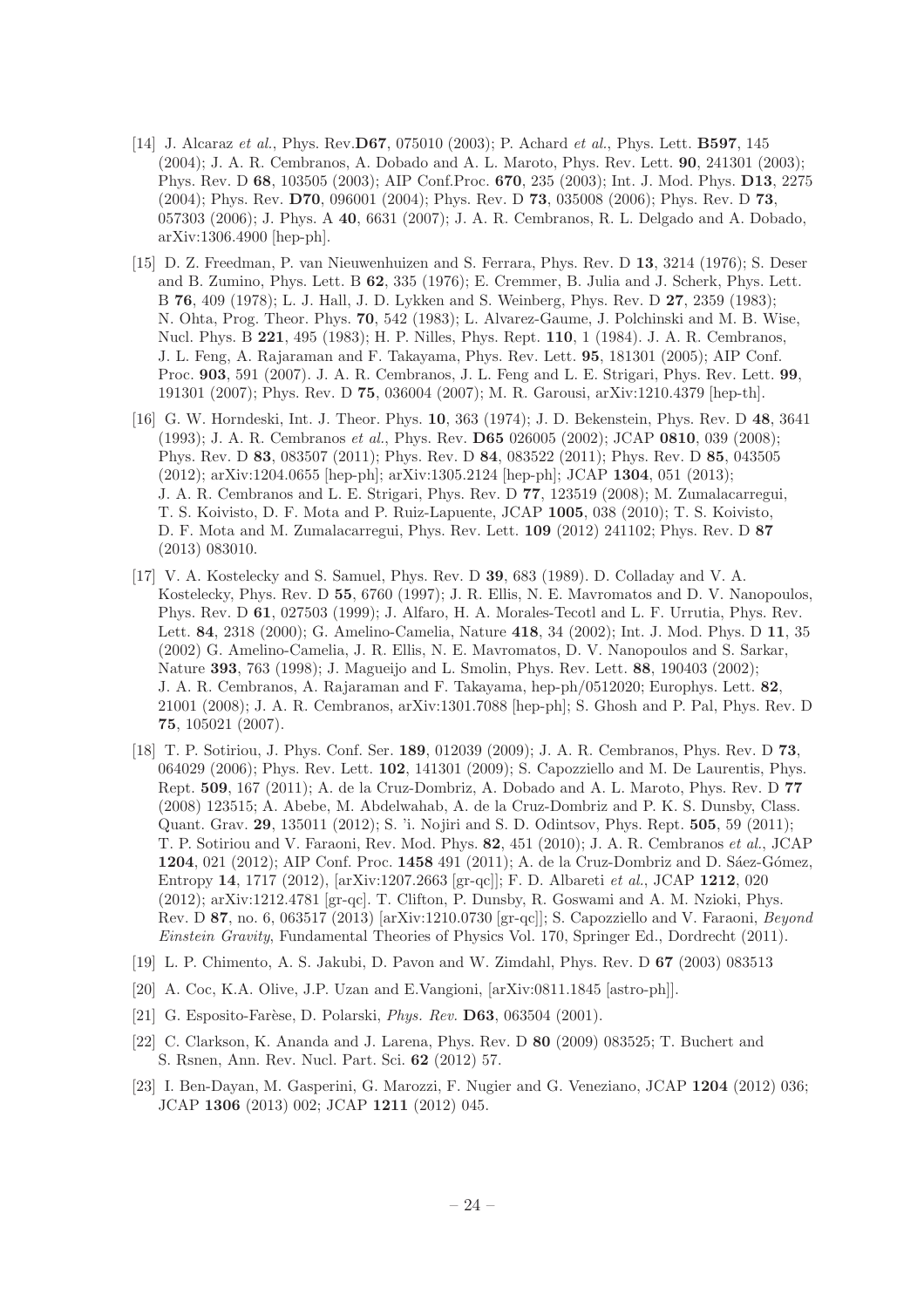- <span id="page-24-0"></span>[14] J. Alcaraz et al., Phys. Rev.D67, 075010 (2003); P. Achard et al., Phys. Lett. **B597**, 145 (2004); J. A. R. Cembranos, A. Dobado and A. L. Maroto, Phys. Rev. Lett. 90, 241301 (2003); Phys. Rev. D 68, 103505 (2003); AIP Conf.Proc. 670, 235 (2003); Int. J. Mod. Phys. D13, 2275 (2004); Phys. Rev. D70, 096001 (2004); Phys. Rev. D 73, 035008 (2006); Phys. Rev. D 73, 057303 (2006); J. Phys. A 40, 6631 (2007); J. A. R. Cembranos, R. L. Delgado and A. Dobado, arXiv:1306.4900 [hep-ph].
- <span id="page-24-1"></span>[15] D. Z. Freedman, P. van Nieuwenhuizen and S. Ferrara, Phys. Rev. D 13, 3214 (1976); S. Deser and B. Zumino, Phys. Lett. B 62, 335 (1976); E. Cremmer, B. Julia and J. Scherk, Phys. Lett. B 76, 409 (1978); L. J. Hall, J. D. Lykken and S. Weinberg, Phys. Rev. D 27, 2359 (1983); N. Ohta, Prog. Theor. Phys. 70, 542 (1983); L. Alvarez-Gaume, J. Polchinski and M. B. Wise, Nucl. Phys. B 221, 495 (1983); H. P. Nilles, Phys. Rept. 110, 1 (1984). J. A. R. Cembranos, J. L. Feng, A. Rajaraman and F. Takayama, Phys. Rev. Lett. 95, 181301 (2005); AIP Conf. Proc. 903, 591 (2007). J. A. R. Cembranos, J. L. Feng and L. E. Strigari, Phys. Rev. Lett. 99, 191301 (2007); Phys. Rev. D 75, 036004 (2007); M. R. Garousi, arXiv:1210.4379 [hep-th].
- <span id="page-24-2"></span>[16] G. W. Horndeski, Int. J. Theor. Phys. 10, 363 (1974); J. D. Bekenstein, Phys. Rev. D 48, 3641 (1993); J. A. R. Cembranos et al., Phys. Rev. D65 026005 (2002); JCAP 0810, 039 (2008); Phys. Rev. D 83, 083507 (2011); Phys. Rev. D 84, 083522 (2011); Phys. Rev. D 85, 043505 (2012); arXiv:1204.0655 [hep-ph]; arXiv:1305.2124 [hep-ph]; JCAP 1304, 051 (2013); J. A. R. Cembranos and L. E. Strigari, Phys. Rev. D 77, 123519 (2008); M. Zumalacarregui, T. S. Koivisto, D. F. Mota and P. Ruiz-Lapuente, JCAP 1005, 038 (2010); T. S. Koivisto, D. F. Mota and M. Zumalacarregui, Phys. Rev. Lett. 109 (2012) 241102; Phys. Rev. D 87 (2013) 083010.
- <span id="page-24-3"></span>[17] V. A. Kostelecky and S. Samuel, Phys. Rev. D 39, 683 (1989). D. Colladay and V. A. Kostelecky, Phys. Rev. D 55, 6760 (1997); J. R. Ellis, N. E. Mavromatos and D. V. Nanopoulos, Phys. Rev. D 61, 027503 (1999); J. Alfaro, H. A. Morales-Tecotl and L. F. Urrutia, Phys. Rev. Lett. 84, 2318 (2000); G. Amelino-Camelia, Nature 418, 34 (2002); Int. J. Mod. Phys. D 11, 35 (2002) G. Amelino-Camelia, J. R. Ellis, N. E. Mavromatos, D. V. Nanopoulos and S. Sarkar, Nature 393, 763 (1998); J. Magueijo and L. Smolin, Phys. Rev. Lett. 88, 190403 (2002); J. A. R. Cembranos, A. Rajaraman and F. Takayama, hep-ph/0512020; Europhys. Lett. 82, 21001 (2008); J. A. R. Cembranos, arXiv:1301.7088 [hep-ph]; S. Ghosh and P. Pal, Phys. Rev. D 75, 105021 (2007).
- <span id="page-24-4"></span>[18] T. P. Sotiriou, J. Phys. Conf. Ser. 189, 012039 (2009); J. A. R. Cembranos, Phys. Rev. D 73, 064029 (2006); Phys. Rev. Lett. 102, 141301 (2009); S. Capozziello and M. De Laurentis, Phys. Rept. 509, 167 (2011); A. de la Cruz-Dombriz, A. Dobado and A. L. Maroto, Phys. Rev. D 77 (2008) 123515; A. Abebe, M. Abdelwahab, A. de la Cruz-Dombriz and P. K. S. Dunsby, Class. Quant. Grav. 29, 135011 (2012); S. 'i. Nojiri and S. D. Odintsov, Phys. Rept. 505, 59 (2011); T. P. Sotiriou and V. Faraoni, Rev. Mod. Phys. 82, 451 (2010); J. A. R. Cembranos et al., JCAP 1204, 021 (2012); AIP Conf. Proc. 1458 491 (2011); A. de la Cruz-Dombriz and D. Sáez-Gómez, Entropy 14, 1717 (2012), [arXiv:1207.2663 [gr-qc]]; F. D. Albareti et al., JCAP 1212, 020 (2012); arXiv:1212.4781 [gr-qc]. T. Clifton, P. Dunsby, R. Goswami and A. M. Nzioki, Phys. Rev. D 87, no. 6, 063517 (2013) [arXiv:1210.0730 [gr-qc]]; S. Capozziello and V. Faraoni, Beyond Einstein Gravity, Fundamental Theories of Physics Vol. 170, Springer Ed., Dordrecht (2011).
- <span id="page-24-5"></span>[19] L. P. Chimento, A. S. Jakubi, D. Pavon and W. Zimdahl, Phys. Rev. D 67 (2003) 083513
- <span id="page-24-6"></span>[20] A. Coc, K.A. Olive, J.P. Uzan and E.Vangioni, [arXiv:0811.1845 [astro-ph]].
- <span id="page-24-7"></span>[21] G. Esposito-Farèse, D. Polarski, *Phys. Rev.* **D63**, 063504 (2001).
- <span id="page-24-8"></span>[22] C. Clarkson, K. Ananda and J. Larena, Phys. Rev. D 80 (2009) 083525; T. Buchert and S. Rsnen, Ann. Rev. Nucl. Part. Sci. 62 (2012) 57.
- <span id="page-24-9"></span>[23] I. Ben-Dayan, M. Gasperini, G. Marozzi, F. Nugier and G. Veneziano, JCAP 1204 (2012) 036; JCAP 1306 (2013) 002; JCAP 1211 (2012) 045.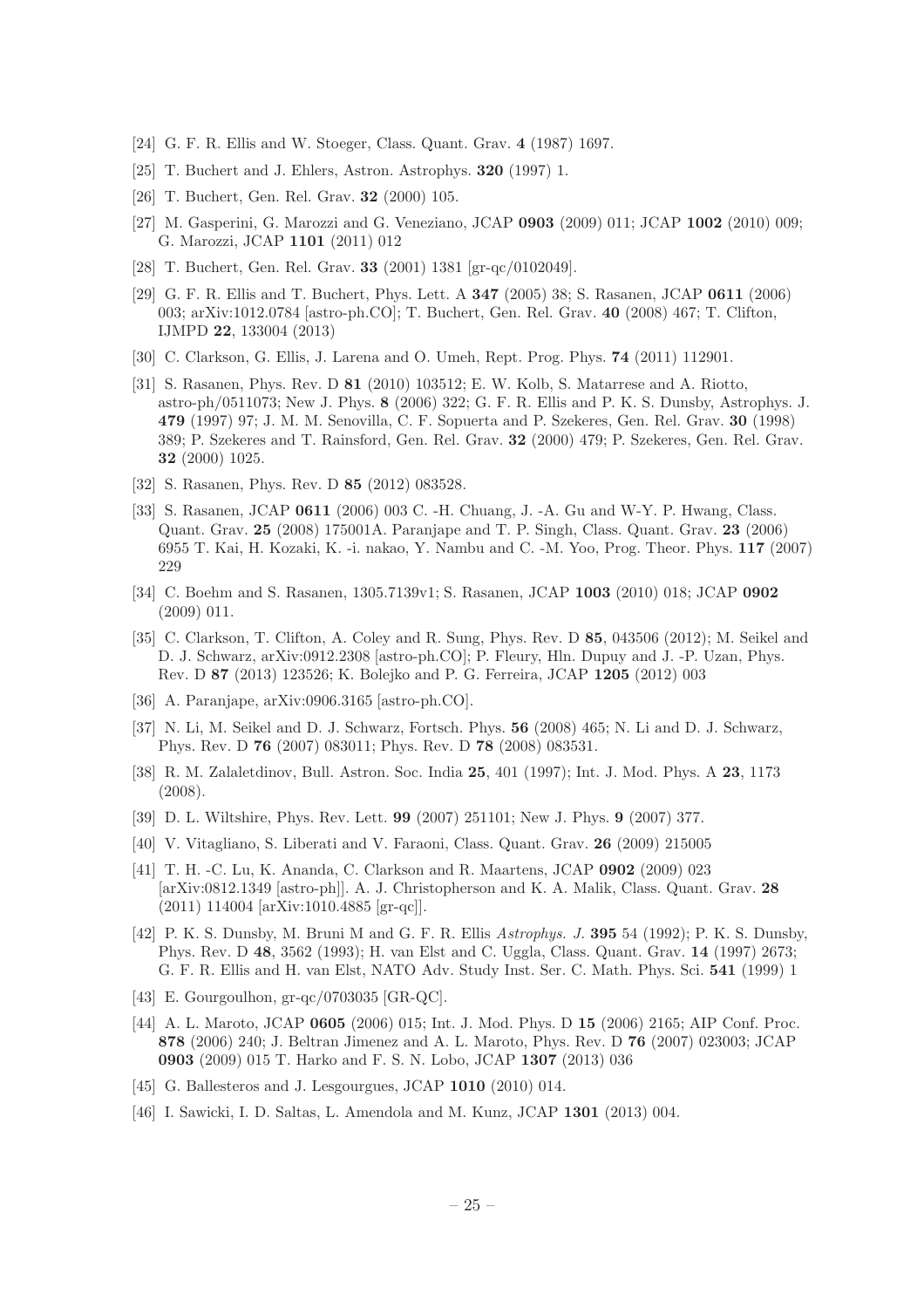- <span id="page-25-0"></span>[24] G. F. R. Ellis and W. Stoeger, Class. Quant. Grav. 4 (1987) 1697.
- <span id="page-25-11"></span>[25] T. Buchert and J. Ehlers, Astron. Astrophys. 320 (1997) 1.
- <span id="page-25-1"></span>[26] T. Buchert, Gen. Rel. Grav. 32 (2000) 105.
- <span id="page-25-14"></span>[27] M. Gasperini, G. Marozzi and G. Veneziano, JCAP 0903 (2009) 011; JCAP 1002 (2010) 009; G. Marozzi, JCAP 1101 (2011) 012
- <span id="page-25-15"></span>[28] T. Buchert, Gen. Rel. Grav. 33 (2001) 1381 [gr-qc/0102049].
- <span id="page-25-2"></span>[29] G. F. R. Ellis and T. Buchert, Phys. Lett. A 347 (2005) 38; S. Rasanen, JCAP 0611 (2006) 003; arXiv:1012.0784 [astro-ph.CO]; T. Buchert, Gen. Rel. Grav. 40 (2008) 467; T. Clifton, IJMPD 22, 133004 (2013)
- <span id="page-25-3"></span>[30] C. Clarkson, G. Ellis, J. Larena and O. Umeh, Rept. Prog. Phys. 74 (2011) 112901.
- <span id="page-25-4"></span>[31] S. Rasanen, Phys. Rev. D 81 (2010) 103512; E. W. Kolb, S. Matarrese and A. Riotto, astro-ph/0511073; New J. Phys. 8 (2006) 322; G. F. R. Ellis and P. K. S. Dunsby, Astrophys. J. 479 (1997) 97; J. M. M. Senovilla, C. F. Sopuerta and P. Szekeres, Gen. Rel. Grav. 30 (1998) 389; P. Szekeres and T. Rainsford, Gen. Rel. Grav. 32 (2000) 479; P. Szekeres, Gen. Rel. Grav. 32 (2000) 1025.
- <span id="page-25-5"></span>[32] S. Rasanen, Phys. Rev. D **85** (2012) 083528.
- <span id="page-25-6"></span>[33] S. Rasanen, JCAP 0611 (2006) 003 C. -H. Chuang, J. -A. Gu and W-Y. P. Hwang, Class. Quant. Grav. 25 (2008) 175001A. Paranjape and T. P. Singh, Class. Quant. Grav. 23 (2006) 6955 T. Kai, H. Kozaki, K. -i. nakao, Y. Nambu and C. -M. Yoo, Prog. Theor. Phys. 117 (2007) 229
- <span id="page-25-7"></span>[34] C. Boehm and S. Rasanen, 1305.7139v1; S. Rasanen, JCAP 1003 (2010) 018; JCAP 0902 (2009) 011.
- <span id="page-25-8"></span>[35] C. Clarkson, T. Clifton, A. Coley and R. Sung, Phys. Rev. D 85, 043506 (2012); M. Seikel and D. J. Schwarz, arXiv:0912.2308 [astro-ph.CO]; P. Fleury, Hln. Dupuy and J. -P. Uzan, Phys. Rev. D 87 (2013) 123526; K. Bolejko and P. G. Ferreira, JCAP 1205 (2012) 003
- <span id="page-25-9"></span>[36] A. Paranjape, arXiv:0906.3165 [astro-ph.CO].
- <span id="page-25-10"></span>[37] N. Li, M. Seikel and D. J. Schwarz, Fortsch. Phys. 56 (2008) 465; N. Li and D. J. Schwarz, Phys. Rev. D 76 (2007) 083011; Phys. Rev. D 78 (2008) 083531.
- <span id="page-25-12"></span>[38] R. M. Zalaletdinov, Bull. Astron. Soc. India 25, 401 (1997); Int. J. Mod. Phys. A 23, 1173 (2008).
- <span id="page-25-13"></span>[39] D. L. Wiltshire, Phys. Rev. Lett. 99 (2007) 251101; New J. Phys. 9 (2007) 377.
- <span id="page-25-16"></span>[40] V. Vitagliano, S. Liberati and V. Faraoni, Class. Quant. Grav. 26 (2009) 215005
- <span id="page-25-17"></span>[41] T. H. -C. Lu, K. Ananda, C. Clarkson and R. Maartens, JCAP 0902 (2009) 023 [arXiv:0812.1349 [astro-ph]]. A. J. Christopherson and K. A. Malik, Class. Quant. Grav. 28 (2011) 114004 [arXiv:1010.4885 [gr-qc]].
- <span id="page-25-18"></span>[42] P. K. S. Dunsby, M. Bruni M and G. F. R. Ellis Astrophys. J. 395 54 (1992); P. K. S. Dunsby, Phys. Rev. D 48, 3562 (1993); H. van Elst and C. Uggla, Class. Quant. Grav. 14 (1997) 2673; G. F. R. Ellis and H. van Elst, NATO Adv. Study Inst. Ser. C. Math. Phys. Sci. 541 (1999) 1
- <span id="page-25-19"></span>[43] E. Gourgoulhon, gr-qc/0703035 [GR-QC].
- <span id="page-25-20"></span>[44] A. L. Maroto, JCAP 0605 (2006) 015; Int. J. Mod. Phys. D 15 (2006) 2165; AIP Conf. Proc. 878 (2006) 240; J. Beltran Jimenez and A. L. Maroto, Phys. Rev. D 76 (2007) 023003; JCAP 0903 (2009) 015 T. Harko and F. S. N. Lobo, JCAP 1307 (2013) 036
- <span id="page-25-21"></span>[45] G. Ballesteros and J. Lesgourgues, JCAP **1010** (2010) 014.
- <span id="page-25-22"></span>[46] I. Sawicki, I. D. Saltas, L. Amendola and M. Kunz, JCAP 1301 (2013) 004.